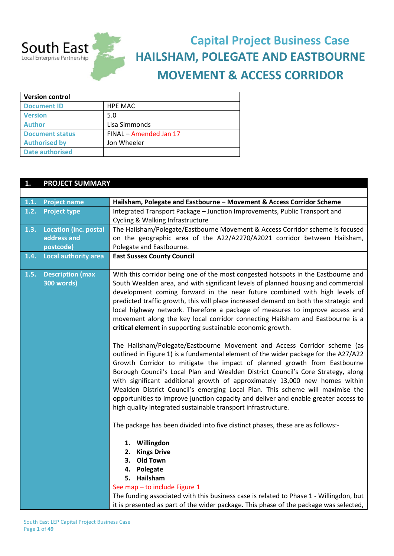

# **Capital Project Business Case HAILSHAM, POLEGATE AND EASTBOURNE MOVEMENT & ACCESS CORRIDOR**

| <b>Version control</b> |                        |  |
|------------------------|------------------------|--|
| <b>Document ID</b>     | HPE MAC                |  |
| <b>Version</b>         | 5.0                    |  |
| <b>Author</b>          | Lisa Simmonds          |  |
| <b>Document status</b> | FINAL - Amended Jan 17 |  |
| <b>Authorised by</b>   | Jon Wheeler            |  |
| <b>Date authorised</b> |                        |  |

### **1. PROJECT SUMMARY**

| 1.1. | <b>Project name</b>                   | Hailsham, Polegate and Eastbourne - Movement & Access Corridor Scheme                                                                                                                                                                                                                                                                                                                                                                                                                                                                                                                                                                                                                                                                                                                                                                                                                                                                                                                                                                                                                                                                                                                                                                                                                                                                                                                                             |
|------|---------------------------------------|-------------------------------------------------------------------------------------------------------------------------------------------------------------------------------------------------------------------------------------------------------------------------------------------------------------------------------------------------------------------------------------------------------------------------------------------------------------------------------------------------------------------------------------------------------------------------------------------------------------------------------------------------------------------------------------------------------------------------------------------------------------------------------------------------------------------------------------------------------------------------------------------------------------------------------------------------------------------------------------------------------------------------------------------------------------------------------------------------------------------------------------------------------------------------------------------------------------------------------------------------------------------------------------------------------------------------------------------------------------------------------------------------------------------|
| 1.2. | <b>Project type</b>                   | Integrated Transport Package - Junction Improvements, Public Transport and                                                                                                                                                                                                                                                                                                                                                                                                                                                                                                                                                                                                                                                                                                                                                                                                                                                                                                                                                                                                                                                                                                                                                                                                                                                                                                                                        |
|      |                                       | Cycling & Walking Infrastructure                                                                                                                                                                                                                                                                                                                                                                                                                                                                                                                                                                                                                                                                                                                                                                                                                                                                                                                                                                                                                                                                                                                                                                                                                                                                                                                                                                                  |
| 1.3. | <b>Location (inc. postal</b>          | The Hailsham/Polegate/Eastbourne Movement & Access Corridor scheme is focused                                                                                                                                                                                                                                                                                                                                                                                                                                                                                                                                                                                                                                                                                                                                                                                                                                                                                                                                                                                                                                                                                                                                                                                                                                                                                                                                     |
|      | address and                           | on the geographic area of the A22/A2270/A2021 corridor between Hailsham,                                                                                                                                                                                                                                                                                                                                                                                                                                                                                                                                                                                                                                                                                                                                                                                                                                                                                                                                                                                                                                                                                                                                                                                                                                                                                                                                          |
|      | postcode)                             | Polegate and Eastbourne.                                                                                                                                                                                                                                                                                                                                                                                                                                                                                                                                                                                                                                                                                                                                                                                                                                                                                                                                                                                                                                                                                                                                                                                                                                                                                                                                                                                          |
| 1.4. | <b>Local authority area</b>           | <b>East Sussex County Council</b>                                                                                                                                                                                                                                                                                                                                                                                                                                                                                                                                                                                                                                                                                                                                                                                                                                                                                                                                                                                                                                                                                                                                                                                                                                                                                                                                                                                 |
|      |                                       |                                                                                                                                                                                                                                                                                                                                                                                                                                                                                                                                                                                                                                                                                                                                                                                                                                                                                                                                                                                                                                                                                                                                                                                                                                                                                                                                                                                                                   |
| 1.5. | <b>Description (max</b><br>300 words) | With this corridor being one of the most congested hotspots in the Eastbourne and<br>South Wealden area, and with significant levels of planned housing and commercial<br>development coming forward in the near future combined with high levels of<br>predicted traffic growth, this will place increased demand on both the strategic and<br>local highway network. Therefore a package of measures to improve access and<br>movement along the key local corridor connecting Hailsham and Eastbourne is a<br>critical element in supporting sustainable economic growth.<br>The Hailsham/Polegate/Eastbourne Movement and Access Corridor scheme (as<br>outlined in Figure 1) is a fundamental element of the wider package for the A27/A22<br>Growth Corridor to mitigate the impact of planned growth from Eastbourne<br>Borough Council's Local Plan and Wealden District Council's Core Strategy, along<br>with significant additional growth of approximately 13,000 new homes within<br>Wealden District Council's emerging Local Plan. This scheme will maximise the<br>opportunities to improve junction capacity and deliver and enable greater access to<br>high quality integrated sustainable transport infrastructure.<br>The package has been divided into five distinct phases, these are as follows:-<br>1. Willingdon<br><b>Kings Drive</b><br>2.<br><b>Old Town</b><br>з.<br>Polegate<br>4. |
|      |                                       | 5. Hailsham                                                                                                                                                                                                                                                                                                                                                                                                                                                                                                                                                                                                                                                                                                                                                                                                                                                                                                                                                                                                                                                                                                                                                                                                                                                                                                                                                                                                       |
|      |                                       | See map - to include Figure 1                                                                                                                                                                                                                                                                                                                                                                                                                                                                                                                                                                                                                                                                                                                                                                                                                                                                                                                                                                                                                                                                                                                                                                                                                                                                                                                                                                                     |
|      |                                       | The funding associated with this business case is related to Phase 1 - Willingdon, but                                                                                                                                                                                                                                                                                                                                                                                                                                                                                                                                                                                                                                                                                                                                                                                                                                                                                                                                                                                                                                                                                                                                                                                                                                                                                                                            |
|      |                                       | it is presented as part of the wider package. This phase of the package was selected,                                                                                                                                                                                                                                                                                                                                                                                                                                                                                                                                                                                                                                                                                                                                                                                                                                                                                                                                                                                                                                                                                                                                                                                                                                                                                                                             |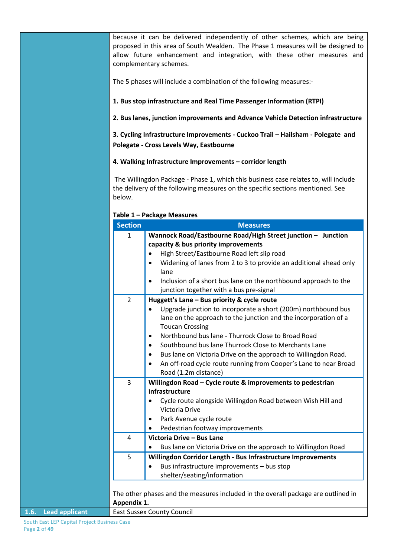because it can be delivered independently of other schemes, which are being proposed in this area of South Wealden. The Phase 1 measures will be designed to allow future enhancement and integration, with these other measures and complementary schemes.

The 5 phases will include a combination of the following measures:-

#### **1. Bus stop infrastructure and Real Time Passenger Information (RTPI)**

**2. Bus lanes, junction improvements and Advance Vehicle Detection infrastructure**

**3. Cycling Infrastructure Improvements - Cuckoo Trail – Hailsham - Polegate and Polegate - Cross Levels Way, Eastbourne**

#### **4. Walking Infrastructure Improvements – corridor length**

The Willingdon Package - Phase 1, which this business case relates to, will include the delivery of the following measures on the specific sections mentioned. See below.

| <b>Section</b>        | <b>Measures</b>                                                                   |
|-----------------------|-----------------------------------------------------------------------------------|
| $\mathbf{1}$          | Wannock Road/Eastbourne Road/High Street junction - Junction                      |
|                       | capacity & bus priority improvements                                              |
|                       | High Street/Eastbourne Road left slip road                                        |
|                       | Widening of lanes from 2 to 3 to provide an additional ahead only<br>$\bullet$    |
|                       | lane                                                                              |
|                       | Inclusion of a short bus lane on the northbound approach to the<br>$\bullet$      |
|                       | junction together with a bus pre-signal                                           |
| $\overline{2}$        | Huggett's Lane - Bus priority & cycle route                                       |
|                       | Upgrade junction to incorporate a short (200m) northbound bus                     |
|                       | lane on the approach to the junction and the incorporation of a                   |
|                       | <b>Toucan Crossing</b>                                                            |
|                       | Northbound bus lane - Thurrock Close to Broad Road<br>$\bullet$                   |
|                       | Southbound bus lane Thurrock Close to Merchants Lane<br>$\bullet$                 |
|                       | Bus lane on Victoria Drive on the approach to Willingdon Road.<br>$\bullet$       |
|                       | An off-road cycle route running from Cooper's Lane to near Broad<br>$\bullet$     |
|                       | Road (1.2m distance)                                                              |
| 3                     | Willingdon Road - Cycle route & improvements to pedestrian                        |
|                       | infrastructure                                                                    |
|                       | Cycle route alongside Willingdon Road between Wish Hill and<br>$\bullet$          |
|                       | Victoria Drive                                                                    |
|                       | Park Avenue cycle route<br>$\bullet$                                              |
|                       | Pedestrian footway improvements<br>$\bullet$                                      |
| $\overline{a}$        | Victoria Drive - Bus Lane                                                         |
|                       | Bus lane on Victoria Drive on the approach to Willingdon Road<br>$\bullet$        |
| 5                     | Willingdon Corridor Length - Bus Infrastructure Improvements                      |
|                       | Bus infrastructure improvements - bus stop<br>$\bullet$                           |
|                       | shelter/seating/information                                                       |
|                       |                                                                                   |
|                       | The other phases and the measures included in the overall package are outlined in |
| Appendix 1.           |                                                                                   |
| <b>Lead applicant</b> | <b>East Sussex County Council</b>                                                 |

**Table 1 – Package Measures**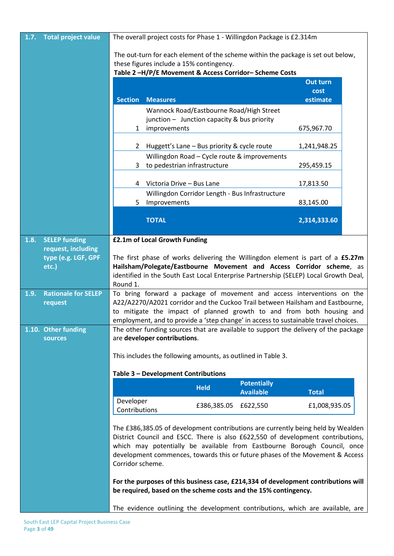| 1.7. | <b>Total project value</b>   |                                                                                                                                                          |                                             |                                                                                         | The overall project costs for Phase 1 - Willingdon Package is £2.314m                                                                                                                                                                                                                                                            |                 |  |
|------|------------------------------|----------------------------------------------------------------------------------------------------------------------------------------------------------|---------------------------------------------|-----------------------------------------------------------------------------------------|----------------------------------------------------------------------------------------------------------------------------------------------------------------------------------------------------------------------------------------------------------------------------------------------------------------------------------|-----------------|--|
|      |                              | The out-turn for each element of the scheme within the package is set out below,                                                                         |                                             |                                                                                         |                                                                                                                                                                                                                                                                                                                                  |                 |  |
|      |                              | these figures include a 15% contingency.                                                                                                                 |                                             |                                                                                         |                                                                                                                                                                                                                                                                                                                                  |                 |  |
|      |                              |                                                                                                                                                          |                                             |                                                                                         | Table 2-H/P/E Movement & Access Corridor-Scheme Costs                                                                                                                                                                                                                                                                            | <b>Out turn</b> |  |
|      |                              |                                                                                                                                                          |                                             |                                                                                         |                                                                                                                                                                                                                                                                                                                                  | cost            |  |
|      |                              | <b>Section</b>                                                                                                                                           | <b>Measures</b>                             |                                                                                         |                                                                                                                                                                                                                                                                                                                                  | estimate        |  |
|      |                              |                                                                                                                                                          |                                             | Wannock Road/Eastbourne Road/High Street<br>junction - Junction capacity & bus priority |                                                                                                                                                                                                                                                                                                                                  |                 |  |
|      |                              | $\mathbf{1}$                                                                                                                                             | improvements                                |                                                                                         |                                                                                                                                                                                                                                                                                                                                  | 675,967.70      |  |
|      |                              | $\mathbf{2}$                                                                                                                                             | Huggett's Lane - Bus priority & cycle route |                                                                                         |                                                                                                                                                                                                                                                                                                                                  | 1,241,948.25    |  |
|      |                              |                                                                                                                                                          |                                             |                                                                                         | Willingdon Road - Cycle route & improvements                                                                                                                                                                                                                                                                                     |                 |  |
|      |                              | 3                                                                                                                                                        | to pedestrian infrastructure                |                                                                                         |                                                                                                                                                                                                                                                                                                                                  | 295,459.15      |  |
|      |                              |                                                                                                                                                          | 4 Victoria Drive - Bus Lane                 |                                                                                         |                                                                                                                                                                                                                                                                                                                                  | 17,813.50       |  |
|      |                              |                                                                                                                                                          |                                             |                                                                                         | Willingdon Corridor Length - Bus Infrastructure                                                                                                                                                                                                                                                                                  |                 |  |
|      |                              | 5.                                                                                                                                                       | Improvements                                |                                                                                         |                                                                                                                                                                                                                                                                                                                                  | 83,145.00       |  |
|      |                              |                                                                                                                                                          | <b>TOTAL</b>                                |                                                                                         |                                                                                                                                                                                                                                                                                                                                  | 2,314,333.60    |  |
| 1.8. | <b>SELEP funding</b>         |                                                                                                                                                          | £2.1m of Local Growth Funding               |                                                                                         |                                                                                                                                                                                                                                                                                                                                  |                 |  |
|      | request, including           |                                                                                                                                                          |                                             |                                                                                         |                                                                                                                                                                                                                                                                                                                                  |                 |  |
|      | type (e.g. LGF, GPF<br>etc.) |                                                                                                                                                          |                                             |                                                                                         | The first phase of works delivering the Willingdon element is part of a £5.27m<br>Hailsham/Polegate/Eastbourne Movement and Access Corridor scheme, as                                                                                                                                                                           |                 |  |
|      |                              |                                                                                                                                                          |                                             |                                                                                         | identified in the South East Local Enterprise Partnership (SELEP) Local Growth Deal,                                                                                                                                                                                                                                             |                 |  |
|      | <b>Rationale for SELEP</b>   | Round 1.                                                                                                                                                 |                                             |                                                                                         |                                                                                                                                                                                                                                                                                                                                  |                 |  |
| 1.9. | request                      | To bring forward a package of movement and access interventions on the<br>A22/A2270/A2021 corridor and the Cuckoo Trail between Hailsham and Eastbourne, |                                             |                                                                                         |                                                                                                                                                                                                                                                                                                                                  |                 |  |
|      |                              |                                                                                                                                                          |                                             |                                                                                         | to mitigate the impact of planned growth to and from both housing and                                                                                                                                                                                                                                                            |                 |  |
|      | 1.10. Other funding          |                                                                                                                                                          |                                             |                                                                                         | employment, and to provide a 'step change' in access to sustainable travel choices.                                                                                                                                                                                                                                              |                 |  |
|      | <b>sources</b>               | The other funding sources that are available to support the delivery of the package<br>are developer contributions.                                      |                                             |                                                                                         |                                                                                                                                                                                                                                                                                                                                  |                 |  |
|      |                              |                                                                                                                                                          |                                             |                                                                                         | This includes the following amounts, as outlined in Table 3.                                                                                                                                                                                                                                                                     |                 |  |
|      |                              |                                                                                                                                                          | Table 3 - Development Contributions         |                                                                                         |                                                                                                                                                                                                                                                                                                                                  |                 |  |
|      |                              |                                                                                                                                                          |                                             | <b>Held</b>                                                                             | <b>Potentially</b>                                                                                                                                                                                                                                                                                                               |                 |  |
|      |                              |                                                                                                                                                          |                                             |                                                                                         | <b>Available</b>                                                                                                                                                                                                                                                                                                                 | <b>Total</b>    |  |
|      |                              | Developer<br>Contributions                                                                                                                               |                                             | £386,385.05                                                                             | £622,550                                                                                                                                                                                                                                                                                                                         | £1,008,935.05   |  |
|      |                              | Corridor scheme.                                                                                                                                         |                                             |                                                                                         | The £386,385.05 of development contributions are currently being held by Wealden<br>District Council and ESCC. There is also £622,550 of development contributions,<br>which may potentially be available from Eastbourne Borough Council, once<br>development commences, towards this or future phases of the Movement & Access |                 |  |
|      |                              |                                                                                                                                                          |                                             |                                                                                         | For the purposes of this business case, £214,334 of development contributions will<br>be required, based on the scheme costs and the 15% contingency.                                                                                                                                                                            |                 |  |
|      |                              |                                                                                                                                                          |                                             |                                                                                         | The evidence outlining the development contributions, which are available, are                                                                                                                                                                                                                                                   |                 |  |

South East LEP Capital Project Business Case Page **3** of **49**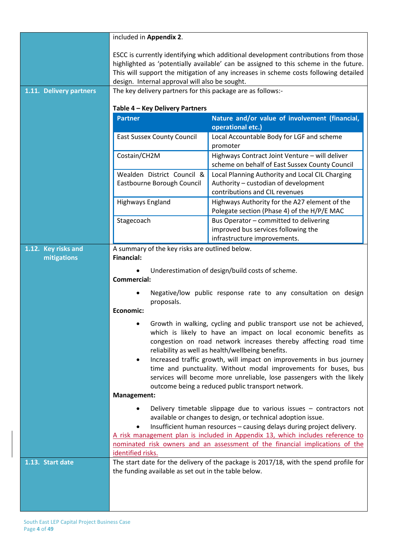|                                    | included in Appendix 2.                                                                                                                                                                                                                                                                                                                                                                                                  |                                                                                                                           |  |
|------------------------------------|--------------------------------------------------------------------------------------------------------------------------------------------------------------------------------------------------------------------------------------------------------------------------------------------------------------------------------------------------------------------------------------------------------------------------|---------------------------------------------------------------------------------------------------------------------------|--|
| 1.11. Delivery partners            | ESCC is currently identifying which additional development contributions from those<br>highlighted as 'potentially available' can be assigned to this scheme in the future.<br>This will support the mitigation of any increases in scheme costs following detailed<br>design. Internal approval will also be sought.<br>The key delivery partners for this package are as follows:-                                     |                                                                                                                           |  |
|                                    |                                                                                                                                                                                                                                                                                                                                                                                                                          |                                                                                                                           |  |
|                                    | Table 4 - Key Delivery Partners                                                                                                                                                                                                                                                                                                                                                                                          |                                                                                                                           |  |
|                                    | <b>Partner</b>                                                                                                                                                                                                                                                                                                                                                                                                           | Nature and/or value of involvement (financial,<br>operational etc.)                                                       |  |
|                                    | <b>East Sussex County Council</b>                                                                                                                                                                                                                                                                                                                                                                                        | Local Accountable Body for LGF and scheme<br>promoter                                                                     |  |
|                                    | Costain/CH2M                                                                                                                                                                                                                                                                                                                                                                                                             | Highways Contract Joint Venture - will deliver<br>scheme on behalf of East Sussex County Council                          |  |
|                                    | Wealden District Council &<br>Eastbourne Borough Council                                                                                                                                                                                                                                                                                                                                                                 | Local Planning Authority and Local CIL Charging<br>Authority - custodian of development<br>contributions and CIL revenues |  |
|                                    | Highways England                                                                                                                                                                                                                                                                                                                                                                                                         | Highways Authority for the A27 element of the<br>Polegate section (Phase 4) of the H/P/E MAC                              |  |
|                                    | Stagecoach                                                                                                                                                                                                                                                                                                                                                                                                               | Bus Operator - committed to delivering<br>improved bus services following the                                             |  |
|                                    |                                                                                                                                                                                                                                                                                                                                                                                                                          | infrastructure improvements.                                                                                              |  |
| 1.12. Key risks and<br>mitigations | A summary of the key risks are outlined below.<br><b>Financial:</b>                                                                                                                                                                                                                                                                                                                                                      |                                                                                                                           |  |
|                                    | <b>Commercial:</b>                                                                                                                                                                                                                                                                                                                                                                                                       | Underestimation of design/build costs of scheme.<br>Negative/low public response rate to any consultation on design       |  |
|                                    | proposals.<br>Economic:                                                                                                                                                                                                                                                                                                                                                                                                  |                                                                                                                           |  |
|                                    | Growth in walking, cycling and public transport use not be achieved,<br>which is likely to have an impact on local economic benefits as<br>congestion on road network increases thereby affecting road time<br>reliability as well as health/wellbeing benefits.                                                                                                                                                         |                                                                                                                           |  |
|                                    | Increased traffic growth, will impact on improvements in bus journey<br>$\bullet$<br>time and punctuality. Without modal improvements for buses, bus<br>services will become more unreliable, lose passengers with the likely<br>outcome being a reduced public transport network.                                                                                                                                       |                                                                                                                           |  |
|                                    | Management:                                                                                                                                                                                                                                                                                                                                                                                                              |                                                                                                                           |  |
|                                    | Delivery timetable slippage due to various issues $-$ contractors not<br>$\bullet$<br>available or changes to design, or technical adoption issue.<br>Insufficient human resources - causing delays during project delivery.<br>٠<br>A risk management plan is included in Appendix 13, which includes reference to<br>nominated risk owners and an assessment of the financial implications of the<br>identified risks. |                                                                                                                           |  |
| 1.13. Start date                   | the funding available as set out in the table below.                                                                                                                                                                                                                                                                                                                                                                     | The start date for the delivery of the package is 2017/18, with the spend profile for                                     |  |
|                                    |                                                                                                                                                                                                                                                                                                                                                                                                                          |                                                                                                                           |  |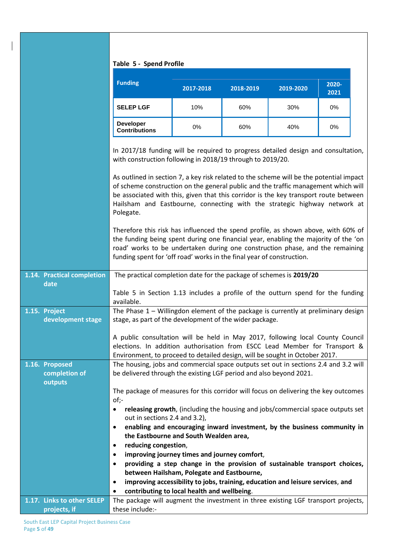|                                            | Table 5 - Spend Profile                                                                                                                                                                                                                                                                                                                                                                                                                                                                                                                                                                                                                                                                                                                                                                                                                                  |                                              |           |                                                                                |               |
|--------------------------------------------|----------------------------------------------------------------------------------------------------------------------------------------------------------------------------------------------------------------------------------------------------------------------------------------------------------------------------------------------------------------------------------------------------------------------------------------------------------------------------------------------------------------------------------------------------------------------------------------------------------------------------------------------------------------------------------------------------------------------------------------------------------------------------------------------------------------------------------------------------------|----------------------------------------------|-----------|--------------------------------------------------------------------------------|---------------|
|                                            | <b>Funding</b>                                                                                                                                                                                                                                                                                                                                                                                                                                                                                                                                                                                                                                                                                                                                                                                                                                           | 2017-2018                                    | 2018-2019 | 2019-2020                                                                      | 2020-<br>2021 |
|                                            | <b>SELEP LGF</b>                                                                                                                                                                                                                                                                                                                                                                                                                                                                                                                                                                                                                                                                                                                                                                                                                                         | 10%                                          | 60%       | 30%                                                                            | $0\%$         |
|                                            | <b>Developer</b><br><b>Contributions</b>                                                                                                                                                                                                                                                                                                                                                                                                                                                                                                                                                                                                                                                                                                                                                                                                                 | 0%                                           | 60%       | 40%                                                                            | 0%            |
|                                            | In 2017/18 funding will be required to progress detailed design and consultation,<br>with construction following in 2018/19 through to 2019/20.<br>As outlined in section 7, a key risk related to the scheme will be the potential impact<br>of scheme construction on the general public and the traffic management which will<br>be associated with this, given that this corridor is the key transport route between<br>Hailsham and Eastbourne, connecting with the strategic highway network at<br>Polegate.<br>Therefore this risk has influenced the spend profile, as shown above, with 60% of<br>the funding being spent during one financial year, enabling the majority of the 'on<br>road' works to be undertaken during one construction phase, and the remaining<br>funding spent for 'off road' works in the final year of construction. |                                              |           |                                                                                |               |
| 1.14. Practical completion                 | The practical completion date for the package of schemes is 2019/20                                                                                                                                                                                                                                                                                                                                                                                                                                                                                                                                                                                                                                                                                                                                                                                      |                                              |           |                                                                                |               |
| date                                       |                                                                                                                                                                                                                                                                                                                                                                                                                                                                                                                                                                                                                                                                                                                                                                                                                                                          |                                              |           |                                                                                |               |
|                                            | Table 5 in Section 1.13 includes a profile of the outturn spend for the funding<br>available.                                                                                                                                                                                                                                                                                                                                                                                                                                                                                                                                                                                                                                                                                                                                                            |                                              |           |                                                                                |               |
| 1.15. Project                              | The Phase $1$ – Willingdon element of the package is currently at preliminary design                                                                                                                                                                                                                                                                                                                                                                                                                                                                                                                                                                                                                                                                                                                                                                     |                                              |           |                                                                                |               |
| development stage                          | stage, as part of the development of the wider package.                                                                                                                                                                                                                                                                                                                                                                                                                                                                                                                                                                                                                                                                                                                                                                                                  |                                              |           |                                                                                |               |
|                                            | A public consultation will be held in May 2017, following local County Council                                                                                                                                                                                                                                                                                                                                                                                                                                                                                                                                                                                                                                                                                                                                                                           |                                              |           |                                                                                |               |
|                                            | elections. In addition authorisation from ESCC Lead Member for Transport &                                                                                                                                                                                                                                                                                                                                                                                                                                                                                                                                                                                                                                                                                                                                                                               |                                              |           |                                                                                |               |
|                                            | Environment, to proceed to detailed design, will be sought in October 2017.                                                                                                                                                                                                                                                                                                                                                                                                                                                                                                                                                                                                                                                                                                                                                                              |                                              |           |                                                                                |               |
| 1.16. Proposed<br>completion of            | The housing, jobs and commercial space outputs set out in sections 2.4 and 3.2 will<br>be delivered through the existing LGF period and also beyond 2021.                                                                                                                                                                                                                                                                                                                                                                                                                                                                                                                                                                                                                                                                                                |                                              |           |                                                                                |               |
| outputs                                    |                                                                                                                                                                                                                                                                                                                                                                                                                                                                                                                                                                                                                                                                                                                                                                                                                                                          |                                              |           |                                                                                |               |
|                                            | The package of measures for this corridor will focus on delivering the key outcomes                                                                                                                                                                                                                                                                                                                                                                                                                                                                                                                                                                                                                                                                                                                                                                      |                                              |           |                                                                                |               |
|                                            | of;-                                                                                                                                                                                                                                                                                                                                                                                                                                                                                                                                                                                                                                                                                                                                                                                                                                                     |                                              |           |                                                                                |               |
|                                            | ٠<br>out in sections 2.4 and 3.2),                                                                                                                                                                                                                                                                                                                                                                                                                                                                                                                                                                                                                                                                                                                                                                                                                       |                                              |           | releasing growth, (including the housing and jobs/commercial space outputs set |               |
|                                            | $\bullet$                                                                                                                                                                                                                                                                                                                                                                                                                                                                                                                                                                                                                                                                                                                                                                                                                                                |                                              |           | enabling and encouraging inward investment, by the business community in       |               |
|                                            |                                                                                                                                                                                                                                                                                                                                                                                                                                                                                                                                                                                                                                                                                                                                                                                                                                                          | the Eastbourne and South Wealden area,       |           |                                                                                |               |
|                                            | reducing congestion,<br>٠                                                                                                                                                                                                                                                                                                                                                                                                                                                                                                                                                                                                                                                                                                                                                                                                                                |                                              |           |                                                                                |               |
|                                            | $\bullet$                                                                                                                                                                                                                                                                                                                                                                                                                                                                                                                                                                                                                                                                                                                                                                                                                                                | improving journey times and journey comfort, |           |                                                                                |               |
|                                            | $\bullet$                                                                                                                                                                                                                                                                                                                                                                                                                                                                                                                                                                                                                                                                                                                                                                                                                                                |                                              |           | providing a step change in the provision of sustainable transport choices,     |               |
|                                            |                                                                                                                                                                                                                                                                                                                                                                                                                                                                                                                                                                                                                                                                                                                                                                                                                                                          | between Hailsham, Polegate and Eastbourne,   |           |                                                                                |               |
|                                            | $\bullet$                                                                                                                                                                                                                                                                                                                                                                                                                                                                                                                                                                                                                                                                                                                                                                                                                                                |                                              |           | improving accessibility to jobs, training, education and leisure services, and |               |
|                                            | $\bullet$                                                                                                                                                                                                                                                                                                                                                                                                                                                                                                                                                                                                                                                                                                                                                                                                                                                | contributing to local health and wellbeing.  |           |                                                                                |               |
| 1.17. Links to other SELEP<br>projects, if | The package will augment the investment in three existing LGF transport projects,<br>these include:-                                                                                                                                                                                                                                                                                                                                                                                                                                                                                                                                                                                                                                                                                                                                                     |                                              |           |                                                                                |               |
|                                            |                                                                                                                                                                                                                                                                                                                                                                                                                                                                                                                                                                                                                                                                                                                                                                                                                                                          |                                              |           |                                                                                |               |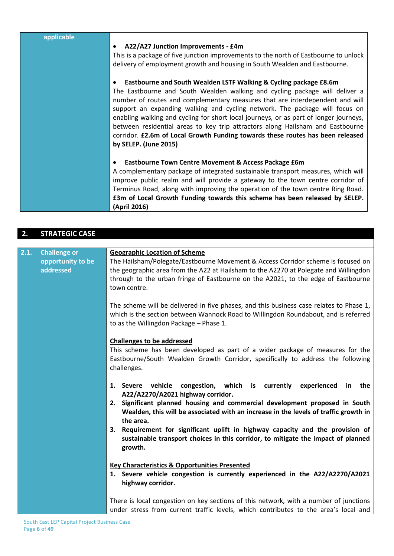| applicable |                                                                                                                                                                      |
|------------|----------------------------------------------------------------------------------------------------------------------------------------------------------------------|
|            | A22/A27 Junction Improvements - £4m                                                                                                                                  |
|            | This is a package of five junction improvements to the north of Eastbourne to unlock                                                                                 |
|            | delivery of employment growth and housing in South Wealden and Eastbourne.                                                                                           |
|            | Eastbourne and South Wealden LSTF Walking & Cycling package £8.6m                                                                                                    |
|            | The Eastbourne and South Wealden walking and cycling package will deliver a                                                                                          |
|            | number of routes and complementary measures that are interdependent and will                                                                                         |
|            | support an expanding walking and cycling network. The package will focus on<br>enabling walking and cycling for short local journeys, or as part of longer journeys, |
|            | between residential areas to key trip attractors along Hailsham and Eastbourne                                                                                       |
|            | corridor. £2.6m of Local Growth Funding towards these routes has been released                                                                                       |
|            | by SELEP. (June 2015)                                                                                                                                                |
|            |                                                                                                                                                                      |
|            | Eastbourne Town Centre Movement & Access Package £6m                                                                                                                 |
|            | A complementary package of integrated sustainable transport measures, which will                                                                                     |
|            | improve public realm and will provide a gateway to the town centre corridor of                                                                                       |
|            | Terminus Road, along with improving the operation of the town centre Ring Road.                                                                                      |
|            | £3m of Local Growth Funding towards this scheme has been released by SELEP.                                                                                          |
|            | (April 2016)                                                                                                                                                         |

# **2. STRATEGIC CASE**

| 2.1. | <b>Challenge or</b>            | <b>Geographic Location of Scheme</b>                                                                                                                                                                                                                                          |
|------|--------------------------------|-------------------------------------------------------------------------------------------------------------------------------------------------------------------------------------------------------------------------------------------------------------------------------|
|      | opportunity to be<br>addressed | The Hailsham/Polegate/Eastbourne Movement & Access Corridor scheme is focused on<br>the geographic area from the A22 at Hailsham to the A2270 at Polegate and Willingdon<br>through to the urban fringe of Eastbourne on the A2021, to the edge of Eastbourne<br>town centre. |
|      |                                | The scheme will be delivered in five phases, and this business case relates to Phase 1,<br>which is the section between Wannock Road to Willingdon Roundabout, and is referred<br>to as the Willingdon Package - Phase 1.                                                     |
|      |                                | <b>Challenges to be addressed</b>                                                                                                                                                                                                                                             |
|      |                                | This scheme has been developed as part of a wider package of measures for the<br>Eastbourne/South Wealden Growth Corridor, specifically to address the following<br>challenges.                                                                                               |
|      |                                | congestion, which is currently experienced<br>vehicle<br>the<br>1. Severe<br>in<br>A22/A2270/A2021 highway corridor.                                                                                                                                                          |
|      |                                | Significant planned housing and commercial development proposed in South<br>2.<br>Wealden, this will be associated with an increase in the levels of traffic growth in<br>the area.                                                                                           |
|      |                                | 3. Requirement for significant uplift in highway capacity and the provision of<br>sustainable transport choices in this corridor, to mitigate the impact of planned<br>growth.                                                                                                |
|      |                                |                                                                                                                                                                                                                                                                               |
|      |                                | <b>Key Characteristics &amp; Opportunities Presented</b><br>1. Severe vehicle congestion is currently experienced in the A22/A2270/A2021<br>highway corridor.                                                                                                                 |
|      |                                | There is local congestion on key sections of this network, with a number of junctions<br>under stress from current traffic levels, which contributes to the area's local and                                                                                                  |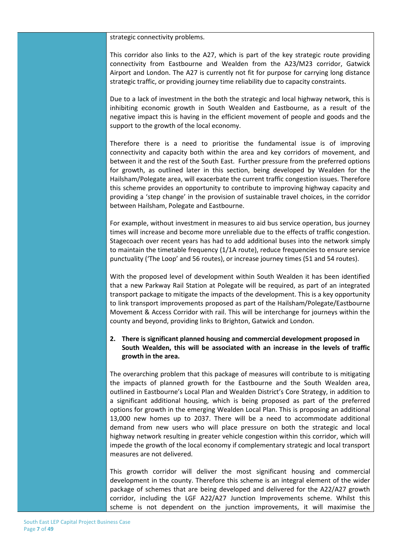#### strategic connectivity problems.

This corridor also links to the A27, which is part of the key strategic route providing connectivity from Eastbourne and Wealden from the A23/M23 corridor, Gatwick Airport and London. The A27 is currently not fit for purpose for carrying long distance strategic traffic, or providing journey time reliability due to capacity constraints.

Due to a lack of investment in the both the strategic and local highway network, this is inhibiting economic growth in South Wealden and Eastbourne, as a result of the negative impact this is having in the efficient movement of people and goods and the support to the growth of the local economy.

Therefore there is a need to prioritise the fundamental issue is of improving connectivity and capacity both within the area and key corridors of movement, and between it and the rest of the South East. Further pressure from the preferred options for growth, as outlined later in this section, being developed by Wealden for the Hailsham/Polegate area, will exacerbate the current traffic congestion issues. Therefore this scheme provides an opportunity to contribute to improving highway capacity and providing a 'step change' in the provision of sustainable travel choices, in the corridor between Hailsham, Polegate and Eastbourne.

For example, without investment in measures to aid bus service operation, bus journey times will increase and become more unreliable due to the effects of traffic congestion. Stagecoach over recent years has had to add additional buses into the network simply to maintain the timetable frequency (1/1A route), reduce frequencies to ensure service punctuality ('The Loop' and 56 routes), or increase journey times (51 and 54 routes).

With the proposed level of development within South Wealden it has been identified that a new Parkway Rail Station at Polegate will be required, as part of an integrated transport package to mitigate the impacts of the development. This is a key opportunity to link transport improvements proposed as part of the Hailsham/Polegate/Eastbourne Movement & Access Corridor with rail. This will be interchange for journeys within the county and beyond, providing links to Brighton, Gatwick and London.

#### **2. There is significant planned housing and commercial development proposed in South Wealden, this will be associated with an increase in the levels of traffic growth in the area.**

The overarching problem that this package of measures will contribute to is mitigating the impacts of planned growth for the Eastbourne and the South Wealden area, outlined in Eastbourne's Local Plan and Wealden District's Core Strategy, in addition to a significant additional housing, which is being proposed as part of the preferred options for growth in the emerging Wealden Local Plan. This is proposing an additional 13,000 new homes up to 2037. There will be a need to accommodate additional demand from new users who will place pressure on both the strategic and local highway network resulting in greater vehicle congestion within this corridor, which will impede the growth of the local economy if complementary strategic and local transport measures are not delivered.

This growth corridor will deliver the most significant housing and commercial development in the county. Therefore this scheme is an integral element of the wider package of schemes that are being developed and delivered for the A22/A27 growth corridor, including the LGF A22/A27 Junction Improvements scheme. Whilst this scheme is not dependent on the junction improvements, it will maximise the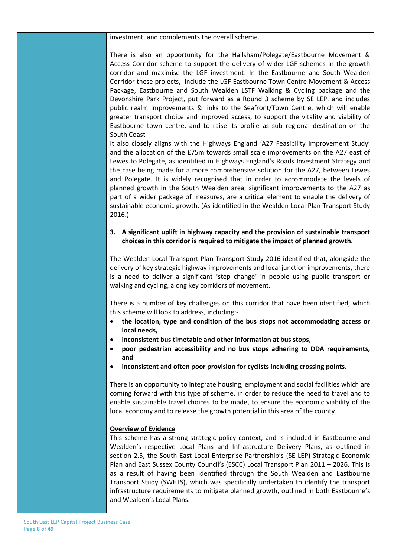investment, and complements the overall scheme.

There is also an opportunity for the Hailsham/Polegate/Eastbourne Movement & Access Corridor scheme to support the delivery of wider LGF schemes in the growth corridor and maximise the LGF investment. In the Eastbourne and South Wealden Corridor these projects, include the LGF Eastbourne Town Centre Movement & Access Package, Eastbourne and South Wealden LSTF Walking & Cycling package and the Devonshire Park Project, put forward as a Round 3 scheme by SE LEP, and includes public realm improvements & links to the Seafront/Town Centre, which will enable greater transport choice and improved access, to support the vitality and viability of Eastbourne town centre, and to raise its profile as sub regional destination on the South Coast

It also closely aligns with the Highways England 'A27 Feasibility Improvement Study' and the allocation of the £75m towards small scale improvements on the A27 east of Lewes to Polegate, as identified in Highways England's Roads Investment Strategy and the case being made for a more comprehensive solution for the A27, between Lewes and Polegate. It is widely recognised that in order to accommodate the levels of planned growth in the South Wealden area, significant improvements to the A27 as part of a wider package of measures, are a critical element to enable the delivery of sustainable economic growth. (As identified in the Wealden Local Plan Transport Study 2016.)

#### **3. A significant uplift in highway capacity and the provision of sustainable transport choices in this corridor is required to mitigate the impact of planned growth.**

The Wealden Local Transport Plan Transport Study 2016 identified that, alongside the delivery of key strategic highway improvements and local junction improvements, there is a need to deliver a significant 'step change' in people using public transport or walking and cycling, along key corridors of movement.

There is a number of key challenges on this corridor that have been identified, which this scheme will look to address, including:-

- **the location, type and condition of the bus stops not accommodating access or local needs,**
- **inconsistent bus timetable and other information at bus stops,**
- **poor pedestrian accessibility and no bus stops adhering to DDA requirements, and**
- **inconsistent and often poor provision for cyclists including crossing points.**

There is an opportunity to integrate housing, employment and social facilities which are coming forward with this type of scheme, in order to reduce the need to travel and to enable sustainable travel choices to be made, to ensure the economic viability of the local economy and to release the growth potential in this area of the county.

#### **Overview of Evidence**

This scheme has a strong strategic policy context, and is included in Eastbourne and Wealden's respective Local Plans and Infrastructure Delivery Plans, as outlined in section 2.5, the South East Local Enterprise Partnership's (SE LEP) Strategic Economic Plan and East Sussex County Council's (ESCC) Local Transport Plan 2011 – 2026. This is as a result of having been identified through the South Wealden and Eastbourne Transport Study (SWETS), which was specifically undertaken to identify the transport infrastructure requirements to mitigate planned growth, outlined in both Eastbourne's and Wealden's Local Plans.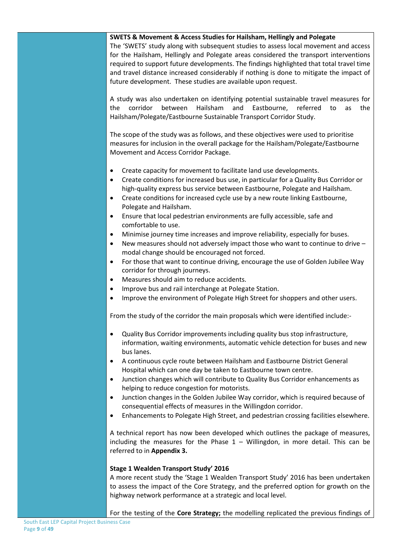#### **SWETS & Movement & Access Studies for Hailsham, Hellingly and Polegate**

The 'SWETS' study along with subsequent studies to assess local movement and access for the Hailsham, Hellingly and Polegate areas considered the transport interventions required to support future developments. The findings highlighted that total travel time and travel distance increased considerably if nothing is done to mitigate the impact of future development. These studies are available upon request.

A study was also undertaken on identifying potential sustainable travel measures for the corridor between Hailsham and Eastbourne, referred to as the Hailsham/Polegate/Eastbourne Sustainable Transport Corridor Study.

The scope of the study was as follows, and these objectives were used to prioritise measures for inclusion in the overall package for the Hailsham/Polegate/Eastbourne Movement and Access Corridor Package.

- Create capacity for movement to facilitate land use developments.
- Create conditions for increased bus use, in particular for a Quality Bus Corridor or high-quality express bus service between Eastbourne, Polegate and Hailsham.
- Create conditions for increased cycle use by a new route linking Eastbourne, Polegate and Hailsham.
- Ensure that local pedestrian environments are fully accessible, safe and comfortable to use.
- Minimise journey time increases and improve reliability, especially for buses.
- New measures should not adversely impact those who want to continue to drive modal change should be encouraged not forced.
- For those that want to continue driving, encourage the use of Golden Jubilee Way corridor for through journeys.
- Measures should aim to reduce accidents.
- Improve bus and rail interchange at Polegate Station.
- Improve the environment of Polegate High Street for shoppers and other users.

From the study of the corridor the main proposals which were identified include:-

- Quality Bus Corridor improvements including quality bus stop infrastructure, information, waiting environments, automatic vehicle detection for buses and new bus lanes.
- A continuous cycle route between Hailsham and Eastbourne District General Hospital which can one day be taken to Eastbourne town centre.
- Junction changes which will contribute to Quality Bus Corridor enhancements as helping to reduce congestion for motorists.
- Junction changes in the Golden Jubilee Way corridor, which is required because of consequential effects of measures in the Willingdon corridor.
- Enhancements to Polegate High Street, and pedestrian crossing facilities elsewhere.

A technical report has now been developed which outlines the package of measures, including the measures for the Phase  $1 -$  Willingdon, in more detail. This can be referred to in **Appendix 3.**

#### **Stage 1 Wealden Transport Study' 2016**

A more recent study the 'Stage 1 Wealden Transport Study' 2016 has been undertaken to assess the impact of the Core Strategy, and the preferred option for growth on the highway network performance at a strategic and local level.

For the testing of the **Core Strategy;** the modelling replicated the previous findings of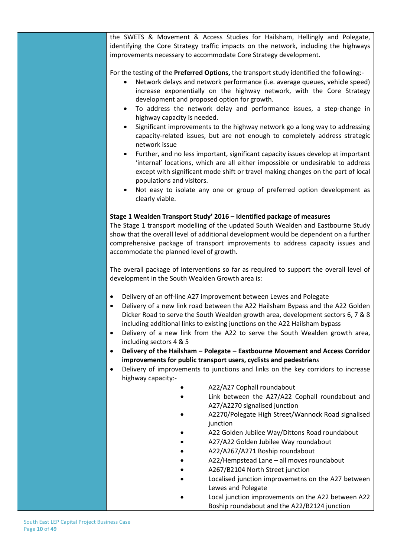the SWETS & Movement & Access Studies for Hailsham, Hellingly and Polegate, identifying the Core Strategy traffic impacts on the network, including the highways improvements necessary to accommodate Core Strategy development.

For the testing of the **Preferred Options,** the transport study identified the following:-

- Network delays and network performance (i.e. average queues, vehicle speed) increase exponentially on the highway network, with the Core Strategy development and proposed option for growth.
- To address the network delay and performance issues, a step-change in highway capacity is needed.
- Significant improvements to the highway network go a long way to addressing capacity-related issues, but are not enough to completely address strategic network issue
- Further, and no less important, significant capacity issues develop at important 'internal' locations, which are all either impossible or undesirable to address except with significant mode shift or travel making changes on the part of local populations and visitors.
- Not easy to isolate any one or group of preferred option development as clearly viable.

#### **Stage 1 Wealden Transport Study' 2016 – Identified package of measures**

The Stage 1 transport modelling of the updated South Wealden and Eastbourne Study show that the overall level of additional development would be dependent on a further comprehensive package of transport improvements to address capacity issues and accommodate the planned level of growth.

The overall package of interventions so far as required to support the overall level of development in the South Wealden Growth area is:

- Delivery of an off-line A27 improvement between Lewes and Polegate
- Delivery of a new link road between the A22 Hailsham Bypass and the A22 Golden Dicker Road to serve the South Wealden growth area, development sectors 6, 7 & 8 including additional links to existing junctions on the A22 Hailsham bypass
- Delivery of a new link from the A22 to serve the South Wealden growth area, including sectors 4 & 5
- **Delivery of the Hailsham – Polegate – Eastbourne Movement and Access Corridor improvements for public transport users, cyclists and pedestrian***s*
- Delivery of improvements to junctions and links on the key corridors to increase highway capacity:-
	- A22/A27 Cophall roundabout
	- Link between the A27/A22 Cophall roundabout and A27/A2270 signalised junction
	- A2270/Polegate High Street/Wannock Road signalised junction
	- A22 Golden Jubilee Way/Dittons Road roundabout
	- A27/A22 Golden Jubilee Way roundabout
	- A22/A267/A271 Boship roundabout
	- A22/Hempstead Lane all moves roundabout
	- A267/B2104 North Street junction
	- Localised junction improvemetns on the A27 between Lewes and Polegate
	- Local junction improvements on the A22 between A22 Boship roundabout and the A22/B2124 junction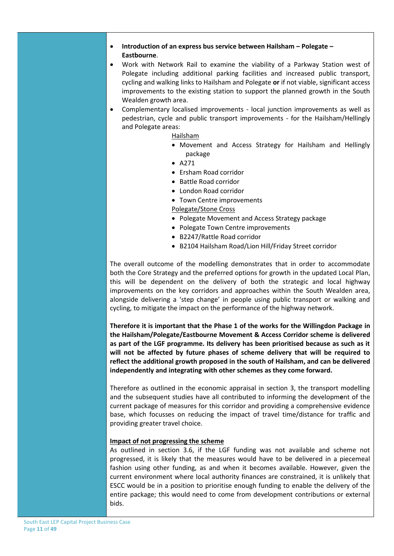#### • **Introduction of an express bus service between Hailsham – Polegate – Eastbourne**.

- Work with Network Rail to examine the viability of a Parkway Station west of Polegate including additional parking facilities and increased public transport, cycling and walking links to Hailsham and Polegate **or** if not viable, significant access improvements to the existing station to support the planned growth in the South Wealden growth area.
- Complementary localised improvements local junction improvements as well as pedestrian, cycle and public transport improvements - for the Hailsham/Hellingly and Polegate areas:

Hailsham

- Movement and Access Strategy for Hailsham and Hellingly package
- A271
- Ersham Road corridor
- Battle Road corridor
- London Road corridor
- Town Centre improvements

Polegate/Stone Cross

- Polegate Movement and Access Strategy package
- Polegate Town Centre improvements
- B2247/Rattle Road corridor
- B2104 Hailsham Road/Lion Hill/Friday Street corridor

The overall outcome of the modelling demonstrates that in order to accommodate both the Core Strategy and the preferred options for growth in the updated Local Plan, this will be dependent on the delivery of both the strategic and local highway improvements on the key corridors and approaches within the South Wealden area, alongside delivering a 'step change' in people using public transport or walking and cycling, to mitigate the impact on the performance of the highway network.

**Therefore it is important that the Phase 1 of the works for the Willingdon Package in the Hailsham/Polegate/Eastbourne Movement & Access Corridor scheme is delivered as part of the LGF programme. Its delivery has been prioritised because as such as it will not be affected by future phases of scheme delivery that will be required to reflect the additional growth proposed in the south of Hailsham, and can be delivered independently and integrating with other schemes as they come forward.**

Therefore as outlined in the economic appraisal in section 3, the transport modelling and the subsequent studies have all contributed to informing the developm**e**nt of the current package of measures for this corridor and providing a comprehensive evidence base, which focusses on reducing the impact of travel time/distance for traffic and providing greater travel choice.

#### **Impact of not progressing the scheme**

As outlined in section 3.6, if the LGF funding was not available and scheme not progressed, it is likely that the measures would have to be delivered in a piecemeal fashion using other funding, as and when it becomes available. However, given the current environment where local authority finances are constrained, it is unlikely that ESCC would be in a position to prioritise enough funding to enable the delivery of the entire package; this would need to come from development contributions or external bids.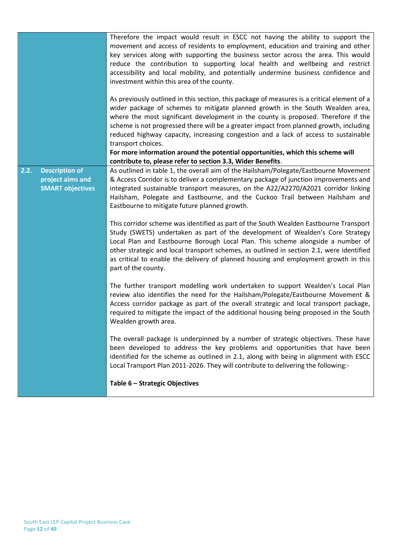|      |                                                                      | Therefore the impact would result in ESCC not having the ability to support the<br>movement and access of residents to employment, education and training and other<br>key services along with supporting the business sector across the area. This would<br>reduce the contribution to supporting local health and wellbeing and restrict<br>accessibility and local mobility, and potentially undermine business confidence and<br>investment within this area of the county.<br>As previously outlined in this section, this package of measures is a critical element of a<br>wider package of schemes to mitigate planned growth in the South Wealden area,<br>where the most significant development in the county is proposed. Therefore if the<br>scheme is not progressed there will be a greater impact from planned growth, including<br>reduced highway capacity, increasing congestion and a lack of access to sustainable<br>transport choices. |
|------|----------------------------------------------------------------------|---------------------------------------------------------------------------------------------------------------------------------------------------------------------------------------------------------------------------------------------------------------------------------------------------------------------------------------------------------------------------------------------------------------------------------------------------------------------------------------------------------------------------------------------------------------------------------------------------------------------------------------------------------------------------------------------------------------------------------------------------------------------------------------------------------------------------------------------------------------------------------------------------------------------------------------------------------------|
|      |                                                                      | For more information around the potential opportunities, which this scheme will<br>contribute to, please refer to section 3.3, Wider Benefits.                                                                                                                                                                                                                                                                                                                                                                                                                                                                                                                                                                                                                                                                                                                                                                                                                |
| 2.2. | <b>Description of</b><br>project aims and<br><b>SMART objectives</b> | As outlined in table 1, the overall aim of the Hailsham/Polegate/Eastbourne Movement<br>& Access Corridor is to deliver a complementary package of junction improvements and<br>integrated sustainable transport measures, on the A22/A2270/A2021 corridor linking<br>Hailsham, Polegate and Eastbourne, and the Cuckoo Trail between Hailsham and<br>Eastbourne to mitigate future planned growth.                                                                                                                                                                                                                                                                                                                                                                                                                                                                                                                                                           |
|      |                                                                      | This corridor scheme was identified as part of the South Wealden Eastbourne Transport<br>Study (SWETS) undertaken as part of the development of Wealden's Core Strategy<br>Local Plan and Eastbourne Borough Local Plan. This scheme alongside a number of<br>other strategic and local transport schemes, as outlined in section 2.1, were identified<br>as critical to enable the delivery of planned housing and employment growth in this<br>part of the county.                                                                                                                                                                                                                                                                                                                                                                                                                                                                                          |
|      |                                                                      | The further transport modelling work undertaken to support Wealden's Local Plan<br>review also identifies the need for the Hailsham/Polegate/Eastbourne Movement &<br>Access corridor package as part of the overall strategic and local transport package,<br>required to mitigate the impact of the additional housing being proposed in the South<br>Wealden growth area.                                                                                                                                                                                                                                                                                                                                                                                                                                                                                                                                                                                  |
|      |                                                                      | The overall package is underpinned by a number of strategic objectives. These have<br>been developed to address the key problems and opportunities that have been<br>identified for the scheme as outlined in 2.1, along with being in alignment with ESCC<br>Local Transport Plan 2011-2026. They will contribute to delivering the following:-                                                                                                                                                                                                                                                                                                                                                                                                                                                                                                                                                                                                              |
|      |                                                                      | Table 6 - Strategic Objectives                                                                                                                                                                                                                                                                                                                                                                                                                                                                                                                                                                                                                                                                                                                                                                                                                                                                                                                                |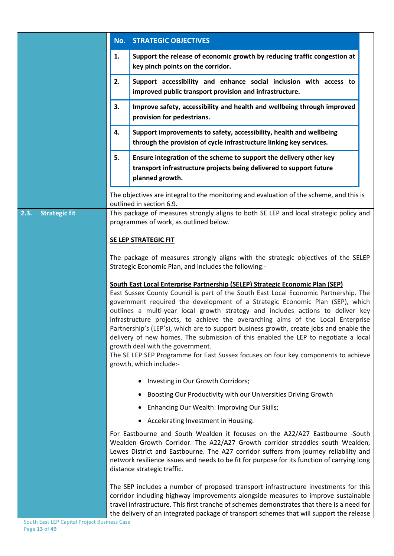|                              | <b>STRATEGIC OBJECTIVES</b><br>No.                                                                                                                                                                                                                                                                                                                                                                                                                                                                                                                                                                                                                                                                                                                                  |                                                                                                                                            |  |  |
|------------------------------|---------------------------------------------------------------------------------------------------------------------------------------------------------------------------------------------------------------------------------------------------------------------------------------------------------------------------------------------------------------------------------------------------------------------------------------------------------------------------------------------------------------------------------------------------------------------------------------------------------------------------------------------------------------------------------------------------------------------------------------------------------------------|--------------------------------------------------------------------------------------------------------------------------------------------|--|--|
|                              | 1.                                                                                                                                                                                                                                                                                                                                                                                                                                                                                                                                                                                                                                                                                                                                                                  | Support the release of economic growth by reducing traffic congestion at<br>key pinch points on the corridor.                              |  |  |
|                              | 2.                                                                                                                                                                                                                                                                                                                                                                                                                                                                                                                                                                                                                                                                                                                                                                  | Support accessibility and enhance social inclusion with access to<br>improved public transport provision and infrastructure.               |  |  |
|                              | 3.                                                                                                                                                                                                                                                                                                                                                                                                                                                                                                                                                                                                                                                                                                                                                                  | Improve safety, accessibility and health and wellbeing through improved<br>provision for pedestrians.                                      |  |  |
|                              | 4.                                                                                                                                                                                                                                                                                                                                                                                                                                                                                                                                                                                                                                                                                                                                                                  | Support improvements to safety, accessibility, health and wellbeing<br>through the provision of cycle infrastructure linking key services. |  |  |
|                              | 5.<br>Ensure integration of the scheme to support the delivery other key<br>transport infrastructure projects being delivered to support future<br>planned growth.                                                                                                                                                                                                                                                                                                                                                                                                                                                                                                                                                                                                  |                                                                                                                                            |  |  |
|                              |                                                                                                                                                                                                                                                                                                                                                                                                                                                                                                                                                                                                                                                                                                                                                                     | The objectives are integral to the monitoring and evaluation of the scheme, and this is<br>outlined in section 6.9.                        |  |  |
| <b>Strategic fit</b><br>2.3. |                                                                                                                                                                                                                                                                                                                                                                                                                                                                                                                                                                                                                                                                                                                                                                     | This package of measures strongly aligns to both SE LEP and local strategic policy and<br>programmes of work, as outlined below.           |  |  |
|                              |                                                                                                                                                                                                                                                                                                                                                                                                                                                                                                                                                                                                                                                                                                                                                                     | <b>SE LEP STRATEGIC FIT</b>                                                                                                                |  |  |
|                              | The package of measures strongly aligns with the strategic objectives of the SELEP<br>Strategic Economic Plan, and includes the following:-                                                                                                                                                                                                                                                                                                                                                                                                                                                                                                                                                                                                                         |                                                                                                                                            |  |  |
|                              | South East Local Enterprise Partnership (SELEP) Strategic Economic Plan (SEP)<br>East Sussex County Council is part of the South East Local Economic Partnership. The<br>government required the development of a Strategic Economic Plan (SEP), which<br>outlines a multi-year local growth strategy and includes actions to deliver key<br>infrastructure projects, to achieve the overarching aims of the Local Enterprise<br>Partnership's (LEP's), which are to support business growth, create jobs and enable the<br>delivery of new homes. The submission of this enabled the LEP to negotiate a local<br>growth deal with the government.<br>The SE LEP SEP Programme for East Sussex focuses on four key components to achieve<br>growth, which include:- |                                                                                                                                            |  |  |
|                              |                                                                                                                                                                                                                                                                                                                                                                                                                                                                                                                                                                                                                                                                                                                                                                     | Investing in Our Growth Corridors;                                                                                                         |  |  |
|                              |                                                                                                                                                                                                                                                                                                                                                                                                                                                                                                                                                                                                                                                                                                                                                                     | Boosting Our Productivity with our Universities Driving Growth                                                                             |  |  |
|                              |                                                                                                                                                                                                                                                                                                                                                                                                                                                                                                                                                                                                                                                                                                                                                                     | Enhancing Our Wealth: Improving Our Skills;                                                                                                |  |  |
|                              |                                                                                                                                                                                                                                                                                                                                                                                                                                                                                                                                                                                                                                                                                                                                                                     | Accelerating Investment in Housing.<br>$\bullet$                                                                                           |  |  |
|                              | For Eastbourne and South Wealden it focuses on the A22/A27 Eastbourne -South<br>Wealden Growth Corridor. The A22/A27 Growth corridor straddles south Wealden,<br>Lewes District and Eastbourne. The A27 corridor suffers from journey reliability and<br>network resilience issues and needs to be fit for purpose for its function of carrying long<br>distance strategic traffic.<br>The SEP includes a number of proposed transport infrastructure investments for this<br>corridor including highway improvements alongside measures to improve sustainable<br>travel infrastructure. This first tranche of schemes demonstrates that there is a need for                                                                                                       |                                                                                                                                            |  |  |
|                              |                                                                                                                                                                                                                                                                                                                                                                                                                                                                                                                                                                                                                                                                                                                                                                     |                                                                                                                                            |  |  |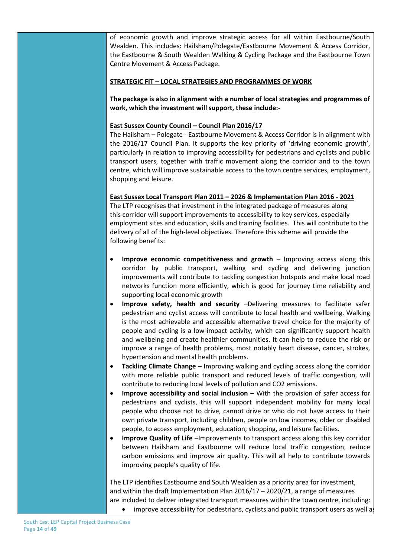of economic growth and improve strategic access for all within Eastbourne/South Wealden. This includes: Hailsham/Polegate/Eastbourne Movement & Access Corridor, the Eastbourne & South Wealden Walking & Cycling Package and the Eastbourne Town Centre Movement & Access Package.

#### **STRATEGIC FIT – LOCAL STRATEGIES AND PROGRAMMES OF WORK**

**The package is also in alignment with a number of local strategies and programmes of work, which the investment will support, these include:-**

#### **East Sussex County Council – Council Plan 2016/17**

The Hailsham – Polegate - Eastbourne Movement & Access Corridor is in alignment with the 2016/17 Council Plan. It supports the key priority of 'driving economic growth', particularly in relation to improving accessibility for pedestrians and cyclists and public transport users, together with traffic movement along the corridor and to the town centre, which will improve sustainable access to the town centre services, employment, shopping and leisure.

#### **East Sussex Local Transport Plan 2011 – 2026 & Implementation Plan 2016 - 2021**

The LTP recognises that investment in the integrated package of measures along this corridor will support improvements to accessibility to key services, especially employment sites and education, skills and training facilities. This will contribute to the delivery of all of the high-level objectives. Therefore this scheme will provide the following benefits:

- **Improve economic competitiveness and growth** Improving access along this corridor by public transport, walking and cycling and delivering junction improvements will contribute to tackling congestion hotspots and make local road networks function more efficiently, which is good for journey time reliability and supporting local economic growth
- **Improve safety, health and security** –Delivering measures to facilitate safer pedestrian and cyclist access will contribute to local health and wellbeing. Walking is the most achievable and accessible alternative travel choice for the majority of people and cycling is a low-impact activity, which can significantly support health and wellbeing and create healthier communities. It can help to reduce the risk or improve a range of health problems, most notably heart disease, cancer, strokes, hypertension and mental health problems.
- **Tackling Climate Change** Improving walking and cycling access along the corridor with more reliable public transport and reduced levels of traffic congestion, will contribute to reducing local levels of pollution and CO2 emissions.
- **Improve accessibility and social inclusion** With the provision of safer access for pedestrians and cyclists, this will support independent mobility for many local people who choose not to drive, cannot drive or who do not have access to their own private transport, including children, people on low incomes, older or disabled people, to access employment, education, shopping, and leisure facilities.
- **Improve Quality of Life** –Improvements to transport access along this key corridor between Hailsham and Eastbourne will reduce local traffic congestion, reduce carbon emissions and improve air quality. This will all help to contribute towards improving people's quality of life.

The LTP identifies Eastbourne and South Wealden as a priority area for investment, and within the draft Implementation Plan 2016/17 – 2020/21, a range of measures are included to deliver integrated transport measures within the town centre, including: improve accessibility for pedestrians, cyclists and public transport users as well as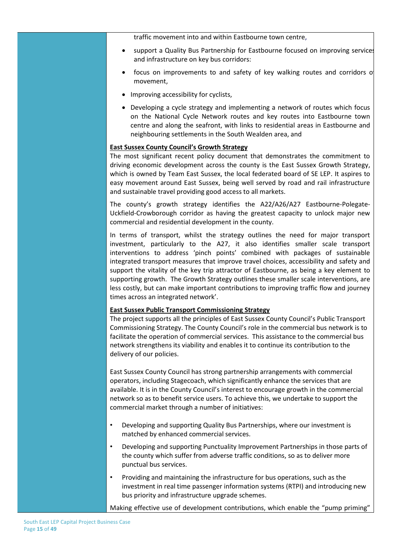traffic movement into and within Eastbourne town centre,

- support a Quality Bus Partnership for Eastbourne focused on improving services and infrastructure on key bus corridors:
- focus on improvements to and safety of key walking routes and corridors of movement,
- Improving accessibility for cyclists,
- Developing a cycle strategy and implementing a network of routes which focus on the National Cycle Network routes and key routes into Eastbourne town centre and along the seafront, with links to residential areas in Eastbourne and neighbouring settlements in the South Wealden area, and

#### **East Sussex County Council's Growth Strategy**

The most significant recent policy document that demonstrates the commitment to driving economic development across the county is the East Sussex Growth Strategy, which is owned by Team East Sussex, the local federated board of SE LEP. It aspires to easy movement around East Sussex, being well served by road and rail infrastructure and sustainable travel providing good access to all markets.

The county's growth strategy identifies the A22/A26/A27 Eastbourne-Polegate-Uckfield-Crowborough corridor as having the greatest capacity to unlock major new commercial and residential development in the county.

In terms of transport, whilst the strategy outlines the need for major transport investment, particularly to the A27, it also identifies smaller scale transport interventions to address 'pinch points' combined with packages of sustainable integrated transport measures that improve travel choices, accessibility and safety and support the vitality of the key trip attractor of Eastbourne, as being a key element to supporting growth. The Growth Strategy outlines these smaller scale interventions, are less costly, but can make important contributions to improving traffic flow and journey times across an integrated network'.

#### **East Sussex Public Transport Commissioning Strategy**

The project supports all the principles of East Sussex County Council's Public Transport Commissioning Strategy. The County Council's role in the commercial bus network is to facilitate the operation of commercial services. This assistance to the commercial bus network strengthens its viability and enables it to continue its contribution to the delivery of our policies.

East Sussex County Council has strong partnership arrangements with commercial operators, including Stagecoach, which significantly enhance the services that are available. It is in the County Council's interest to encourage growth in the commercial network so as to benefit service users. To achieve this, we undertake to support the commercial market through a number of initiatives:

- Developing and supporting Quality Bus Partnerships, where our investment is matched by enhanced commercial services.
- Developing and supporting Punctuality Improvement Partnerships in those parts of the county which suffer from adverse traffic conditions, so as to deliver more punctual bus services.
- Providing and maintaining the infrastructure for bus operations, such as the investment in real time passenger information systems (RTPI) and introducing new bus priority and infrastructure upgrade schemes.

Making effective use of development contributions, which enable the "pump priming"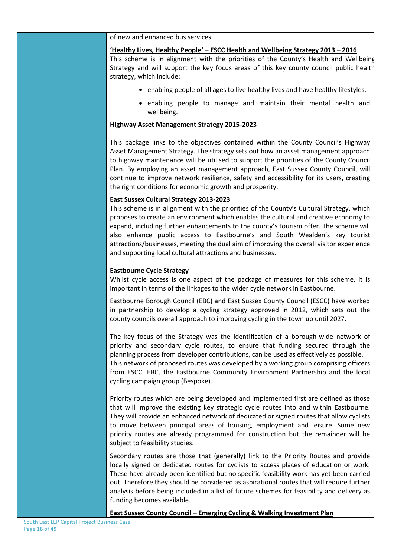of new and enhanced bus services

#### **'Healthy Lives, Healthy People' – ESCC Health and Wellbeing Strategy 2013 – 2016**

This scheme is in alignment with the priorities of the County's Health and Wellbeing Strategy and will support the key focus areas of this key county council public health strategy, which include:

- enabling people of all ages to live healthy lives and have healthy lifestyles,
- enabling people to manage and maintain their mental health and wellbeing.

#### **Highway Asset Management Strategy 2015-2023**

This package links to the objectives contained within the County Council's Highway Asset Management Strategy. The strategy sets out how an asset management approach to highway maintenance will be utilised to support the priorities of the County Council Plan. By employing an asset management approach, East Sussex County Council, will continue to improve network resilience, safety and accessibility for its users, creating the right conditions for economic growth and prosperity.

#### **East Sussex Cultural Strategy 2013-2023**

This scheme is in alignment with the priorities of the County's Cultural Strategy, which proposes to create an environment which enables the cultural and creative economy to expand, including further enhancements to the county's tourism offer. The scheme will also enhance public access to Eastbourne's and South Wealden's key tourist attractions/businesses, meeting the dual aim of improving the overall visitor experience and supporting local cultural attractions and businesses.

#### **Eastbourne Cycle Strategy**

Whilst cycle access is one aspect of the package of measures for this scheme, it is important in terms of the linkages to the wider cycle network in Eastbourne.

Eastbourne Borough Council (EBC) and East Sussex County Council (ESCC) have worked in partnership to develop a cycling strategy approved in 2012, which sets out the county councils overall approach to improving cycling in the town up until 2027.

The key focus of the Strategy was the identification of a borough-wide network of priority and secondary cycle routes, to ensure that funding secured through the planning process from developer contributions, can be used as effectively as possible. This network of proposed routes was developed by a working group comprising officers from ESCC, EBC, the Eastbourne Community Environment Partnership and the local cycling campaign group (Bespoke).

Priority routes which are being developed and implemented first are defined as those that will improve the existing key strategic cycle routes into and within Eastbourne. They will provide an enhanced network of dedicated or signed routes that allow cyclists to move between principal areas of housing, employment and leisure. Some new priority routes are already programmed for construction but the remainder will be subject to feasibility studies.

Secondary routes are those that (generally) link to the Priority Routes and provide locally signed or dedicated routes for cyclists to access places of education or work. These have already been identified but no specific feasibility work has yet been carried out. Therefore they should be considered as aspirational routes that will require further analysis before being included in a list of future schemes for feasibility and delivery as funding becomes available.

#### **East Sussex County Council – Emerging Cycling & Walking Investment Plan**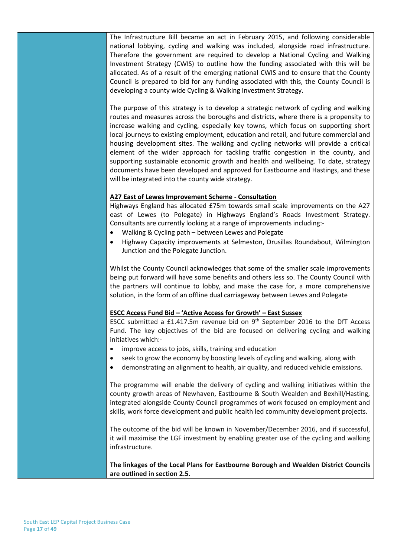The Infrastructure Bill became an act in February 2015, and following considerable national lobbying, cycling and walking was included, alongside road infrastructure. Therefore the government are required to develop a National Cycling and Walking Investment Strategy (CWIS) to outline how the funding associated with this will be allocated. As of a result of the emerging national CWIS and to ensure that the County Council is prepared to bid for any funding associated with this, the County Council is developing a county wide Cycling & Walking Investment Strategy.

The purpose of this strategy is to develop a strategic network of cycling and walking routes and measures across the boroughs and districts, where there is a propensity to increase walking and cycling, especially key towns, which focus on supporting short local journeys to existing employment, education and retail, and future commercial and housing development sites. The walking and cycling networks will provide a critical element of the wider approach for tackling traffic congestion in the county, and supporting sustainable economic growth and health and wellbeing. To date, strategy documents have been developed and approved for Eastbourne and Hastings, and these will be integrated into the county wide strategy.

#### **A27 East of Lewes Improvement Scheme - Consultation**

Highways England has allocated £75m towards small scale improvements on the A27 east of Lewes (to Polegate) in Highways England's Roads Investment Strategy. Consultants are currently looking at a range of improvements including:-

- Walking & Cycling path between Lewes and Polegate
- Highway Capacity improvements at Selmeston, Drusillas Roundabout, Wilmington Junction and the Polegate Junction.

Whilst the County Council acknowledges that some of the smaller scale improvements being put forward will have some benefits and others less so. The County Council with the partners will continue to lobby, and make the case for, a more comprehensive solution, in the form of an offline dual carriageway between Lewes and Polegate

#### **ESCC Access Fund Bid – 'Active Access for Growth' – East Sussex**

ESCC submitted a  $£1.417.5m$  revenue bid on  $9<sup>th</sup>$  September 2016 to the DfT Access Fund. The key objectives of the bid are focused on delivering cycling and walking initiatives which:-

- improve access to jobs, skills, training and education
- seek to grow the economy by boosting levels of cycling and walking, along with
- demonstrating an alignment to health, air quality, and reduced vehicle emissions.

The programme will enable the delivery of cycling and walking initiatives within the county growth areas of Newhaven, Eastbourne & South Wealden and Bexhill/Hasting, integrated alongside County Council programmes of work focused on employment and skills, work force development and public health led community development projects.

The outcome of the bid will be known in November/December 2016, and if successful, it will maximise the LGF investment by enabling greater use of the cycling and walking infrastructure.

**The linkages of the Local Plans for Eastbourne Borough and Wealden District Councils are outlined in section 2.5.**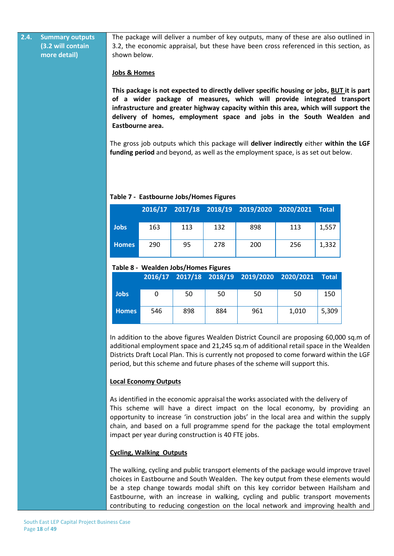**2.4. Summary outputs (3.2 will contain more detail)**

The package will deliver a number of key outputs, many of these are also outlined in 3.2, the economic appraisal, but these have been cross referenced in this section, as shown below.

#### **Jobs & Homes**

**This package is not expected to directly deliver specific housing or jobs, BUT it is part of a wider package of measures, which will provide integrated transport infrastructure and greater highway capacity within this area, which will support the delivery of homes, employment space and jobs in the South Wealden and Eastbourne area.**

The gross job outputs which this package will **deliver indirectly** either **within the LGF funding period** and beyond, as well as the employment space, is as set out below.

# **2016/17 2017/18 2018/19 2019/2020 2020/2021 Total Jobs** 163 113 132 898 113 1,557 **Homes** 290 95 278 200 256 1,332

#### **Table 7 - Eastbourne Jobs/Homes Figures**

#### **Table 8 - Wealden Jobs/Homes Figures**

|              |     |     |     | 2016/17 2017/18 2018/19 2019/2020 2020/2021 |       | Total |
|--------------|-----|-----|-----|---------------------------------------------|-------|-------|
| <b>Jobs</b>  | 0   | 50  | 50  | 50                                          | 50    | 150   |
| <b>Homes</b> | 546 | 898 | 884 | 961                                         | 1,010 | 5,309 |

In addition to the above figures Wealden District Council are proposing 60,000 sq.m of additional employment space and 21,245 sq.m of additional retail space in the Wealden Districts Draft Local Plan. This is currently not proposed to come forward within the LGF period, but this scheme and future phases of the scheme will support this.

#### **Local Economy Outputs**

As identified in the economic appraisal the works associated with the delivery of This scheme will have a direct impact on the local economy, by providing an opportunity to increase 'in construction jobs' in the local area and within the supply chain, and based on a full programme spend for the package the total employment impact per year during construction is 40 FTE jobs.

#### **Cycling, Walking Outputs**

The walking, cycling and public transport elements of the package would improve travel choices in Eastbourne and South Wealden. The key output from these elements would be a step change towards modal shift on this key corridor between Hailsham and Eastbourne, with an increase in walking, cycling and public transport movements contributing to reducing congestion on the local network and improving health and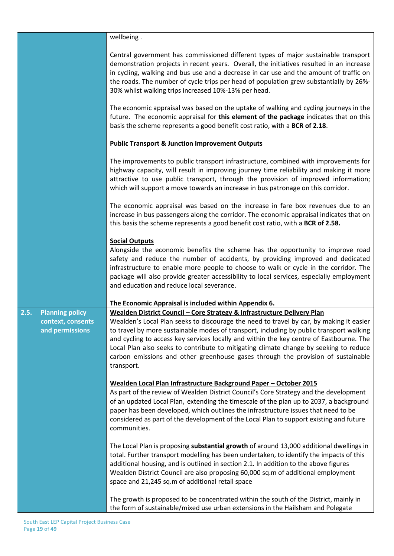|                                                                        | wellbeing.                                                                                                                                                                                                                                                                                                                                                                                                                                                                                                                                          |
|------------------------------------------------------------------------|-----------------------------------------------------------------------------------------------------------------------------------------------------------------------------------------------------------------------------------------------------------------------------------------------------------------------------------------------------------------------------------------------------------------------------------------------------------------------------------------------------------------------------------------------------|
|                                                                        | Central government has commissioned different types of major sustainable transport<br>demonstration projects in recent years. Overall, the initiatives resulted in an increase<br>in cycling, walking and bus use and a decrease in car use and the amount of traffic on<br>the roads. The number of cycle trips per head of population grew substantially by 26%-<br>30% whilst walking trips increased 10%-13% per head.                                                                                                                          |
|                                                                        | The economic appraisal was based on the uptake of walking and cycling journeys in the<br>future. The economic appraisal for this element of the package indicates that on this<br>basis the scheme represents a good benefit cost ratio, with a BCR of 2.18.                                                                                                                                                                                                                                                                                        |
|                                                                        | <b>Public Transport &amp; Junction Improvement Outputs</b>                                                                                                                                                                                                                                                                                                                                                                                                                                                                                          |
|                                                                        | The improvements to public transport infrastructure, combined with improvements for<br>highway capacity, will result in improving journey time reliability and making it more<br>attractive to use public transport, through the provision of improved information;<br>which will support a move towards an increase in bus patronage on this corridor.                                                                                                                                                                                             |
|                                                                        | The economic appraisal was based on the increase in fare box revenues due to an<br>increase in bus passengers along the corridor. The economic appraisal indicates that on<br>this basis the scheme represents a good benefit cost ratio, with a BCR of 2.58.                                                                                                                                                                                                                                                                                       |
|                                                                        | <b>Social Outputs</b><br>Alongside the economic benefits the scheme has the opportunity to improve road<br>safety and reduce the number of accidents, by providing improved and dedicated<br>infrastructure to enable more people to choose to walk or cycle in the corridor. The<br>package will also provide greater accessibility to local services, especially employment<br>and education and reduce local severance.                                                                                                                          |
|                                                                        | The Economic Appraisal is included within Appendix 6.                                                                                                                                                                                                                                                                                                                                                                                                                                                                                               |
| <b>Planning policy</b><br>2.5.<br>context, consents<br>and permissions | Wealden District Council - Core Strategy & Infrastructure Delivery Plan<br>Wealden's Local Plan seeks to discourage the need to travel by car, by making it easier<br>to travel by more sustainable modes of transport, including by public transport walking<br>and cycling to access key services locally and within the key centre of Eastbourne. The<br>Local Plan also seeks to contribute to mitigating climate change by seeking to reduce<br>carbon emissions and other greenhouse gases through the provision of sustainable<br>transport. |
|                                                                        | <u> Wealden Local Plan Infrastructure Background Paper - October 2015</u><br>As part of the review of Wealden District Council's Core Strategy and the development<br>of an updated Local Plan, extending the timescale of the plan up to 2037, a background<br>paper has been developed, which outlines the infrastructure issues that need to be<br>considered as part of the development of the Local Plan to support existing and future<br>communities.                                                                                        |
|                                                                        | The Local Plan is proposing substantial growth of around 13,000 additional dwellings in<br>total. Further transport modelling has been undertaken, to identify the impacts of this<br>additional housing, and is outlined in section 2.1. In addition to the above figures<br>Wealden District Council are also proposing 60,000 sq.m of additional employment<br>space and 21,245 sq.m of additional retail space                                                                                                                                  |
|                                                                        | The growth is proposed to be concentrated within the south of the District, mainly in<br>the form of sustainable/mixed use urban extensions in the Hailsham and Polegate                                                                                                                                                                                                                                                                                                                                                                            |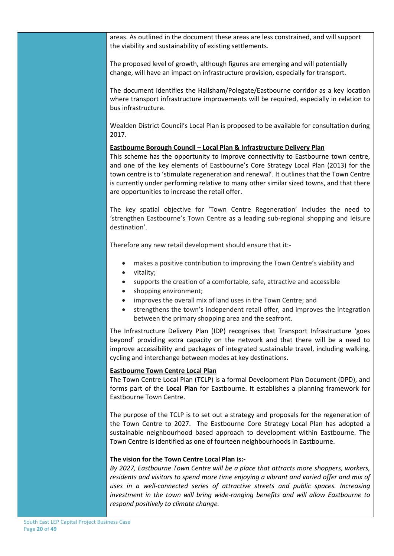areas. As outlined in the document these areas are less constrained, and will support the viability and sustainability of existing settlements.

The proposed level of growth, although figures are emerging and will potentially change, will have an impact on infrastructure provision, especially for transport.

The document identifies the Hailsham/Polegate/Eastbourne corridor as a key location where transport infrastructure improvements will be required, especially in relation to bus infrastructure.

Wealden District Council's Local Plan is proposed to be available for consultation during 2017.

#### **Eastbourne Borough Council – Local Plan & Infrastructure Delivery Plan**

This scheme has the opportunity to improve connectivity to Eastbourne town centre, and one of the key elements of Eastbourne's Core Strategy Local Plan (2013) for the town centre is to 'stimulate regeneration and renewal'. It outlines that the Town Centre is currently under performing relative to many other similar sized towns, and that there are opportunities to increase the retail offer.

The key spatial objective for 'Town Centre Regeneration' includes the need to 'strengthen Eastbourne's Town Centre as a leading sub-regional shopping and leisure destination'.

Therefore any new retail development should ensure that it:-

- makes a positive contribution to improving the Town Centre's viability and
- vitality;
- supports the creation of a comfortable, safe, attractive and accessible
- shopping environment;
- improves the overall mix of land uses in the Town Centre; and
- strengthens the town's independent retail offer, and improves the integration between the primary shopping area and the seafront.

The Infrastructure Delivery Plan (IDP) recognises that Transport Infrastructure 'goes beyond' providing extra capacity on the network and that there will be a need to improve accessibility and packages of integrated sustainable travel, including walking, cycling and interchange between modes at key destinations.

#### **Eastbourne Town Centre Local Plan**

The Town Centre Local Plan (TCLP) is a formal Development Plan Document (DPD), and forms part of the **Local Plan** for Eastbourne. It establishes a planning framework for Eastbourne Town Centre.

The purpose of the TCLP is to set out a strategy and proposals for the regeneration of the Town Centre to 2027. The Eastbourne Core Strategy Local Plan has adopted a sustainable neighbourhood based approach to development within Eastbourne. The Town Centre is identified as one of fourteen neighbourhoods in Eastbourne.

#### **The vision for the Town Centre Local Plan is:-**

*By 2027, Eastbourne Town Centre will be a place that attracts more shoppers, workers, residents and visitors to spend more time enjoying a vibrant and varied offer and mix of uses in a well-connected series of attractive streets and public spaces. Increasing investment in the town will bring wide-ranging benefits and will allow Eastbourne to respond positively to climate change.*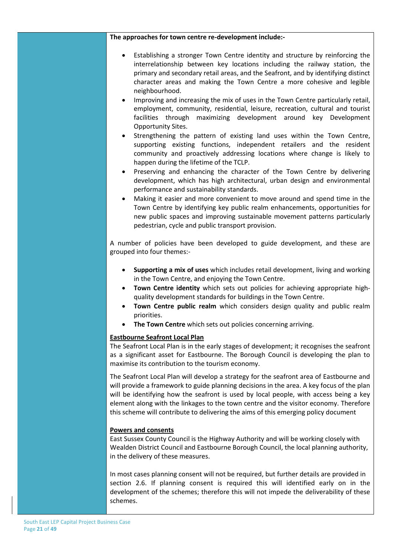**The approaches for town centre re-development include:-**

- Establishing a stronger Town Centre identity and structure by reinforcing the interrelationship between key locations including the railway station, the primary and secondary retail areas, and the Seafront, and by identifying distinct character areas and making the Town Centre a more cohesive and legible neighbourhood.
- Improving and increasing the mix of uses in the Town Centre particularly retail, employment, community, residential, leisure, recreation, cultural and tourist facilities through maximizing development around key Development Opportunity Sites.
- Strengthening the pattern of existing land uses within the Town Centre, supporting existing functions, independent retailers and the resident community and proactively addressing locations where change is likely to happen during the lifetime of the TCLP.
- Preserving and enhancing the character of the Town Centre by delivering development, which has high architectural, urban design and environmental performance and sustainability standards.
- Making it easier and more convenient to move around and spend time in the Town Centre by identifying key public realm enhancements, opportunities for new public spaces and improving sustainable movement patterns particularly pedestrian, cycle and public transport provision.

A number of policies have been developed to guide development, and these are grouped into four themes:-

- **Supporting a mix of uses** which includes retail development, living and working in the Town Centre, and enjoying the Town Centre.
- **Town Centre identity** which sets out policies for achieving appropriate highquality development standards for buildings in the Town Centre.
- **Town Centre public realm** which considers design quality and public realm priorities.
- **The Town Centre** which sets out policies concerning arriving.

#### **Eastbourne Seafront Local Plan**

The Seafront Local Plan is in the early stages of development; it recognises the seafront as a significant asset for Eastbourne. The Borough Council is developing the plan to maximise its contribution to the tourism economy.

The Seafront Local Plan will develop a strategy for the seafront area of Eastbourne and will provide a framework to guide planning decisions in the area. A key focus of the plan will be identifying how the seafront is used by local people, with access being a key element along with the linkages to the town centre and the visitor economy. Therefore this scheme will contribute to delivering the aims of this emerging policy document

#### **Powers and consents**

East Sussex County Council is the Highway Authority and will be working closely with Wealden District Council and Eastbourne Borough Council, the local planning authority, in the delivery of these measures.

In most cases planning consent will not be required, but further details are provided in section 2.6. If planning consent is required this will identified early on in the development of the schemes; therefore this will not impede the deliverability of these schemes.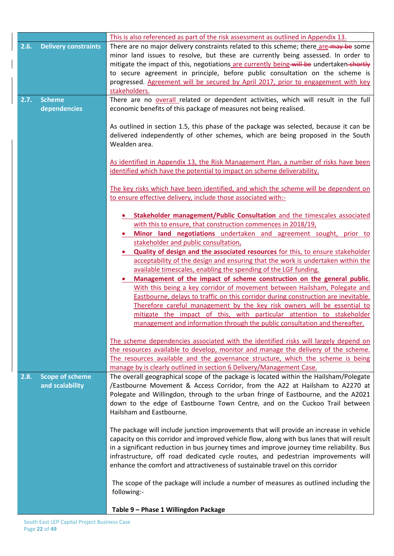|      |                                           | This is also referenced as part of the risk assessment as outlined in Appendix 13.                                                                                                                                                                                                                                                                                                                                                                                                                                                                                                                                                                                                                                                                                                                                                                                                                                                                                            |
|------|-------------------------------------------|-------------------------------------------------------------------------------------------------------------------------------------------------------------------------------------------------------------------------------------------------------------------------------------------------------------------------------------------------------------------------------------------------------------------------------------------------------------------------------------------------------------------------------------------------------------------------------------------------------------------------------------------------------------------------------------------------------------------------------------------------------------------------------------------------------------------------------------------------------------------------------------------------------------------------------------------------------------------------------|
| 2.6. | <b>Delivery constraints</b>               | There are no major delivery constraints related to this scheme; there are-may be some<br>minor land issues to resolve, but these are currently being assessed. In order to<br>mitigate the impact of this, negotiations are currently being-will be undertaken-shortly<br>to secure agreement in principle, before public consultation on the scheme is                                                                                                                                                                                                                                                                                                                                                                                                                                                                                                                                                                                                                       |
|      |                                           | progressed. Agreement will be secured by April 2017, prior to engagement with key<br>stakeholders.                                                                                                                                                                                                                                                                                                                                                                                                                                                                                                                                                                                                                                                                                                                                                                                                                                                                            |
| 2.7. | <b>Scheme</b><br>dependencies             | There are no overall related or dependent activities, which will result in the full<br>economic benefits of this package of measures not being realised.                                                                                                                                                                                                                                                                                                                                                                                                                                                                                                                                                                                                                                                                                                                                                                                                                      |
|      |                                           | As outlined in section 1.5, this phase of the package was selected, because it can be<br>delivered independently of other schemes, which are being proposed in the South<br>Wealden area.                                                                                                                                                                                                                                                                                                                                                                                                                                                                                                                                                                                                                                                                                                                                                                                     |
|      |                                           | As identified in Appendix 13, the Risk Management Plan, a number of risks have been<br>identified which have the potential to impact on scheme deliverability.                                                                                                                                                                                                                                                                                                                                                                                                                                                                                                                                                                                                                                                                                                                                                                                                                |
|      |                                           | The key risks which have been identified, and which the scheme will be dependent on<br>to ensure effective delivery, include those associated with:-                                                                                                                                                                                                                                                                                                                                                                                                                                                                                                                                                                                                                                                                                                                                                                                                                          |
|      |                                           | Stakeholder management/Public Consultation and the timescales associated<br>with this to ensure, that construction commences in 2018/19,<br>Minor land negotiations undertaken and agreement sought, prior to<br>stakeholder and public consultation,<br>Quality of design and the associated resources for this, to ensure stakeholder<br>acceptability of the design and ensuring that the work is undertaken within the<br>available timescales, enabling the spending of the LGF funding.<br>Management of the impact of scheme construction on the general public.<br>With this being a key corridor of movement between Hailsham, Polegate and<br>Eastbourne, delays to traffic on this corridor during construction are inevitable.<br>Therefore careful management by the key risk owners will be essential to<br>mitigate the impact of this, with particular attention to stakeholder<br>management and information through the public consultation and thereafter. |
|      |                                           | The scheme dependencies associated with the identified risks will largely depend on<br>the resources available to develop, monitor and manage the delivery of the scheme.<br>The resources available and the governance structure, which the scheme is being<br>manage by is clearly outlined in section 6 Delivery/Management Case.                                                                                                                                                                                                                                                                                                                                                                                                                                                                                                                                                                                                                                          |
| 2.8. | <b>Scope of scheme</b><br>and scalability | The overall geographical scope of the package is located within the Hailsham/Polegate<br>/Eastbourne Movement & Access Corridor, from the A22 at Hailsham to A2270 at<br>Polegate and Willingdon, through to the urban fringe of Eastbourne, and the A2021<br>down to the edge of Eastbourne Town Centre, and on the Cuckoo Trail between<br>Hailsham and Eastbourne.                                                                                                                                                                                                                                                                                                                                                                                                                                                                                                                                                                                                         |
|      |                                           | The package will include junction improvements that will provide an increase in vehicle<br>capacity on this corridor and improved vehicle flow, along with bus lanes that will result<br>in a significant reduction in bus journey times and improve journey time reliability. Bus<br>infrastructure, off road dedicated cycle routes, and pedestrian improvements will<br>enhance the comfort and attractiveness of sustainable travel on this corridor                                                                                                                                                                                                                                                                                                                                                                                                                                                                                                                      |
|      |                                           | The scope of the package will include a number of measures as outlined including the<br>following:-                                                                                                                                                                                                                                                                                                                                                                                                                                                                                                                                                                                                                                                                                                                                                                                                                                                                           |
|      |                                           | Table 9 - Phase 1 Willingdon Package                                                                                                                                                                                                                                                                                                                                                                                                                                                                                                                                                                                                                                                                                                                                                                                                                                                                                                                                          |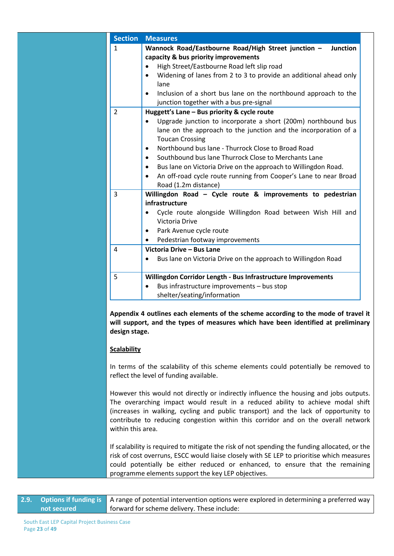| <b>Section</b>                                                                                                                                                                                                                                                                                                                                                            | <b>Measures</b>                                                                                                                                                                                                                                                                                                                   |  |  |
|---------------------------------------------------------------------------------------------------------------------------------------------------------------------------------------------------------------------------------------------------------------------------------------------------------------------------------------------------------------------------|-----------------------------------------------------------------------------------------------------------------------------------------------------------------------------------------------------------------------------------------------------------------------------------------------------------------------------------|--|--|
| 1                                                                                                                                                                                                                                                                                                                                                                         | Wannock Road/Eastbourne Road/High Street junction -<br><b>Junction</b>                                                                                                                                                                                                                                                            |  |  |
|                                                                                                                                                                                                                                                                                                                                                                           | capacity & bus priority improvements                                                                                                                                                                                                                                                                                              |  |  |
|                                                                                                                                                                                                                                                                                                                                                                           | High Street/Eastbourne Road left slip road                                                                                                                                                                                                                                                                                        |  |  |
|                                                                                                                                                                                                                                                                                                                                                                           | Widening of lanes from 2 to 3 to provide an additional ahead only<br>٠                                                                                                                                                                                                                                                            |  |  |
|                                                                                                                                                                                                                                                                                                                                                                           | lane                                                                                                                                                                                                                                                                                                                              |  |  |
|                                                                                                                                                                                                                                                                                                                                                                           | Inclusion of a short bus lane on the northbound approach to the                                                                                                                                                                                                                                                                   |  |  |
|                                                                                                                                                                                                                                                                                                                                                                           | junction together with a bus pre-signal                                                                                                                                                                                                                                                                                           |  |  |
| 2                                                                                                                                                                                                                                                                                                                                                                         | Huggett's Lane - Bus priority & cycle route                                                                                                                                                                                                                                                                                       |  |  |
|                                                                                                                                                                                                                                                                                                                                                                           | Upgrade junction to incorporate a short (200m) northbound bus<br>lane on the approach to the junction and the incorporation of a<br><b>Toucan Crossing</b>                                                                                                                                                                        |  |  |
|                                                                                                                                                                                                                                                                                                                                                                           | Northbound bus lane - Thurrock Close to Broad Road<br>٠                                                                                                                                                                                                                                                                           |  |  |
|                                                                                                                                                                                                                                                                                                                                                                           | Southbound bus lane Thurrock Close to Merchants Lane<br>$\bullet$                                                                                                                                                                                                                                                                 |  |  |
|                                                                                                                                                                                                                                                                                                                                                                           | Bus lane on Victoria Drive on the approach to Willingdon Road.<br>٠                                                                                                                                                                                                                                                               |  |  |
|                                                                                                                                                                                                                                                                                                                                                                           | An off-road cycle route running from Cooper's Lane to near Broad                                                                                                                                                                                                                                                                  |  |  |
|                                                                                                                                                                                                                                                                                                                                                                           | Road (1.2m distance)                                                                                                                                                                                                                                                                                                              |  |  |
| 3                                                                                                                                                                                                                                                                                                                                                                         | Willingdon Road - Cycle route & improvements to pedestrian<br>infrastructure                                                                                                                                                                                                                                                      |  |  |
|                                                                                                                                                                                                                                                                                                                                                                           | Cycle route alongside Willingdon Road between Wish Hill and                                                                                                                                                                                                                                                                       |  |  |
|                                                                                                                                                                                                                                                                                                                                                                           | Victoria Drive                                                                                                                                                                                                                                                                                                                    |  |  |
|                                                                                                                                                                                                                                                                                                                                                                           | Park Avenue cycle route<br>٠                                                                                                                                                                                                                                                                                                      |  |  |
|                                                                                                                                                                                                                                                                                                                                                                           | Pedestrian footway improvements                                                                                                                                                                                                                                                                                                   |  |  |
| 4                                                                                                                                                                                                                                                                                                                                                                         | Victoria Drive - Bus Lane                                                                                                                                                                                                                                                                                                         |  |  |
|                                                                                                                                                                                                                                                                                                                                                                           | Bus lane on Victoria Drive on the approach to Willingdon Road                                                                                                                                                                                                                                                                     |  |  |
|                                                                                                                                                                                                                                                                                                                                                                           |                                                                                                                                                                                                                                                                                                                                   |  |  |
| 5                                                                                                                                                                                                                                                                                                                                                                         | Willingdon Corridor Length - Bus Infrastructure Improvements                                                                                                                                                                                                                                                                      |  |  |
|                                                                                                                                                                                                                                                                                                                                                                           | Bus infrastructure improvements - bus stop                                                                                                                                                                                                                                                                                        |  |  |
|                                                                                                                                                                                                                                                                                                                                                                           | shelter/seating/information                                                                                                                                                                                                                                                                                                       |  |  |
| design stage.                                                                                                                                                                                                                                                                                                                                                             | Appendix 4 outlines each elements of the scheme according to the mode of travel it<br>will support, and the types of measures which have been identified at preliminary                                                                                                                                                           |  |  |
| <b>Scalability</b>                                                                                                                                                                                                                                                                                                                                                        |                                                                                                                                                                                                                                                                                                                                   |  |  |
| In terms of the scalability of this scheme elements could potentially be removed to<br>reflect the level of funding available.                                                                                                                                                                                                                                            |                                                                                                                                                                                                                                                                                                                                   |  |  |
| However this would not directly or indirectly influence the housing and jobs outputs.<br>The overarching impact would result in a reduced ability to achieve modal shift<br>(increases in walking, cycling and public transport) and the lack of opportunity to<br>contribute to reducing congestion within this corridor and on the overall network<br>within this area. |                                                                                                                                                                                                                                                                                                                                   |  |  |
|                                                                                                                                                                                                                                                                                                                                                                           | If scalability is required to mitigate the risk of not spending the funding allocated, or the<br>risk of cost overruns, ESCC would liaise closely with SE LEP to prioritise which measures<br>could potentially be either reduced or enhanced, to ensure that the remaining<br>programme elements support the key LEP objectives. |  |  |

|             | 2.9. Options if funding is A range of potential intervention options were explored in determining a preferred way |  |  |  |
|-------------|-------------------------------------------------------------------------------------------------------------------|--|--|--|
| not secured | forward for scheme delivery. These include:                                                                       |  |  |  |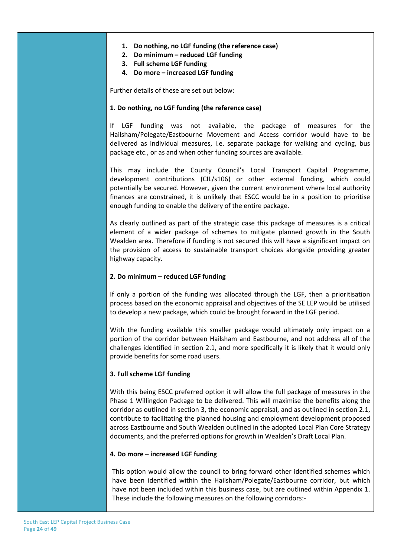#### **1. Do nothing, no LGF funding (the reference case)**

- **2. Do minimum – reduced LGF funding**
- **3. Full scheme LGF funding**
- **4. Do more – increased LGF funding**

Further details of these are set out below:

#### **1. Do nothing, no LGF funding (the reference case)**

If LGF funding was not available, the package of measures for the Hailsham/Polegate/Eastbourne Movement and Access corridor would have to be delivered as individual measures, i.e. separate package for walking and cycling, bus package etc., or as and when other funding sources are available.

This may include the County Council's Local Transport Capital Programme, development contributions (CIL/s106) or other external funding, which could potentially be secured. However, given the current environment where local authority finances are constrained, it is unlikely that ESCC would be in a position to prioritise enough funding to enable the delivery of the entire package.

As clearly outlined as part of the strategic case this package of measures is a critical element of a wider package of schemes to mitigate planned growth in the South Wealden area. Therefore if funding is not secured this will have a significant impact on the provision of access to sustainable transport choices alongside providing greater highway capacity.

#### **2. Do minimum – reduced LGF funding**

If only a portion of the funding was allocated through the LGF, then a prioritisation process based on the economic appraisal and objectives of the SE LEP would be utilised to develop a new package, which could be brought forward in the LGF period.

With the funding available this smaller package would ultimately only impact on a portion of the corridor between Hailsham and Eastbourne, and not address all of the challenges identified in section 2.1, and more specifically it is likely that it would only provide benefits for some road users.

#### **3. Full scheme LGF funding**

With this being ESCC preferred option it will allow the full package of measures in the Phase 1 Willingdon Package to be delivered. This will maximise the benefits along the corridor as outlined in section 3, the economic appraisal, and as outlined in section 2.1, contribute to facilitating the planned housing and employment development proposed across Eastbourne and South Wealden outlined in the adopted Local Plan Core Strategy documents, and the preferred options for growth in Wealden's Draft Local Plan.

#### **4. Do more – increased LGF funding**

This option would allow the council to bring forward other identified schemes which have been identified within the Hailsham/Polegate/Eastbourne corridor, but which have not been included within this business case, but are outlined within Appendix 1. These include the following measures on the following corridors:-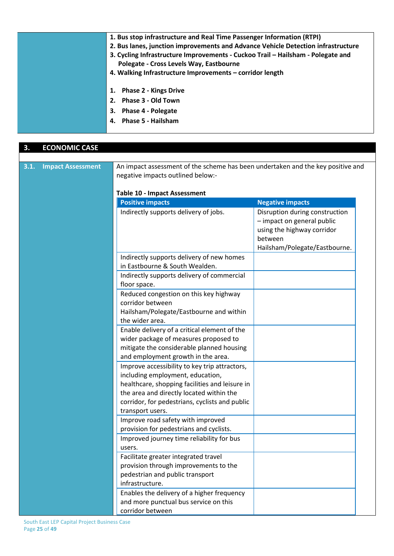| 1. Bus stop infrastructure and Real Time Passenger Information (RTPI)            |
|----------------------------------------------------------------------------------|
| 2. Bus lanes, junction improvements and Advance Vehicle Detection infrastructure |
| 3. Cycling Infrastructure Improvements - Cuckoo Trail - Hailsham - Polegate and  |
| Polegate - Cross Levels Way, Eastbourne                                          |
| 4. Walking Infrastructure Improvements - corridor length                         |
|                                                                                  |
| 1. Phase 2 - Kings Drive                                                         |
| 2. Phase 3 - Old Town                                                            |
| 3. Phase 4 - Polegate                                                            |
| 4. Phase 5 - Hailsham                                                            |
|                                                                                  |

| 3.1.<br><b>Impact Assessment</b> | negative impacts outlined below:-                                                                                                                                                                                                                     | An impact assessment of the scheme has been undertaken and the key positive and                                                        |  |  |  |  |
|----------------------------------|-------------------------------------------------------------------------------------------------------------------------------------------------------------------------------------------------------------------------------------------------------|----------------------------------------------------------------------------------------------------------------------------------------|--|--|--|--|
|                                  | <b>Table 10 - Impact Assessment</b><br><b>Positive impacts</b>                                                                                                                                                                                        | <b>Negative impacts</b>                                                                                                                |  |  |  |  |
|                                  | Indirectly supports delivery of jobs.                                                                                                                                                                                                                 | Disruption during construction<br>- impact on general public<br>using the highway corridor<br>between<br>Hailsham/Polegate/Eastbourne. |  |  |  |  |
|                                  | Indirectly supports delivery of new homes<br>in Eastbourne & South Wealden.                                                                                                                                                                           |                                                                                                                                        |  |  |  |  |
|                                  | Indirectly supports delivery of commercial<br>floor space.                                                                                                                                                                                            |                                                                                                                                        |  |  |  |  |
|                                  | Reduced congestion on this key highway<br>corridor between<br>Hailsham/Polegate/Eastbourne and within<br>the wider area.                                                                                                                              |                                                                                                                                        |  |  |  |  |
|                                  | Enable delivery of a critical element of the<br>wider package of measures proposed to<br>mitigate the considerable planned housing<br>and employment growth in the area.                                                                              |                                                                                                                                        |  |  |  |  |
|                                  | Improve accessibility to key trip attractors,<br>including employment, education,<br>healthcare, shopping facilities and leisure in<br>the area and directly located within the<br>corridor, for pedestrians, cyclists and public<br>transport users. |                                                                                                                                        |  |  |  |  |
|                                  | Improve road safety with improved<br>provision for pedestrians and cyclists.<br>Improved journey time reliability for bus                                                                                                                             |                                                                                                                                        |  |  |  |  |
|                                  | users.<br>Facilitate greater integrated travel<br>provision through improvements to the<br>pedestrian and public transport<br>infrastructure.                                                                                                         |                                                                                                                                        |  |  |  |  |
|                                  | Enables the delivery of a higher frequency<br>and more punctual bus service on this<br>corridor between                                                                                                                                               |                                                                                                                                        |  |  |  |  |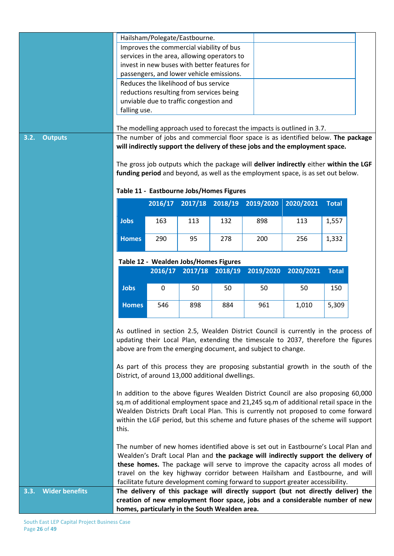|                               |                                                                                                                                                                     |         | Hailsham/Polegate/Eastbourne.                            |                                                  |                                                                                       |           |              |  |
|-------------------------------|---------------------------------------------------------------------------------------------------------------------------------------------------------------------|---------|----------------------------------------------------------|--------------------------------------------------|---------------------------------------------------------------------------------------|-----------|--------------|--|
|                               |                                                                                                                                                                     |         | Improves the commercial viability of bus                 |                                                  |                                                                                       |           |              |  |
|                               | services in the area, allowing operators to                                                                                                                         |         |                                                          |                                                  |                                                                                       |           |              |  |
|                               | invest in new buses with better features for                                                                                                                        |         |                                                          |                                                  |                                                                                       |           |              |  |
|                               | passengers, and lower vehicle emissions.                                                                                                                            |         |                                                          |                                                  |                                                                                       |           |              |  |
|                               |                                                                                                                                                                     |         | Reduces the likelihood of bus service                    |                                                  |                                                                                       |           |              |  |
|                               |                                                                                                                                                                     |         | reductions resulting from services being                 |                                                  |                                                                                       |           |              |  |
|                               |                                                                                                                                                                     |         | unviable due to traffic congestion and                   |                                                  |                                                                                       |           |              |  |
|                               | falling use.                                                                                                                                                        |         |                                                          |                                                  |                                                                                       |           |              |  |
|                               |                                                                                                                                                                     |         |                                                          |                                                  |                                                                                       |           |              |  |
|                               |                                                                                                                                                                     |         |                                                          |                                                  | The modelling approach used to forecast the impacts is outlined in 3.7.               |           |              |  |
| 3.2.<br><b>Outputs</b>        |                                                                                                                                                                     |         |                                                          |                                                  | The number of jobs and commercial floor space is as identified below. The package     |           |              |  |
|                               |                                                                                                                                                                     |         |                                                          |                                                  | will indirectly support the delivery of these jobs and the employment space.          |           |              |  |
|                               |                                                                                                                                                                     |         |                                                          |                                                  |                                                                                       |           |              |  |
|                               |                                                                                                                                                                     |         |                                                          |                                                  | The gross job outputs which the package will deliver indirectly either within the LGF |           |              |  |
|                               |                                                                                                                                                                     |         |                                                          |                                                  | funding period and beyond, as well as the employment space, is as set out below.      |           |              |  |
|                               |                                                                                                                                                                     |         |                                                          |                                                  |                                                                                       |           |              |  |
|                               |                                                                                                                                                                     |         |                                                          | Table 11 - Eastbourne Jobs/Homes Figures         |                                                                                       |           |              |  |
|                               |                                                                                                                                                                     | 2016/17 | 2017/18                                                  | 2018/19                                          | 2019/2020                                                                             | 2020/2021 | <b>Total</b> |  |
|                               |                                                                                                                                                                     |         |                                                          |                                                  |                                                                                       |           |              |  |
|                               | <b>Jobs</b>                                                                                                                                                         | 163     | 113                                                      | 132                                              | 898                                                                                   | 113       | 1,557        |  |
|                               |                                                                                                                                                                     |         |                                                          |                                                  |                                                                                       |           |              |  |
|                               | <b>Homes</b>                                                                                                                                                        | 290     | 95                                                       | 278                                              | 200                                                                                   | 256       | 1,332        |  |
|                               |                                                                                                                                                                     |         |                                                          |                                                  |                                                                                       |           |              |  |
|                               |                                                                                                                                                                     |         |                                                          |                                                  |                                                                                       |           |              |  |
|                               |                                                                                                                                                                     |         | Table 12 - Wealden Jobs/Homes Figures<br>2016/17 2017/18 | 2018/19                                          | 2019/2020                                                                             | 2020/2021 | <b>Total</b> |  |
|                               |                                                                                                                                                                     |         |                                                          |                                                  |                                                                                       |           |              |  |
|                               | <b>Jobs</b>                                                                                                                                                         | 0       | 50                                                       | 50                                               | 50                                                                                    | 50        | 150          |  |
|                               |                                                                                                                                                                     |         |                                                          |                                                  |                                                                                       |           |              |  |
|                               | <b>Homes</b>                                                                                                                                                        | 546     | 898                                                      | 884                                              | 961                                                                                   | 1,010     | 5,309        |  |
|                               |                                                                                                                                                                     |         |                                                          |                                                  |                                                                                       |           |              |  |
|                               |                                                                                                                                                                     |         |                                                          |                                                  |                                                                                       |           |              |  |
|                               |                                                                                                                                                                     |         |                                                          |                                                  | As outlined in section 2.5, Wealden District Council is currently in the process of   |           |              |  |
|                               |                                                                                                                                                                     |         |                                                          |                                                  | updating their Local Plan, extending the timescale to 2037, therefore the figures     |           |              |  |
|                               |                                                                                                                                                                     |         |                                                          |                                                  | above are from the emerging document, and subject to change.                          |           |              |  |
|                               |                                                                                                                                                                     |         |                                                          |                                                  |                                                                                       |           |              |  |
|                               |                                                                                                                                                                     |         |                                                          |                                                  | As part of this process they are proposing substantial growth in the south of the     |           |              |  |
|                               |                                                                                                                                                                     |         |                                                          | District, of around 13,000 additional dwellings. |                                                                                       |           |              |  |
|                               |                                                                                                                                                                     |         |                                                          |                                                  |                                                                                       |           |              |  |
|                               |                                                                                                                                                                     |         |                                                          |                                                  | In addition to the above figures Wealden District Council are also proposing 60,000   |           |              |  |
|                               |                                                                                                                                                                     |         |                                                          |                                                  | sq.m of additional employment space and 21,245 sq.m of additional retail space in the |           |              |  |
|                               |                                                                                                                                                                     |         |                                                          |                                                  | Wealden Districts Draft Local Plan. This is currently not proposed to come forward    |           |              |  |
|                               |                                                                                                                                                                     |         |                                                          |                                                  | within the LGF period, but this scheme and future phases of the scheme will support   |           |              |  |
|                               | this.                                                                                                                                                               |         |                                                          |                                                  |                                                                                       |           |              |  |
|                               |                                                                                                                                                                     |         |                                                          |                                                  |                                                                                       |           |              |  |
|                               | The number of new homes identified above is set out in Eastbourne's Local Plan and                                                                                  |         |                                                          |                                                  |                                                                                       |           |              |  |
|                               | Wealden's Draft Local Plan and the package will indirectly support the delivery of                                                                                  |         |                                                          |                                                  |                                                                                       |           |              |  |
|                               | these homes. The package will serve to improve the capacity across all modes of                                                                                     |         |                                                          |                                                  |                                                                                       |           |              |  |
|                               | travel on the key highway corridor between Hailsham and Eastbourne, and will                                                                                        |         |                                                          |                                                  |                                                                                       |           |              |  |
|                               | facilitate future development coming forward to support greater accessibility.<br>The delivery of this package will directly support (but not directly deliver) the |         |                                                          |                                                  |                                                                                       |           |              |  |
| <b>Wider benefits</b><br>3.3. |                                                                                                                                                                     |         |                                                          |                                                  |                                                                                       |           |              |  |
|                               |                                                                                                                                                                     |         |                                                          |                                                  | creation of new employment floor space, jobs and a considerable number of new         |           |              |  |
|                               | homes, particularly in the South Wealden area.                                                                                                                      |         |                                                          |                                                  |                                                                                       |           |              |  |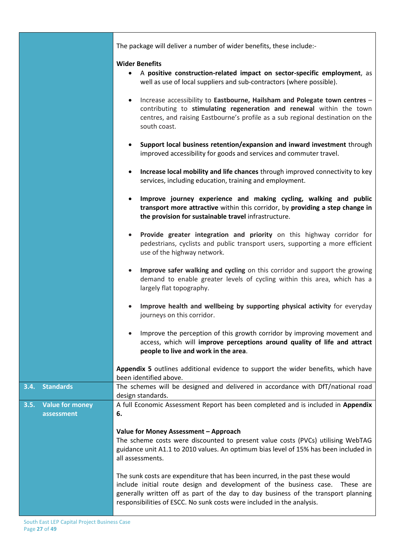|                                              | The package will deliver a number of wider benefits, these include:-                                                                                                                                                                                                                                                           |
|----------------------------------------------|--------------------------------------------------------------------------------------------------------------------------------------------------------------------------------------------------------------------------------------------------------------------------------------------------------------------------------|
|                                              | <b>Wider Benefits</b><br>A positive construction-related impact on sector-specific employment, as<br>well as use of local suppliers and sub-contractors (where possible).                                                                                                                                                      |
|                                              | Increase accessibility to Eastbourne, Hailsham and Polegate town centres -<br>$\bullet$<br>contributing to stimulating regeneration and renewal within the town<br>centres, and raising Eastbourne's profile as a sub regional destination on the<br>south coast.                                                              |
|                                              | Support local business retention/expansion and inward investment through<br>$\bullet$<br>improved accessibility for goods and services and commuter travel.                                                                                                                                                                    |
|                                              | Increase local mobility and life chances through improved connectivity to key<br>$\bullet$<br>services, including education, training and employment.                                                                                                                                                                          |
|                                              | Improve journey experience and making cycling, walking and public<br>$\bullet$<br>transport more attractive within this corridor, by providing a step change in<br>the provision for sustainable travel infrastructure.                                                                                                        |
|                                              | Provide greater integration and priority on this highway corridor for<br>$\bullet$<br>pedestrians, cyclists and public transport users, supporting a more efficient<br>use of the highway network.                                                                                                                             |
|                                              | Improve safer walking and cycling on this corridor and support the growing<br>$\bullet$<br>demand to enable greater levels of cycling within this area, which has a<br>largely flat topography.                                                                                                                                |
|                                              | Improve health and wellbeing by supporting physical activity for everyday<br>journeys on this corridor.                                                                                                                                                                                                                        |
|                                              | Improve the perception of this growth corridor by improving movement and<br>$\bullet$<br>access, which will improve perceptions around quality of life and attract<br>people to live and work in the area.                                                                                                                     |
|                                              | Appendix 5 outlines additional evidence to support the wider benefits, which have<br>been identified above.                                                                                                                                                                                                                    |
| <b>Standards</b><br>3.4.                     | The schemes will be designed and delivered in accordance with DfT/national road<br>design standards.                                                                                                                                                                                                                           |
| <b>Value for money</b><br>3.5.<br>assessment | A full Economic Assessment Report has been completed and is included in Appendix<br>6.                                                                                                                                                                                                                                         |
|                                              | Value for Money Assessment - Approach<br>The scheme costs were discounted to present value costs (PVCs) utilising WebTAG<br>guidance unit A1.1 to 2010 values. An optimum bias level of 15% has been included in<br>all assessments.                                                                                           |
|                                              | The sunk costs are expenditure that has been incurred, in the past these would<br>include initial route design and development of the business case. These are<br>generally written off as part of the day to day business of the transport planning<br>responsibilities of ESCC. No sunk costs were included in the analysis. |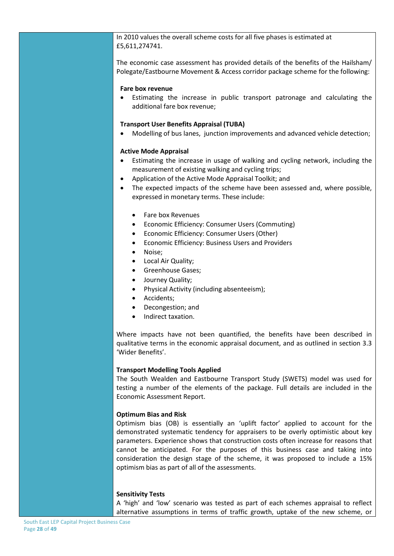In 2010 values the overall scheme costs for all five phases is estimated at £5,611,274741.

The economic case assessment has provided details of the benefits of the Hailsham/ Polegate/Eastbourne Movement & Access corridor package scheme for the following:

#### **Fare box revenue**

• Estimating the increase in public transport patronage and calculating the additional fare box revenue;

#### **Transport User Benefits Appraisal (TUBA)**

• Modelling of bus lanes, junction improvements and advanced vehicle detection;

#### **Active Mode Appraisal**

- Estimating the increase in usage of walking and cycling network, including the measurement of existing walking and cycling trips;
- Application of the Active Mode Appraisal Toolkit; and
- The expected impacts of the scheme have been assessed and, where possible, expressed in monetary terms. These include:
	- Fare box Revenues
	- Economic Efficiency: Consumer Users (Commuting)
	- Economic Efficiency: Consumer Users (Other)
	- Economic Efficiency: Business Users and Providers
	- Noise;
	- Local Air Quality;
	- Greenhouse Gases;
	- Journey Quality;
	- Physical Activity (including absenteeism);
	- Accidents;
	- Decongestion; and
	- Indirect taxation.

Where impacts have not been quantified, the benefits have been described in qualitative terms in the economic appraisal document, and as outlined in section 3.3 'Wider Benefits'.

#### **Transport Modelling Tools Applied**

The South Wealden and Eastbourne Transport Study (SWETS) model was used for testing a number of the elements of the package. Full details are included in the Economic Assessment Report.

#### **Optimum Bias and Risk**

Optimism bias (OB) is essentially an 'uplift factor' applied to account for the demonstrated systematic tendency for appraisers to be overly optimistic about key parameters. Experience shows that construction costs often increase for reasons that cannot be anticipated. For the purposes of this business case and taking into consideration the design stage of the scheme, it was proposed to include a 15% optimism bias as part of all of the assessments.

#### **Sensitivity Tests**

A 'high' and 'low' scenario was tested as part of each schemes appraisal to reflect alternative assumptions in terms of traffic growth, uptake of the new scheme, or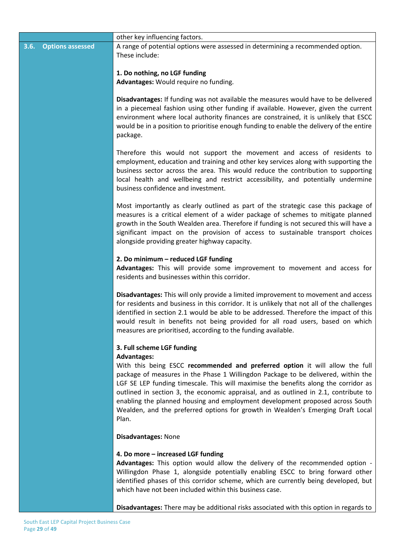|                                 | other key influencing factors.                                                                                                                                                                                                                                                                                                                                                                                                                                                                                                                      |
|---------------------------------|-----------------------------------------------------------------------------------------------------------------------------------------------------------------------------------------------------------------------------------------------------------------------------------------------------------------------------------------------------------------------------------------------------------------------------------------------------------------------------------------------------------------------------------------------------|
| <b>Options assessed</b><br>3.6. | A range of potential options were assessed in determining a recommended option.<br>These include:                                                                                                                                                                                                                                                                                                                                                                                                                                                   |
|                                 | 1. Do nothing, no LGF funding<br>Advantages: Would require no funding.                                                                                                                                                                                                                                                                                                                                                                                                                                                                              |
|                                 | Disadvantages: If funding was not available the measures would have to be delivered<br>in a piecemeal fashion using other funding if available. However, given the current<br>environment where local authority finances are constrained, it is unlikely that ESCC<br>would be in a position to prioritise enough funding to enable the delivery of the entire<br>package.                                                                                                                                                                          |
|                                 | Therefore this would not support the movement and access of residents to<br>employment, education and training and other key services along with supporting the<br>business sector across the area. This would reduce the contribution to supporting<br>local health and wellbeing and restrict accessibility, and potentially undermine<br>business confidence and investment.                                                                                                                                                                     |
|                                 | Most importantly as clearly outlined as part of the strategic case this package of<br>measures is a critical element of a wider package of schemes to mitigate planned<br>growth in the South Wealden area. Therefore if funding is not secured this will have a<br>significant impact on the provision of access to sustainable transport choices<br>alongside providing greater highway capacity.                                                                                                                                                 |
|                                 | 2. Do minimum - reduced LGF funding<br>Advantages: This will provide some improvement to movement and access for<br>residents and businesses within this corridor.                                                                                                                                                                                                                                                                                                                                                                                  |
|                                 | Disadvantages: This will only provide a limited improvement to movement and access<br>for residents and business in this corridor. It is unlikely that not all of the challenges<br>identified in section 2.1 would be able to be addressed. Therefore the impact of this<br>would result in benefits not being provided for all road users, based on which<br>measures are prioritised, according to the funding available.                                                                                                                        |
|                                 | 3. Full scheme LGF funding                                                                                                                                                                                                                                                                                                                                                                                                                                                                                                                          |
|                                 | <b>Advantages:</b><br>With this being ESCC recommended and preferred option it will allow the full<br>package of measures in the Phase 1 Willingdon Package to be delivered, within the<br>LGF SE LEP funding timescale. This will maximise the benefits along the corridor as<br>outlined in section 3, the economic appraisal, and as outlined in 2.1, contribute to<br>enabling the planned housing and employment development proposed across South<br>Wealden, and the preferred options for growth in Wealden's Emerging Draft Local<br>Plan. |
|                                 | <b>Disadvantages: None</b>                                                                                                                                                                                                                                                                                                                                                                                                                                                                                                                          |
|                                 | 4. Do more - increased LGF funding<br>Advantages: This option would allow the delivery of the recommended option -<br>Willingdon Phase 1, alongside potentially enabling ESCC to bring forward other<br>identified phases of this corridor scheme, which are currently being developed, but<br>which have not been included within this business case.                                                                                                                                                                                              |
|                                 | Disadvantages: There may be additional risks associated with this option in regards to                                                                                                                                                                                                                                                                                                                                                                                                                                                              |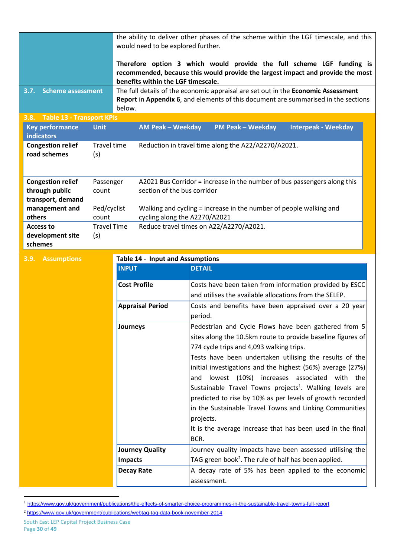|                                            |                      | the ability to deliver other phases of the scheme within the LGF timescale, and this<br>would need to be explored further. |                                                                                                                              |  |  |
|--------------------------------------------|----------------------|----------------------------------------------------------------------------------------------------------------------------|------------------------------------------------------------------------------------------------------------------------------|--|--|
|                                            |                      | Therefore option 3 which would provide the full scheme LGF funding is                                                      |                                                                                                                              |  |  |
|                                            |                      | benefits within the LGF timescale.                                                                                         | recommended, because this would provide the largest impact and provide the most                                              |  |  |
| 3.7. Scheme assessment                     |                      |                                                                                                                            | The full details of the economic appraisal are set out in the Economic Assessment                                            |  |  |
|                                            |                      | below.                                                                                                                     | Report in Appendix 6, and elements of this document are summarised in the sections                                           |  |  |
| 3.8. Table 13 - Transport KPIs             |                      |                                                                                                                            |                                                                                                                              |  |  |
| <b>Key performance</b>                     | <b>Unit</b>          | <b>AM Peak - Weekday</b>                                                                                                   | <b>PM Peak - Weekday</b><br><b>Interpeak - Weekday</b>                                                                       |  |  |
| indicators                                 |                      |                                                                                                                            |                                                                                                                              |  |  |
| <b>Congestion relief</b><br>road schemes   | Travel time<br>(s)   |                                                                                                                            | Reduction in travel time along the A22/A2270/A2021.                                                                          |  |  |
|                                            |                      |                                                                                                                            |                                                                                                                              |  |  |
|                                            |                      |                                                                                                                            |                                                                                                                              |  |  |
| <b>Congestion relief</b><br>through public | Passenger<br>count   | section of the bus corridor                                                                                                | A2021 Bus Corridor = increase in the number of bus passengers along this                                                     |  |  |
| transport, demand                          |                      |                                                                                                                            |                                                                                                                              |  |  |
| management and<br>others                   | Ped/cyclist<br>count |                                                                                                                            | Walking and cycling = increase in the number of people walking and<br>cycling along the A2270/A2021                          |  |  |
| <b>Access to</b>                           | <b>Travel Time</b>   |                                                                                                                            | Reduce travel times on A22/A2270/A2021.                                                                                      |  |  |
| development site                           | (s)                  |                                                                                                                            |                                                                                                                              |  |  |
| schemes                                    |                      |                                                                                                                            |                                                                                                                              |  |  |
| <b>Assumptions</b><br>3.9.                 |                      | <b>Table 14 - Input and Assumptions</b>                                                                                    |                                                                                                                              |  |  |
|                                            |                      | <b>INPUT</b>                                                                                                               | <b>DETAIL</b>                                                                                                                |  |  |
|                                            |                      | <b>Cost Profile</b>                                                                                                        | Costs have been taken from information provided by ESCC                                                                      |  |  |
|                                            |                      |                                                                                                                            | and utilises the available allocations from the SELEP.                                                                       |  |  |
|                                            |                      | <b>Appraisal Period</b>                                                                                                    | Costs and benefits have been appraised over a 20 year<br>period.                                                             |  |  |
|                                            |                      | Journeys                                                                                                                   | Pedestrian and Cycle Flows have been gathered from 5                                                                         |  |  |
|                                            |                      |                                                                                                                            | sites along the 10.5km route to provide baseline figures of                                                                  |  |  |
|                                            |                      |                                                                                                                            | 774 cycle trips and 4,093 walking trips.                                                                                     |  |  |
|                                            |                      |                                                                                                                            | Tests have been undertaken utilising the results of the                                                                      |  |  |
|                                            |                      |                                                                                                                            | initial investigations and the highest (56%) average (27%)                                                                   |  |  |
|                                            |                      |                                                                                                                            | lowest (10%) increases associated<br>with the<br>and<br>Sustainable Travel Towns projects <sup>1</sup> . Walking levels are  |  |  |
|                                            |                      |                                                                                                                            | predicted to rise by 10% as per levels of growth recorded                                                                    |  |  |
|                                            |                      |                                                                                                                            | in the Sustainable Travel Towns and Linking Communities                                                                      |  |  |
|                                            |                      |                                                                                                                            | projects.                                                                                                                    |  |  |
|                                            |                      |                                                                                                                            | It is the average increase that has been used in the final                                                                   |  |  |
|                                            |                      |                                                                                                                            | BCR.                                                                                                                         |  |  |
|                                            |                      | <b>Journey Quality</b><br><b>Impacts</b>                                                                                   | Journey quality impacts have been assessed utilising the<br>TAG green book <sup>2</sup> . The rule of half has been applied. |  |  |
|                                            |                      | <b>Decay Rate</b>                                                                                                          | A decay rate of 5% has been applied to the economic                                                                          |  |  |
|                                            |                      |                                                                                                                            | assessment.                                                                                                                  |  |  |
|                                            |                      |                                                                                                                            |                                                                                                                              |  |  |

<sup>1</sup> <https://www.gov.uk/government/publications/the-effects-of-smarter-choice-programmes-in-the-sustainable-travel-towns-full-report>

**.** 

<sup>2</sup> <https://www.gov.uk/government/publications/webtag-tag-data-book-november-2014>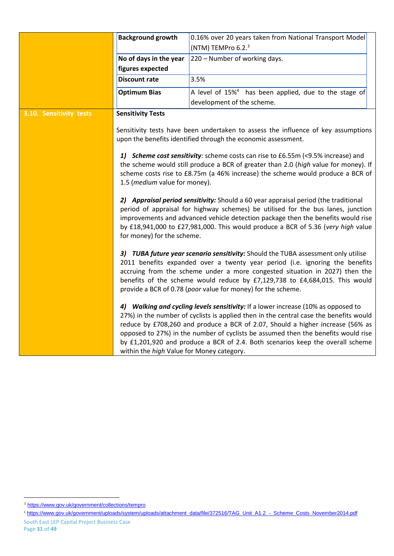|                                                                                                                                                                                                                                                                                                                                                                                                                                                                                                                                                                                                                                                                                                                                                                                                                                                                                     | <b>Background growth</b>                                                                                                                                                                                                                                                                                                                                                      | 0.16% over 20 years taken from National Transport Model                                                                                                                                                                                                                                                                                                                                                         |  |
|-------------------------------------------------------------------------------------------------------------------------------------------------------------------------------------------------------------------------------------------------------------------------------------------------------------------------------------------------------------------------------------------------------------------------------------------------------------------------------------------------------------------------------------------------------------------------------------------------------------------------------------------------------------------------------------------------------------------------------------------------------------------------------------------------------------------------------------------------------------------------------------|-------------------------------------------------------------------------------------------------------------------------------------------------------------------------------------------------------------------------------------------------------------------------------------------------------------------------------------------------------------------------------|-----------------------------------------------------------------------------------------------------------------------------------------------------------------------------------------------------------------------------------------------------------------------------------------------------------------------------------------------------------------------------------------------------------------|--|
|                                                                                                                                                                                                                                                                                                                                                                                                                                                                                                                                                                                                                                                                                                                                                                                                                                                                                     |                                                                                                                                                                                                                                                                                                                                                                               | (NTM) TEMPro 6.2. <sup>3</sup>                                                                                                                                                                                                                                                                                                                                                                                  |  |
|                                                                                                                                                                                                                                                                                                                                                                                                                                                                                                                                                                                                                                                                                                                                                                                                                                                                                     | No of days in the year                                                                                                                                                                                                                                                                                                                                                        | 220 - Number of working days.                                                                                                                                                                                                                                                                                                                                                                                   |  |
|                                                                                                                                                                                                                                                                                                                                                                                                                                                                                                                                                                                                                                                                                                                                                                                                                                                                                     | figures expected                                                                                                                                                                                                                                                                                                                                                              |                                                                                                                                                                                                                                                                                                                                                                                                                 |  |
|                                                                                                                                                                                                                                                                                                                                                                                                                                                                                                                                                                                                                                                                                                                                                                                                                                                                                     | <b>Discount rate</b>                                                                                                                                                                                                                                                                                                                                                          | 3.5%                                                                                                                                                                                                                                                                                                                                                                                                            |  |
|                                                                                                                                                                                                                                                                                                                                                                                                                                                                                                                                                                                                                                                                                                                                                                                                                                                                                     | <b>Optimum Bias</b>                                                                                                                                                                                                                                                                                                                                                           | A level of 15% <sup>4</sup> has been applied, due to the stage of                                                                                                                                                                                                                                                                                                                                               |  |
|                                                                                                                                                                                                                                                                                                                                                                                                                                                                                                                                                                                                                                                                                                                                                                                                                                                                                     |                                                                                                                                                                                                                                                                                                                                                                               | development of the scheme.                                                                                                                                                                                                                                                                                                                                                                                      |  |
| 3.10. Sensitivity tests                                                                                                                                                                                                                                                                                                                                                                                                                                                                                                                                                                                                                                                                                                                                                                                                                                                             | <b>Sensitivity Tests</b>                                                                                                                                                                                                                                                                                                                                                      |                                                                                                                                                                                                                                                                                                                                                                                                                 |  |
|                                                                                                                                                                                                                                                                                                                                                                                                                                                                                                                                                                                                                                                                                                                                                                                                                                                                                     | 1.5 ( <i>medium</i> value for money).                                                                                                                                                                                                                                                                                                                                         | Sensitivity tests have been undertaken to assess the influence of key assumptions<br>upon the benefits identified through the economic assessment.<br>1) Scheme cost sensitivity: scheme costs can rise to £6.55m (<9.5% increase) and<br>the scheme would still produce a BCR of greater than 2.0 (high value for money). If<br>scheme costs rise to £8.75m (a 46% increase) the scheme would produce a BCR of |  |
|                                                                                                                                                                                                                                                                                                                                                                                                                                                                                                                                                                                                                                                                                                                                                                                                                                                                                     | 2) Appraisal period sensitivity: Should a 60 year appraisal period (the traditional<br>period of appraisal for highway schemes) be utilised for the bus lanes, junction<br>improvements and advanced vehicle detection package then the benefits would rise<br>by £18,941,000 to £27,981,000. This would produce a BCR of 5.36 (very high value<br>for money) for the scheme. |                                                                                                                                                                                                                                                                                                                                                                                                                 |  |
| 3) TUBA future year scenario sensitivity: Should the TUBA assessment only utilise<br>2011 benefits expanded over a twenty year period (i.e. ignoring the benefits<br>accruing from the scheme under a more congested situation in 2027) then the<br>benefits of the scheme would reduce by £7,129,738 to £4,684,015. This would<br>provide a BCR of 0.78 (poor value for money) for the scheme.<br>4) Walking and cycling levels sensitivity: If a lower increase (10% as opposed to<br>27%) in the number of cyclists is applied then in the central case the benefits would<br>reduce by £708,260 and produce a BCR of 2.07, Should a higher increase (56% as<br>opposed to 27%) in the number of cyclists be assumed then the benefits would rise<br>by £1,201,920 and produce a BCR of 2.4. Both scenarios keep the overall scheme<br>within the high Value for Money category. |                                                                                                                                                                                                                                                                                                                                                                               |                                                                                                                                                                                                                                                                                                                                                                                                                 |  |
|                                                                                                                                                                                                                                                                                                                                                                                                                                                                                                                                                                                                                                                                                                                                                                                                                                                                                     |                                                                                                                                                                                                                                                                                                                                                                               |                                                                                                                                                                                                                                                                                                                                                                                                                 |  |

 $\overline{a}$ 

<sup>&</sup>lt;sup>3</sup> <https://www.gov.uk/government/collections/tempro>

<sup>4</sup> [https://www.gov.uk/government/uploads/system/uploads/attachment\\_data/file/372516/TAG\\_Unit\\_A1.2\\_-\\_Scheme\\_Costs\\_November2014.pdf](https://www.gov.uk/government/uploads/system/uploads/attachment_data/file/372516/TAG_Unit_A1.2_-_Scheme_Costs_November2014.pdf)

South East LEP Capital Project Business Case Page **31** of **49**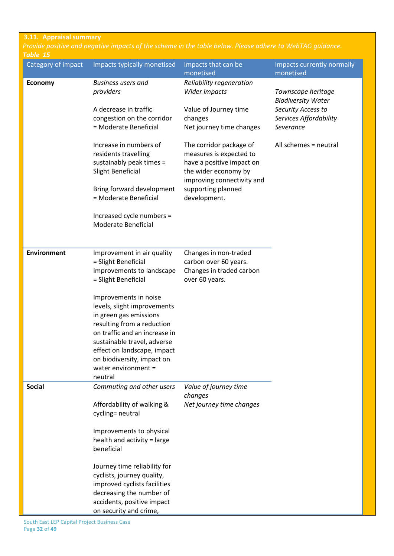#### **3.11. Appraisal summary**

| Table 15           | Provide positive and negative impacts of the scheme in the table below. Please adhere to WebTAG guidance.                                                                                                                                                                                                                                                                            |                                                                                                                                                                             |                                                                                                              |
|--------------------|--------------------------------------------------------------------------------------------------------------------------------------------------------------------------------------------------------------------------------------------------------------------------------------------------------------------------------------------------------------------------------------|-----------------------------------------------------------------------------------------------------------------------------------------------------------------------------|--------------------------------------------------------------------------------------------------------------|
| Category of impact | Impacts typically monetised                                                                                                                                                                                                                                                                                                                                                          | Impacts that can be<br>monetised                                                                                                                                            | Impacts currently normally<br>monetised                                                                      |
| <b>Economy</b>     | <b>Business users and</b><br>providers<br>A decrease in traffic<br>congestion on the corridor<br>= Moderate Beneficial                                                                                                                                                                                                                                                               | Reliability regeneration<br>Wider impacts<br>Value of Journey time<br>changes<br>Net journey time changes                                                                   | Townscape heritage<br><b>Biodiversity Water</b><br>Security Access to<br>Services Affordability<br>Severance |
|                    | Increase in numbers of<br>residents travelling<br>sustainably peak times =<br>Slight Beneficial<br>Bring forward development<br>= Moderate Beneficial                                                                                                                                                                                                                                | The corridor package of<br>measures is expected to<br>have a positive impact on<br>the wider economy by<br>improving connectivity and<br>supporting planned<br>development. | All schemes = neutral                                                                                        |
|                    | Increased cycle numbers =<br>Moderate Beneficial                                                                                                                                                                                                                                                                                                                                     |                                                                                                                                                                             |                                                                                                              |
| <b>Environment</b> | Improvement in air quality<br>= Slight Beneficial<br>Improvements to landscape<br>= Slight Beneficial<br>Improvements in noise<br>levels, slight improvements<br>in green gas emissions<br>resulting from a reduction<br>on traffic and an increase in<br>sustainable travel, adverse<br>effect on landscape, impact<br>on biodiversity, impact on<br>water environment =<br>neutral | Changes in non-traded<br>carbon over 60 years.<br>Changes in traded carbon<br>over 60 years.                                                                                |                                                                                                              |
| <b>Social</b>      | Commuting and other users<br>Affordability of walking &<br>cycling= neutral<br>Improvements to physical<br>health and activity = large<br>beneficial<br>Journey time reliability for<br>cyclists, journey quality,<br>improved cyclists facilities<br>decreasing the number of<br>accidents, positive impact<br>on security and crime,                                               | Value of journey time<br>changes<br>Net journey time changes                                                                                                                |                                                                                                              |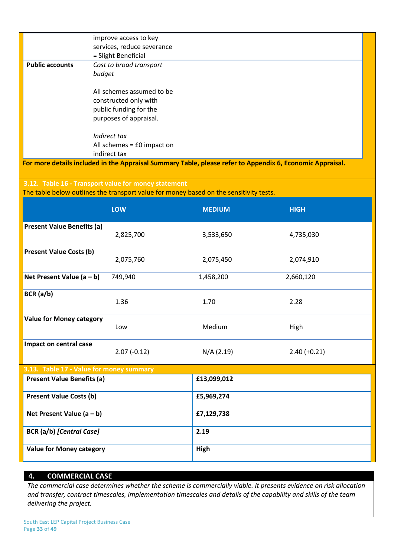|                                   | improve access to key                                                                  |               |                                                                                                           |
|-----------------------------------|----------------------------------------------------------------------------------------|---------------|-----------------------------------------------------------------------------------------------------------|
|                                   | services, reduce severance                                                             |               |                                                                                                           |
|                                   | = Slight Beneficial                                                                    |               |                                                                                                           |
| <b>Public accounts</b>            | Cost to broad transport                                                                |               |                                                                                                           |
|                                   | budget                                                                                 |               |                                                                                                           |
|                                   | All schemes assumed to be                                                              |               |                                                                                                           |
|                                   | constructed only with                                                                  |               |                                                                                                           |
|                                   | public funding for the                                                                 |               |                                                                                                           |
|                                   | purposes of appraisal.                                                                 |               |                                                                                                           |
|                                   | Indirect tax                                                                           |               |                                                                                                           |
|                                   | All schemes = £0 impact on                                                             |               |                                                                                                           |
|                                   | indirect tax                                                                           |               |                                                                                                           |
|                                   |                                                                                        |               | For more details included in the Appraisal Summary Table, please refer to Appendix 6, Economic Appraisal. |
|                                   |                                                                                        |               |                                                                                                           |
|                                   | 3.12. Table 16 - Transport value for money statement                                   |               |                                                                                                           |
|                                   | The table below outlines the transport value for money based on the sensitivity tests. |               |                                                                                                           |
|                                   |                                                                                        |               |                                                                                                           |
|                                   | LOW                                                                                    | <b>MEDIUM</b> | <b>HIGH</b>                                                                                               |
| <b>Present Value Benefits (a)</b> |                                                                                        |               |                                                                                                           |
|                                   | 2,825,700                                                                              | 3,533,650     | 4,735,030                                                                                                 |
|                                   |                                                                                        |               |                                                                                                           |
| <b>Present Value Costs (b)</b>    | 2,075,760                                                                              | 2,075,450     | 2,074,910                                                                                                 |
|                                   |                                                                                        |               |                                                                                                           |
| Net Present Value $(a - b)$       | 749,940                                                                                | 1,458,200     | 2,660,120                                                                                                 |
|                                   |                                                                                        |               |                                                                                                           |
| BCR(a/b)                          | 1.36                                                                                   | 1.70          | 2.28                                                                                                      |
|                                   |                                                                                        |               |                                                                                                           |
| <b>Value for Money category</b>   |                                                                                        |               |                                                                                                           |
|                                   | Low                                                                                    | Medium        | High                                                                                                      |
| Impact on central case            |                                                                                        |               |                                                                                                           |
|                                   | $2.07(-0.12)$                                                                          | N/A (2.19)    | $2.40 (+0.21)$                                                                                            |
|                                   |                                                                                        |               |                                                                                                           |
|                                   | 3.13. Table 17 - Value for money summary                                               |               |                                                                                                           |
| <b>Present Value Benefits (a)</b> |                                                                                        | £13,099,012   |                                                                                                           |
| <b>Present Value Costs (b)</b>    |                                                                                        | £5,969,274    |                                                                                                           |
|                                   |                                                                                        |               |                                                                                                           |
| Net Present Value $(a - b)$       |                                                                                        | £7,129,738    |                                                                                                           |
| <b>BCR</b> (a/b) [Central Case]   |                                                                                        | 2.19          |                                                                                                           |
|                                   |                                                                                        |               |                                                                                                           |
| <b>Value for Money category</b>   |                                                                                        | High          |                                                                                                           |
|                                   |                                                                                        |               |                                                                                                           |

# **4. COMMERCIAL CASE**

*The commercial case determines whether the scheme is commercially viable. It presents evidence on risk allocation and transfer, contract timescales, implementation timescales and details of the capability and skills of the team delivering the project.*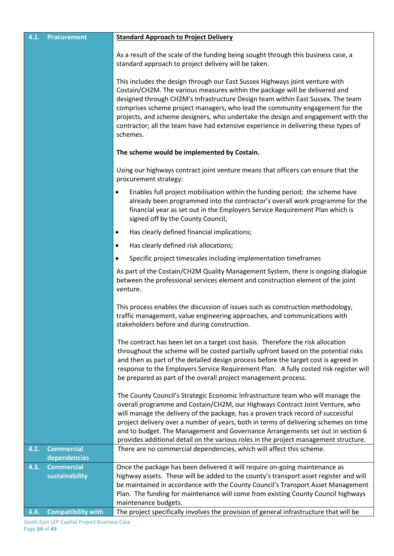| 4.1. | <b>Procurement</b>                | <b>Standard Approach to Project Delivery</b>                                                                                                                                                                                                                                                                                                                                                                                                                                                                          |
|------|-----------------------------------|-----------------------------------------------------------------------------------------------------------------------------------------------------------------------------------------------------------------------------------------------------------------------------------------------------------------------------------------------------------------------------------------------------------------------------------------------------------------------------------------------------------------------|
|      |                                   | As a result of the scale of the funding being sought through this business case, a<br>standard approach to project delivery will be taken.                                                                                                                                                                                                                                                                                                                                                                            |
|      |                                   | This includes the design through our East Sussex Highways joint venture with<br>Costain/CH2M. The various measures within the package will be delivered and<br>designed through CH2M's Infrastructure Design team within East Sussex. The team<br>comprises scheme project managers, who lead the community engagement for the<br>projects, and scheme designers, who undertake the design and engagement with the<br>contractor; all the team have had extensive experience in delivering these types of<br>schemes. |
|      |                                   | The scheme would be implemented by Costain.                                                                                                                                                                                                                                                                                                                                                                                                                                                                           |
|      |                                   | Using our highways contract joint venture means that officers can ensure that the<br>procurement strategy:                                                                                                                                                                                                                                                                                                                                                                                                            |
|      |                                   | Enables full project mobilisation within the funding period; the scheme have<br>already been programmed into the contractor's overall work programme for the<br>financial year as set out in the Employers Service Requirement Plan which is<br>signed off by the County Council;                                                                                                                                                                                                                                     |
|      |                                   | Has clearly defined financial implications;<br>٠                                                                                                                                                                                                                                                                                                                                                                                                                                                                      |
|      |                                   | Has clearly defined risk allocations;<br>$\bullet$                                                                                                                                                                                                                                                                                                                                                                                                                                                                    |
|      |                                   | Specific project timescales including implementation timeframes<br>$\bullet$                                                                                                                                                                                                                                                                                                                                                                                                                                          |
|      |                                   | As part of the Costain/CH2M Quality Management System, there is ongoing dialogue<br>between the professional services element and construction element of the joint<br>venture.                                                                                                                                                                                                                                                                                                                                       |
|      |                                   | This process enables the discussion of issues such as construction methodology,<br>traffic management, value engineering approaches, and communications with<br>stakeholders before and during construction.                                                                                                                                                                                                                                                                                                          |
|      |                                   | The contract has been let on a target cost basis. Therefore the risk allocation<br>throughout the scheme will be costed partially upfront based on the potential risks<br>and then as part of the detailed design process before the target cost is agreed in<br>response to the Employers Service Requirement Plan. A fully costed risk register will<br>be prepared as part of the overall project management process.                                                                                              |
|      |                                   | The County Council's Strategic Economic Infrastructure team who will manage the<br>overall programme and Costain/CH2M, our Highways Contract Joint Venture, who<br>will manage the delivery of the package, has a proven track record of successful<br>project delivery over a number of years, both in terms of delivering schemes on time<br>and to budget. The Management and Governance Arrangements set out in section 6<br>provides additional detail on the various roles in the project management structure. |
| 4.2. | <b>Commercial</b>                 | There are no commercial dependencies, which will affect this scheme.                                                                                                                                                                                                                                                                                                                                                                                                                                                  |
| 4.3. | dependencies<br><b>Commercial</b> | Once the package has been delivered it will require on-going maintenance as                                                                                                                                                                                                                                                                                                                                                                                                                                           |
|      | sustainability                    | highway assets. These will be added to the county's transport asset register and will                                                                                                                                                                                                                                                                                                                                                                                                                                 |
|      |                                   | be maintained in accordance with the County Council's Transport Asset Management                                                                                                                                                                                                                                                                                                                                                                                                                                      |
|      |                                   | Plan. The funding for maintenance will come from existing County Council highways<br>maintenance budgets.                                                                                                                                                                                                                                                                                                                                                                                                             |
| 4.4. | <b>Compatibility with</b>         | The project specifically involves the provision of general infrastructure that will be                                                                                                                                                                                                                                                                                                                                                                                                                                |
|      |                                   |                                                                                                                                                                                                                                                                                                                                                                                                                                                                                                                       |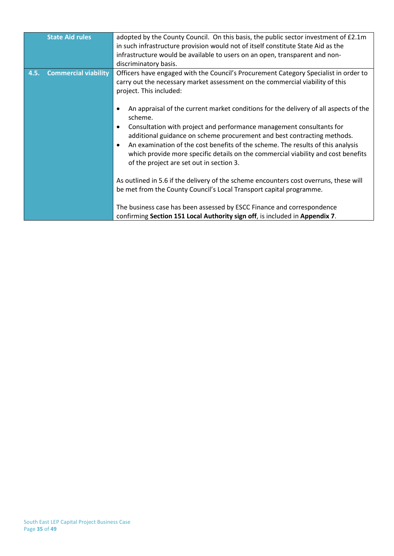| <b>State Aid rules</b>              | adopted by the County Council. On this basis, the public sector investment of £2.1m<br>in such infrastructure provision would not of itself constitute State Aid as the<br>infrastructure would be available to users on an open, transparent and non-<br>discriminatory basis.                                                                                                                                                                                                     |
|-------------------------------------|-------------------------------------------------------------------------------------------------------------------------------------------------------------------------------------------------------------------------------------------------------------------------------------------------------------------------------------------------------------------------------------------------------------------------------------------------------------------------------------|
| <b>Commercial viability</b><br>4.5. | Officers have engaged with the Council's Procurement Category Specialist in order to<br>carry out the necessary market assessment on the commercial viability of this<br>project. This included:                                                                                                                                                                                                                                                                                    |
|                                     | An appraisal of the current market conditions for the delivery of all aspects of the<br>scheme.<br>Consultation with project and performance management consultants for<br>$\bullet$<br>additional guidance on scheme procurement and best contracting methods.<br>An examination of the cost benefits of the scheme. The results of this analysis<br>which provide more specific details on the commercial viability and cost benefits<br>of the project are set out in section 3. |
|                                     | As outlined in 5.6 if the delivery of the scheme encounters cost overruns, these will<br>be met from the County Council's Local Transport capital programme.                                                                                                                                                                                                                                                                                                                        |
|                                     | The business case has been assessed by ESCC Finance and correspondence<br>confirming Section 151 Local Authority sign off, is included in Appendix 7.                                                                                                                                                                                                                                                                                                                               |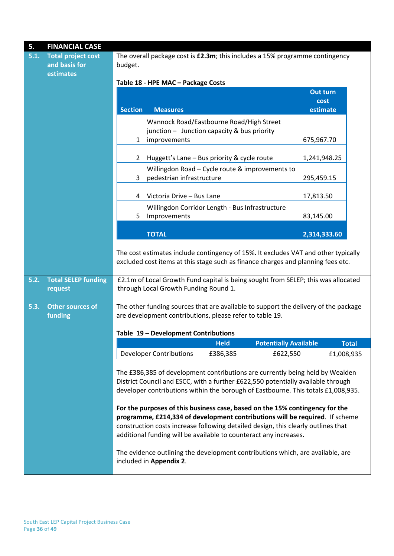| <b>Total project cost</b><br>5.1.<br>and basis for<br>estimates<br><b>Total SELEP funding</b><br>5.2.<br>request<br>5.3.<br><b>Other sources of</b><br>funding | budget.<br><b>Section</b><br>1<br>2<br>3<br>4 | Table 18 - HPE MAC - Package Costs<br><b>Measures</b><br>improvements<br>pedestrian infrastructure<br>Victoria Drive - Bus Lane                                                                                                                                                                                                                                                                             | Wannock Road/Eastbourne Road/High Street<br>junction - Junction capacity & bus priority<br>Huggett's Lane - Bus priority & cycle route<br>Willingdon Road - Cycle route & improvements to | The overall package cost is £2.3m; this includes a 15% programme contingency<br>Out turn<br>cost<br>estimate<br>675,967.70<br>1,241,948.25<br>295,459.15                                                                                            |              |  |  |
|----------------------------------------------------------------------------------------------------------------------------------------------------------------|-----------------------------------------------|-------------------------------------------------------------------------------------------------------------------------------------------------------------------------------------------------------------------------------------------------------------------------------------------------------------------------------------------------------------------------------------------------------------|-------------------------------------------------------------------------------------------------------------------------------------------------------------------------------------------|-----------------------------------------------------------------------------------------------------------------------------------------------------------------------------------------------------------------------------------------------------|--------------|--|--|
|                                                                                                                                                                |                                               |                                                                                                                                                                                                                                                                                                                                                                                                             |                                                                                                                                                                                           |                                                                                                                                                                                                                                                     |              |  |  |
|                                                                                                                                                                |                                               |                                                                                                                                                                                                                                                                                                                                                                                                             |                                                                                                                                                                                           |                                                                                                                                                                                                                                                     |              |  |  |
|                                                                                                                                                                |                                               |                                                                                                                                                                                                                                                                                                                                                                                                             |                                                                                                                                                                                           |                                                                                                                                                                                                                                                     |              |  |  |
|                                                                                                                                                                |                                               |                                                                                                                                                                                                                                                                                                                                                                                                             |                                                                                                                                                                                           |                                                                                                                                                                                                                                                     |              |  |  |
|                                                                                                                                                                |                                               |                                                                                                                                                                                                                                                                                                                                                                                                             |                                                                                                                                                                                           |                                                                                                                                                                                                                                                     |              |  |  |
|                                                                                                                                                                |                                               |                                                                                                                                                                                                                                                                                                                                                                                                             |                                                                                                                                                                                           |                                                                                                                                                                                                                                                     |              |  |  |
|                                                                                                                                                                |                                               |                                                                                                                                                                                                                                                                                                                                                                                                             |                                                                                                                                                                                           |                                                                                                                                                                                                                                                     |              |  |  |
|                                                                                                                                                                |                                               |                                                                                                                                                                                                                                                                                                                                                                                                             |                                                                                                                                                                                           | 17,813.50                                                                                                                                                                                                                                           |              |  |  |
|                                                                                                                                                                |                                               |                                                                                                                                                                                                                                                                                                                                                                                                             |                                                                                                                                                                                           |                                                                                                                                                                                                                                                     |              |  |  |
|                                                                                                                                                                | 5                                             | Willingdon Corridor Length - Bus Infrastructure<br>Improvements                                                                                                                                                                                                                                                                                                                                             |                                                                                                                                                                                           |                                                                                                                                                                                                                                                     |              |  |  |
|                                                                                                                                                                |                                               |                                                                                                                                                                                                                                                                                                                                                                                                             |                                                                                                                                                                                           |                                                                                                                                                                                                                                                     |              |  |  |
|                                                                                                                                                                |                                               | <b>TOTAL</b>                                                                                                                                                                                                                                                                                                                                                                                                |                                                                                                                                                                                           | 2,314,333.60                                                                                                                                                                                                                                        |              |  |  |
|                                                                                                                                                                |                                               |                                                                                                                                                                                                                                                                                                                                                                                                             |                                                                                                                                                                                           | The cost estimates include contingency of 15%. It excludes VAT and other typically<br>excluded cost items at this stage such as finance charges and planning fees etc.                                                                              |              |  |  |
|                                                                                                                                                                |                                               | through Local Growth Funding Round 1.                                                                                                                                                                                                                                                                                                                                                                       |                                                                                                                                                                                           | £2.1m of Local Growth Fund capital is being sought from SELEP; this was allocated                                                                                                                                                                   |              |  |  |
|                                                                                                                                                                |                                               |                                                                                                                                                                                                                                                                                                                                                                                                             |                                                                                                                                                                                           | The other funding sources that are available to support the delivery of the package                                                                                                                                                                 |              |  |  |
|                                                                                                                                                                |                                               |                                                                                                                                                                                                                                                                                                                                                                                                             | are development contributions, please refer to table 19.                                                                                                                                  |                                                                                                                                                                                                                                                     |              |  |  |
|                                                                                                                                                                |                                               | Table 19 - Development Contributions                                                                                                                                                                                                                                                                                                                                                                        |                                                                                                                                                                                           |                                                                                                                                                                                                                                                     |              |  |  |
|                                                                                                                                                                |                                               |                                                                                                                                                                                                                                                                                                                                                                                                             | <b>Held</b>                                                                                                                                                                               | <b>Potentially Available</b>                                                                                                                                                                                                                        | <b>Total</b> |  |  |
|                                                                                                                                                                |                                               | <b>Developer Contributions</b>                                                                                                                                                                                                                                                                                                                                                                              | £386,385                                                                                                                                                                                  | £622,550                                                                                                                                                                                                                                            | £1,008,935   |  |  |
|                                                                                                                                                                |                                               | included in Appendix 2.                                                                                                                                                                                                                                                                                                                                                                                     |                                                                                                                                                                                           | The £386,385 of development contributions are currently being held by Wealden<br>District Council and ESCC, with a further £622,550 potentially available through<br>The evidence outlining the development contributions which, are available, are |              |  |  |
|                                                                                                                                                                |                                               | developer contributions within the borough of Eastbourne. This totals £1,008,935.<br>For the purposes of this business case, based on the 15% contingency for the<br>programme, £214,334 of development contributions will be required. If scheme<br>construction costs increase following detailed design, this clearly outlines that<br>additional funding will be available to counteract any increases. |                                                                                                                                                                                           |                                                                                                                                                                                                                                                     |              |  |  |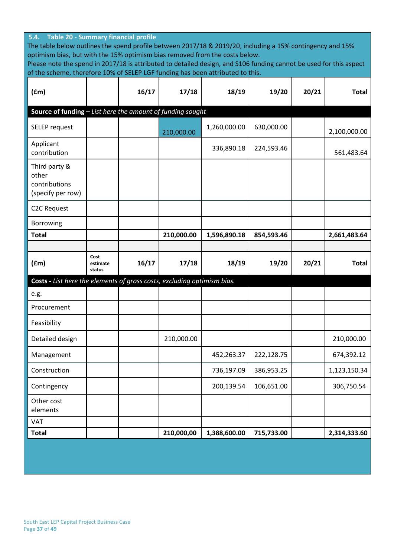| 5.4. Table 20 - Summary financial profile<br>The table below outlines the spend profile between 2017/18 & 2019/20, including a 15% contingency and 15%<br>optimism bias, but with the 15% optimism bias removed from the costs below.<br>Please note the spend in 2017/18 is attributed to detailed design, and S106 funding cannot be used for this aspect |                            |       |            |              |            |       |              |  |
|-------------------------------------------------------------------------------------------------------------------------------------------------------------------------------------------------------------------------------------------------------------------------------------------------------------------------------------------------------------|----------------------------|-------|------------|--------------|------------|-------|--------------|--|
| of the scheme, therefore 10% of SELEP LGF funding has been attributed to this.                                                                                                                                                                                                                                                                              |                            |       |            |              |            |       |              |  |
| (fm)                                                                                                                                                                                                                                                                                                                                                        |                            | 16/17 | 17/18      | 18/19        | 19/20      | 20/21 | <b>Total</b> |  |
| Source of funding - List here the amount of funding sought                                                                                                                                                                                                                                                                                                  |                            |       |            |              |            |       |              |  |
| SELEP request                                                                                                                                                                                                                                                                                                                                               |                            |       | 210,000.00 | 1,260,000.00 | 630,000.00 |       | 2,100,000.00 |  |
| Applicant<br>contribution                                                                                                                                                                                                                                                                                                                                   |                            |       |            | 336,890.18   | 224,593.46 |       | 561,483.64   |  |
| Third party &<br>other<br>contributions<br>(specify per row)                                                                                                                                                                                                                                                                                                |                            |       |            |              |            |       |              |  |
| <b>C2C Request</b>                                                                                                                                                                                                                                                                                                                                          |                            |       |            |              |            |       |              |  |
| Borrowing                                                                                                                                                                                                                                                                                                                                                   |                            |       |            |              |            |       |              |  |
| <b>Total</b>                                                                                                                                                                                                                                                                                                                                                |                            |       | 210,000.00 | 1,596,890.18 | 854,593.46 |       | 2,661,483.64 |  |
|                                                                                                                                                                                                                                                                                                                                                             |                            |       |            |              |            |       |              |  |
| (fm)                                                                                                                                                                                                                                                                                                                                                        | Cost<br>estimate<br>status | 16/17 | 17/18      | 18/19        | 19/20      | 20/21 | <b>Total</b> |  |
| Costs - List here the elements of gross costs, excluding optimism bias.                                                                                                                                                                                                                                                                                     |                            |       |            |              |            |       |              |  |
| e.g.                                                                                                                                                                                                                                                                                                                                                        |                            |       |            |              |            |       |              |  |
| Procurement                                                                                                                                                                                                                                                                                                                                                 |                            |       |            |              |            |       |              |  |
| Feasibility                                                                                                                                                                                                                                                                                                                                                 |                            |       |            |              |            |       |              |  |
| Detailed design                                                                                                                                                                                                                                                                                                                                             |                            |       | 210,000.00 |              |            |       | 210,000.00   |  |
| Management                                                                                                                                                                                                                                                                                                                                                  |                            |       |            | 452,263.37   | 222,128.75 |       | 674,392.12   |  |
| Construction                                                                                                                                                                                                                                                                                                                                                |                            |       |            | 736,197.09   | 386,953.25 |       | 1,123,150.34 |  |
| Contingency                                                                                                                                                                                                                                                                                                                                                 |                            |       |            | 200,139.54   | 106,651.00 |       | 306,750.54   |  |
| Other cost<br>elements                                                                                                                                                                                                                                                                                                                                      |                            |       |            |              |            |       |              |  |
| VAT                                                                                                                                                                                                                                                                                                                                                         |                            |       |            |              |            |       |              |  |
| <b>Total</b>                                                                                                                                                                                                                                                                                                                                                |                            |       | 210,000,00 | 1,388,600.00 | 715,733.00 |       | 2,314,333.60 |  |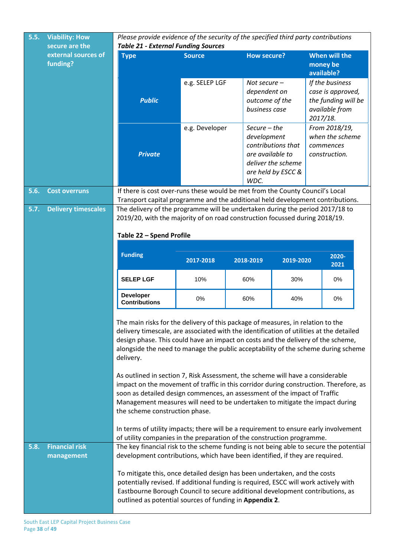| 5.5. | <b>Viability: How</b><br>secure are the | Please provide evidence of the security of the specified third party contributions<br><b>Table 21 - External Funding Sources</b>                                                                                                                                                                                                                                                                                                                                                                                                                                                                                                                                                                                                                                                                                                                                                                             |                |                                |                    |  |                                          |  |
|------|-----------------------------------------|--------------------------------------------------------------------------------------------------------------------------------------------------------------------------------------------------------------------------------------------------------------------------------------------------------------------------------------------------------------------------------------------------------------------------------------------------------------------------------------------------------------------------------------------------------------------------------------------------------------------------------------------------------------------------------------------------------------------------------------------------------------------------------------------------------------------------------------------------------------------------------------------------------------|----------------|--------------------------------|--------------------|--|------------------------------------------|--|
|      | external sources of<br>funding?         | <b>Type</b>                                                                                                                                                                                                                                                                                                                                                                                                                                                                                                                                                                                                                                                                                                                                                                                                                                                                                                  | <b>Source</b>  | <b>How secure?</b>             |                    |  | When will the<br>money be<br>available?  |  |
|      |                                         |                                                                                                                                                                                                                                                                                                                                                                                                                                                                                                                                                                                                                                                                                                                                                                                                                                                                                                              | e.g. SELEP LGF | Not secure $-$                 |                    |  | If the business                          |  |
|      |                                         | <b>Public</b>                                                                                                                                                                                                                                                                                                                                                                                                                                                                                                                                                                                                                                                                                                                                                                                                                                                                                                |                | dependent on<br>outcome of the |                    |  | case is approved,<br>the funding will be |  |
|      |                                         |                                                                                                                                                                                                                                                                                                                                                                                                                                                                                                                                                                                                                                                                                                                                                                                                                                                                                                              |                | business case                  |                    |  | available from<br>2017/18.               |  |
|      |                                         |                                                                                                                                                                                                                                                                                                                                                                                                                                                                                                                                                                                                                                                                                                                                                                                                                                                                                                              | e.g. Developer | $Secure - the$<br>development  |                    |  | From 2018/19,<br>when the scheme         |  |
|      |                                         |                                                                                                                                                                                                                                                                                                                                                                                                                                                                                                                                                                                                                                                                                                                                                                                                                                                                                                              |                |                                | contributions that |  | commences                                |  |
|      |                                         | <b>Private</b>                                                                                                                                                                                                                                                                                                                                                                                                                                                                                                                                                                                                                                                                                                                                                                                                                                                                                               |                | are available to               | deliver the scheme |  | construction.                            |  |
|      |                                         |                                                                                                                                                                                                                                                                                                                                                                                                                                                                                                                                                                                                                                                                                                                                                                                                                                                                                                              |                | WDC.                           | are held by ESCC & |  |                                          |  |
| 5.6. | <b>Cost overruns</b>                    | If there is cost over-runs these would be met from the County Council's Local<br>Transport capital programme and the additional held development contributions.                                                                                                                                                                                                                                                                                                                                                                                                                                                                                                                                                                                                                                                                                                                                              |                |                                |                    |  |                                          |  |
| 5.7. | <b>Delivery timescales</b>              | The delivery of the programme will be undertaken during the period 2017/18 to<br>2019/20, with the majority of on road construction focussed during 2018/19.                                                                                                                                                                                                                                                                                                                                                                                                                                                                                                                                                                                                                                                                                                                                                 |                |                                |                    |  |                                          |  |
|      |                                         | Table 22 - Spend Profile                                                                                                                                                                                                                                                                                                                                                                                                                                                                                                                                                                                                                                                                                                                                                                                                                                                                                     |                |                                |                    |  |                                          |  |
|      |                                         |                                                                                                                                                                                                                                                                                                                                                                                                                                                                                                                                                                                                                                                                                                                                                                                                                                                                                                              |                |                                |                    |  |                                          |  |
|      |                                         | <b>Funding</b>                                                                                                                                                                                                                                                                                                                                                                                                                                                                                                                                                                                                                                                                                                                                                                                                                                                                                               | 2017-2018      | 2018-2019                      | 2019-2020          |  | 2020-<br>2021                            |  |
|      |                                         | <b>SELEP LGF</b>                                                                                                                                                                                                                                                                                                                                                                                                                                                                                                                                                                                                                                                                                                                                                                                                                                                                                             | 10%            | 60%                            | 30%                |  | 0%                                       |  |
|      |                                         | <b>Developer</b><br><b>Contributions</b>                                                                                                                                                                                                                                                                                                                                                                                                                                                                                                                                                                                                                                                                                                                                                                                                                                                                     | 0%             | 60%                            | 40%                |  | 0%                                       |  |
|      |                                         | The main risks for the delivery of this package of measures, in relation to the<br>delivery timescale, are associated with the identification of utilities at the detailed<br>design phase. This could have an impact on costs and the delivery of the scheme,<br>alongside the need to manage the public acceptability of the scheme during scheme<br>delivery.<br>As outlined in section 7, Risk Assessment, the scheme will have a considerable<br>impact on the movement of traffic in this corridor during construction. Therefore, as<br>soon as detailed design commences, an assessment of the impact of Traffic<br>Management measures will need to be undertaken to mitigate the impact during<br>the scheme construction phase.<br>In terms of utility impacts; there will be a requirement to ensure early involvement<br>of utility companies in the preparation of the construction programme. |                |                                |                    |  |                                          |  |
| 5.8. | <b>Financial risk</b>                   | The key financial risk to the scheme funding is not being able to secure the potential                                                                                                                                                                                                                                                                                                                                                                                                                                                                                                                                                                                                                                                                                                                                                                                                                       |                |                                |                    |  |                                          |  |
|      | management                              | development contributions, which have been identified, if they are required.<br>To mitigate this, once detailed design has been undertaken, and the costs<br>potentially revised. If additional funding is required, ESCC will work actively with<br>Eastbourne Borough Council to secure additional development contributions, as<br>outlined as potential sources of funding in Appendix 2.                                                                                                                                                                                                                                                                                                                                                                                                                                                                                                                |                |                                |                    |  |                                          |  |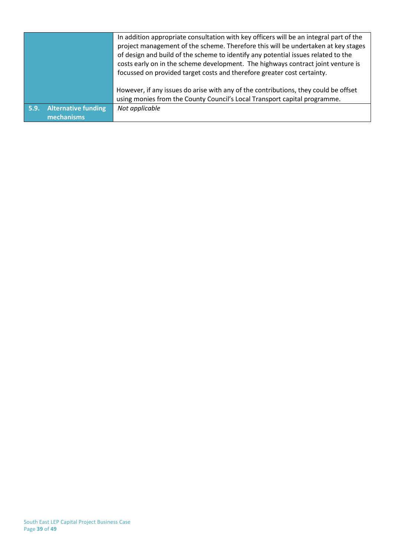|                                                  | In addition appropriate consultation with key officers will be an integral part of the<br>project management of the scheme. Therefore this will be undertaken at key stages<br>of design and build of the scheme to identify any potential issues related to the<br>costs early on in the scheme development. The highways contract joint venture is<br>focussed on provided target costs and therefore greater cost certainty. |
|--------------------------------------------------|---------------------------------------------------------------------------------------------------------------------------------------------------------------------------------------------------------------------------------------------------------------------------------------------------------------------------------------------------------------------------------------------------------------------------------|
|                                                  | However, if any issues do arise with any of the contributions, they could be offset<br>using monies from the County Council's Local Transport capital programme.                                                                                                                                                                                                                                                                |
| <b>Alternative funding</b><br>5.9.<br>mechanisms | Not applicable                                                                                                                                                                                                                                                                                                                                                                                                                  |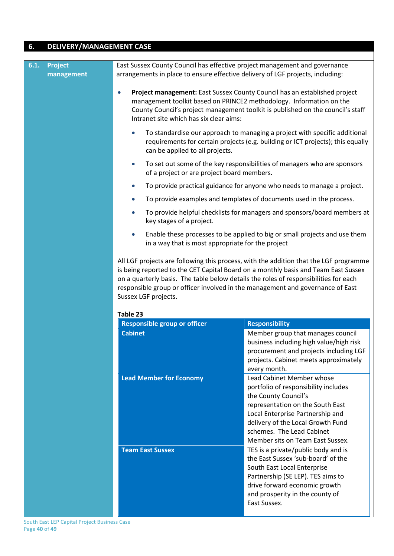# **6. DELIVERY/MANAGEMENT CASE**

| 6.1. | <b>Project</b><br>management | East Sussex County Council has effective project management and governance<br>arrangements in place to ensure effective delivery of LGF projects, including:                                                                                                                                |                                                                                                                                                                                                                                                                         |  |  |  |  |  |
|------|------------------------------|---------------------------------------------------------------------------------------------------------------------------------------------------------------------------------------------------------------------------------------------------------------------------------------------|-------------------------------------------------------------------------------------------------------------------------------------------------------------------------------------------------------------------------------------------------------------------------|--|--|--|--|--|
|      |                              | Project management: East Sussex County Council has an established project<br>$\bullet$<br>management toolkit based on PRINCE2 methodology. Information on the<br>County Council's project management toolkit is published on the council's staff<br>Intranet site which has six clear aims: |                                                                                                                                                                                                                                                                         |  |  |  |  |  |
|      |                              | To standardise our approach to managing a project with specific additional<br>$\bullet$<br>requirements for certain projects (e.g. building or ICT projects); this equally<br>can be applied to all projects.                                                                               |                                                                                                                                                                                                                                                                         |  |  |  |  |  |
|      |                              | $\bullet$<br>of a project or are project board members.                                                                                                                                                                                                                                     | To set out some of the key responsibilities of managers who are sponsors                                                                                                                                                                                                |  |  |  |  |  |
|      |                              | $\bullet$                                                                                                                                                                                                                                                                                   | To provide practical guidance for anyone who needs to manage a project.                                                                                                                                                                                                 |  |  |  |  |  |
|      |                              | $\bullet$                                                                                                                                                                                                                                                                                   | To provide examples and templates of documents used in the process.                                                                                                                                                                                                     |  |  |  |  |  |
|      |                              | $\bullet$<br>key stages of a project.                                                                                                                                                                                                                                                       | To provide helpful checklists for managers and sponsors/board members at                                                                                                                                                                                                |  |  |  |  |  |
|      |                              | Enable these processes to be applied to big or small projects and use them<br>$\bullet$<br>in a way that is most appropriate for the project                                                                                                                                                |                                                                                                                                                                                                                                                                         |  |  |  |  |  |
|      |                              |                                                                                                                                                                                                                                                                                             |                                                                                                                                                                                                                                                                         |  |  |  |  |  |
|      |                              | on a quarterly basis. The table below details the roles of responsibilities for each<br>responsible group or officer involved in the management and governance of East<br>Sussex LGF projects.                                                                                              | All LGF projects are following this process, with the addition that the LGF programme<br>is being reported to the CET Capital Board on a monthly basis and Team East Sussex                                                                                             |  |  |  |  |  |
|      |                              | Table 23                                                                                                                                                                                                                                                                                    |                                                                                                                                                                                                                                                                         |  |  |  |  |  |
|      |                              | <b>Responsible group or officer</b>                                                                                                                                                                                                                                                         | <b>Responsibility</b>                                                                                                                                                                                                                                                   |  |  |  |  |  |
|      |                              | <b>Cabinet</b>                                                                                                                                                                                                                                                                              | Member group that manages council<br>business including high value/high risk<br>procurement and projects including LGF<br>projects. Cabinet meets approximately<br>every month.                                                                                         |  |  |  |  |  |
|      |                              | <b>Lead Member for Economy</b>                                                                                                                                                                                                                                                              | Lead Cabinet Member whose<br>portfolio of responsibility includes<br>the County Council's<br>representation on the South East<br>Local Enterprise Partnership and<br>delivery of the Local Growth Fund<br>schemes. The Lead Cabinet<br>Member sits on Team East Sussex. |  |  |  |  |  |
|      |                              | <b>Team East Sussex</b>                                                                                                                                                                                                                                                                     | TES is a private/public body and is<br>the East Sussex 'sub-board' of the<br>South East Local Enterprise                                                                                                                                                                |  |  |  |  |  |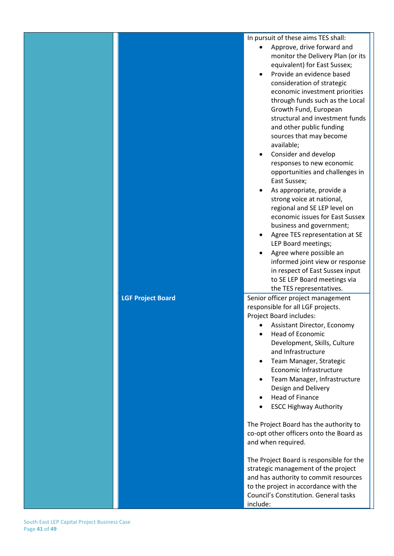In pursuit of these aims TES shall:

- Approve, drive forward and monitor the Delivery Plan (or its equivalent) for East Sussex;
- Provide an evidence based consideration of strategic economic investment priorities through funds such as the Local Growth Fund, European structural and investment funds and other public funding sources that may become available;
- Consider and develop responses to new economic opportunities and challenges in East Sussex;
- As appropriate, provide a strong voice at national, regional and SE LEP level on economic issues for East Sussex business and government;
- Agree TES representation at SE LEP Board meetings;
- Agree where possible an informed joint view or response in respect of East Sussex input to SE LEP Board meetings via the TES representatives.

**LGF Project Board** Senior officer project management responsible for all LGF projects. Project Board includes:

- Assistant Director, Economy
- Head of Economic Development, Skills, Culture and Infrastructure
- Team Manager, Strategic Economic Infrastructure
- Team Manager, Infrastructure Design and Delivery
- Head of Finance
- **ESCC Highway Authority**

The Project Board has the authority to co-opt other officers onto the Board as and when required.

The Project Board is responsible for the strategic management of the project and has authority to commit resources to the project in accordance with the Council's Constitution. General tasks include: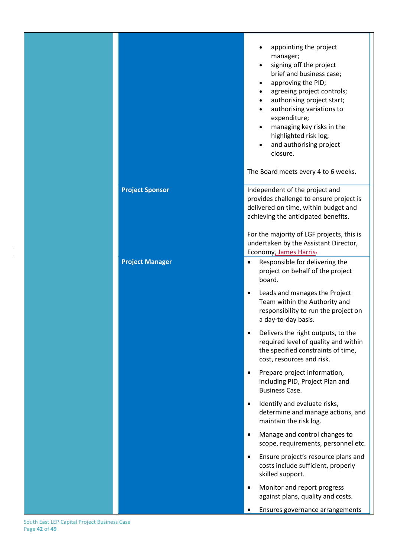|                        | appointing the project<br>manager;<br>signing off the project<br>brief and business case;<br>approving the PID;<br>agreeing project controls;<br>authorising project start;<br>authorising variations to<br>expenditure;<br>managing key risks in the<br>highlighted risk log;<br>and authorising project<br>closure.<br>The Board meets every 4 to 6 weeks. |
|------------------------|--------------------------------------------------------------------------------------------------------------------------------------------------------------------------------------------------------------------------------------------------------------------------------------------------------------------------------------------------------------|
| <b>Project Sponsor</b> | Independent of the project and<br>provides challenge to ensure project is<br>delivered on time, within budget and<br>achieving the anticipated benefits.<br>For the majority of LGF projects, this is<br>undertaken by the Assistant Director,                                                                                                               |
| <b>Project Manager</b> | Economy, James Harris-<br>Responsible for delivering the<br>project on behalf of the project<br>board.<br>Leads and manages the Project<br>Team within the Authority and<br>responsibility to run the project on<br>a day-to-day basis.<br>Delivers the right outputs, to the                                                                                |
|                        | required level of quality and within<br>the specified constraints of time,<br>cost, resources and risk.<br>Prepare project information,<br>including PID, Project Plan and<br><b>Business Case.</b>                                                                                                                                                          |
|                        | Identify and evaluate risks,<br>determine and manage actions, and<br>maintain the risk log.                                                                                                                                                                                                                                                                  |
|                        | Manage and control changes to<br>scope, requirements, personnel etc.<br>Ensure project's resource plans and<br>costs include sufficient, properly                                                                                                                                                                                                            |
|                        | skilled support.<br>Monitor and report progress<br>against plans, quality and costs.<br>Ensures governance arrangements                                                                                                                                                                                                                                      |

South East LEP Capital Project Business Case Page **42** of **49**

 $\begin{array}{c} \hline \end{array}$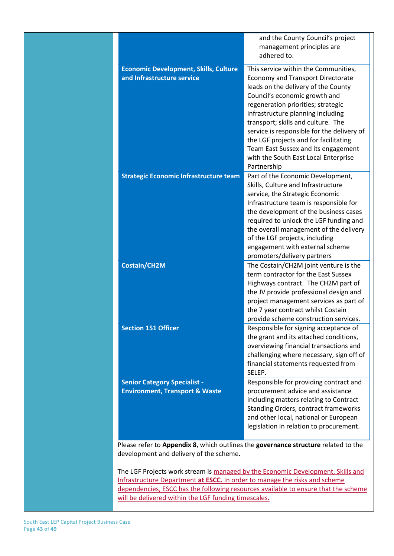|                                                                                    | and the County Council's project                                                 |
|------------------------------------------------------------------------------------|----------------------------------------------------------------------------------|
|                                                                                    | management principles are<br>adhered to.                                         |
|                                                                                    |                                                                                  |
| <b>Economic Development, Skills, Culture</b>                                       | This service within the Communities,                                             |
| and Infrastructure service                                                         | <b>Economy and Transport Directorate</b>                                         |
|                                                                                    | leads on the delivery of the County                                              |
|                                                                                    | Council's economic growth and                                                    |
|                                                                                    | regeneration priorities; strategic<br>infrastructure planning including          |
|                                                                                    | transport; skills and culture. The                                               |
|                                                                                    | service is responsible for the delivery of                                       |
|                                                                                    | the LGF projects and for facilitating                                            |
|                                                                                    | Team East Sussex and its engagement                                              |
|                                                                                    | with the South East Local Enterprise                                             |
|                                                                                    | Partnership                                                                      |
| <b>Strategic Economic Infrastructure team</b>                                      | Part of the Economic Development,                                                |
|                                                                                    | Skills, Culture and Infrastructure                                               |
|                                                                                    | service, the Strategic Economic                                                  |
|                                                                                    | Infrastructure team is responsible for<br>the development of the business cases  |
|                                                                                    | required to unlock the LGF funding and                                           |
|                                                                                    | the overall management of the delivery                                           |
|                                                                                    | of the LGF projects, including                                                   |
|                                                                                    | engagement with external scheme                                                  |
|                                                                                    | promoters/delivery partners                                                      |
| <b>Costain/CH2M</b>                                                                | The Costain/CH2M joint venture is the                                            |
|                                                                                    | term contractor for the East Sussex                                              |
|                                                                                    | Highways contract. The CH2M part of                                              |
|                                                                                    | the JV provide professional design and                                           |
|                                                                                    | project management services as part of<br>the 7 year contract whilst Costain     |
|                                                                                    | provide scheme construction services.                                            |
| <b>Section 151 Officer</b>                                                         | Responsible for signing acceptance of                                            |
|                                                                                    | the grant and its attached conditions,                                           |
|                                                                                    | overviewing financial transactions and                                           |
|                                                                                    | challenging where necessary, sign off of                                         |
|                                                                                    | financial statements requested from                                              |
|                                                                                    | SELEP.                                                                           |
| <b>Senior Category Specialist -</b>                                                | Responsible for providing contract and                                           |
| <b>Environment, Transport &amp; Waste</b>                                          | procurement advice and assistance                                                |
|                                                                                    | including matters relating to Contract                                           |
|                                                                                    | Standing Orders, contract frameworks                                             |
|                                                                                    | and other local, national or European<br>legislation in relation to procurement. |
|                                                                                    |                                                                                  |
| Please refer to Appendix 8, which outlines the governance structure related to the |                                                                                  |
| development and delivery of the scheme.                                            |                                                                                  |
|                                                                                    |                                                                                  |

The LGF Projects work stream is managed by the Economic Development, Skills and Infrastructure Department **at ESCC.** In order to manage the risks and scheme dependencies, ESCC has the following resources available to ensure that the scheme will be delivered within the LGF funding timescales.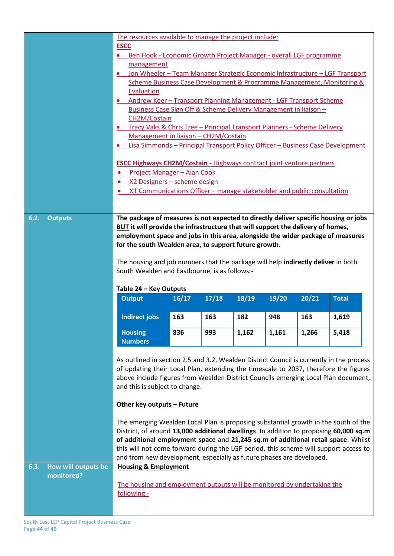|                             | The resources available to manage the project include:<br><b>ESCC</b><br>Ben Hook - Economic Growth Project Manager - overall LGF programme<br>$\bullet$<br>management<br>Jon Wheeler - Team Manager Strategic Economic Infrastructure - LGF Transport<br>Scheme Business Case Development & Programme Management, Monitoring &<br>Evaluation<br>Andrew Keer - Transport Planning Management - LGF Transport Scheme<br>$\bullet$<br>Business Case Sign Off & Scheme Delivery Management in liaison -<br>CH2M/Costain<br>Tracy Vaks & Chris Tree - Principal Transport Planners - Scheme Delivery<br>$\bullet$<br>Management in liaison - CH2M/Costain<br>Lisa Simmonds - Principal Transport Policy Officer - Business Case Development<br><b>ESCC Highways CH2M/Costain - Highways contract joint venture partners</b><br>Project Manager - Alan Cook<br>$\bullet$<br>X2 Designers - scheme design<br>X1 Communications Officer - manage stakeholder and public consultation |                                       |       |       |       |       |              |  |
|-----------------------------|-------------------------------------------------------------------------------------------------------------------------------------------------------------------------------------------------------------------------------------------------------------------------------------------------------------------------------------------------------------------------------------------------------------------------------------------------------------------------------------------------------------------------------------------------------------------------------------------------------------------------------------------------------------------------------------------------------------------------------------------------------------------------------------------------------------------------------------------------------------------------------------------------------------------------------------------------------------------------------|---------------------------------------|-------|-------|-------|-------|--------------|--|
| <b>Outputs</b><br>6.2.      | The package of measures is not expected to directly deliver specific housing or jobs<br>BUT it will provide the infrastructure that will support the delivery of homes,<br>employment space and jobs in this area, alongside the wider package of measures<br>for the south Wealden area, to support future growth.<br>The housing and job numbers that the package will help indirectly deliver in both<br>South Wealden and Eastbourne, is as follows:-                                                                                                                                                                                                                                                                                                                                                                                                                                                                                                                     |                                       |       |       |       |       |              |  |
|                             | Table 24 - Key Outputs                                                                                                                                                                                                                                                                                                                                                                                                                                                                                                                                                                                                                                                                                                                                                                                                                                                                                                                                                        |                                       |       |       |       |       |              |  |
|                             | <b>Output</b>                                                                                                                                                                                                                                                                                                                                                                                                                                                                                                                                                                                                                                                                                                                                                                                                                                                                                                                                                                 | 16/17                                 | 17/18 | 18/19 | 19/20 | 20/21 | <b>Total</b> |  |
|                             | <b>Indirect jobs</b>                                                                                                                                                                                                                                                                                                                                                                                                                                                                                                                                                                                                                                                                                                                                                                                                                                                                                                                                                          | 163                                   | 163   | 182   | 948   | 163   | 1,619        |  |
|                             | <b>Housing</b><br><b>Numbers</b>                                                                                                                                                                                                                                                                                                                                                                                                                                                                                                                                                                                                                                                                                                                                                                                                                                                                                                                                              | 836<br>1,161<br>1,266<br>993<br>1,162 |       |       |       |       |              |  |
|                             | As outlined in section 2.5 and 3.2, Wealden District Council is currently in the process<br>of updating their Local Plan, extending the timescale to 2037, therefore the figures<br>above include figures from Wealden District Councils emerging Local Plan document,<br>and this is subject to change.                                                                                                                                                                                                                                                                                                                                                                                                                                                                                                                                                                                                                                                                      |                                       |       |       |       |       | 5,418        |  |
|                             |                                                                                                                                                                                                                                                                                                                                                                                                                                                                                                                                                                                                                                                                                                                                                                                                                                                                                                                                                                               |                                       |       |       |       |       |              |  |
|                             | Other key outputs - Future                                                                                                                                                                                                                                                                                                                                                                                                                                                                                                                                                                                                                                                                                                                                                                                                                                                                                                                                                    |                                       |       |       |       |       |              |  |
| How will outputs be<br>6.3. | The emerging Wealden Local Plan is proposing substantial growth in the south of the<br>District, of around 13,000 additional dwellings. In addition to proposing 60,000 sq.m<br>of additional employment space and 21,245 sq.m of additional retail space. Whilst<br>this will not come forward during the LGF period, this scheme will support access to<br>and from new development, especially as future phases are developed.<br><b>Housing &amp; Employment</b>                                                                                                                                                                                                                                                                                                                                                                                                                                                                                                          |                                       |       |       |       |       |              |  |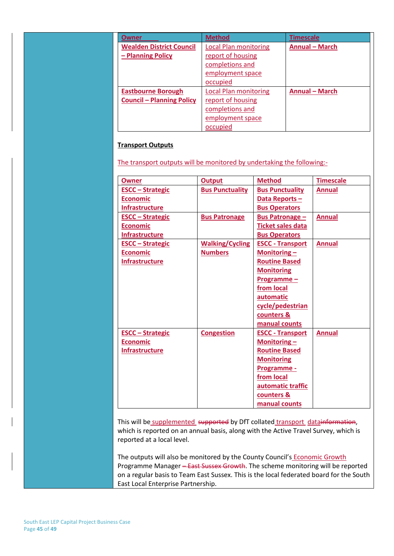| Owner                            | <b>Method</b>                | <b>Timescale</b>      |
|----------------------------------|------------------------------|-----------------------|
| <b>Wealden District Council</b>  | <b>Local Plan monitoring</b> | <b>Annual - March</b> |
| - Planning Policy                | report of housing            |                       |
|                                  | completions and              |                       |
|                                  | employment space             |                       |
|                                  | occupied                     |                       |
| <b>Eastbourne Borough</b>        | <b>Local Plan monitoring</b> | <b>Annual - March</b> |
| <b>Council - Planning Policy</b> | report of housing            |                       |
|                                  | completions and              |                       |
|                                  | employment space             |                       |
|                                  | occupied                     |                       |

#### **Transport Outputs**

The transport outputs will be monitored by undertaking the following:-

| <b>Owner</b>            | <b>Output</b>          | <b>Method</b>            | <b>Timescale</b> |
|-------------------------|------------------------|--------------------------|------------------|
| <b>ESCC - Strategic</b> | <b>Bus Punctuality</b> | <b>Bus Punctuality</b>   | <b>Annual</b>    |
| <b>Economic</b>         |                        | Data Reports-            |                  |
| <b>Infrastructure</b>   |                        | <b>Bus Operators</b>     |                  |
| <b>ESCC - Strategic</b> | <b>Bus Patronage</b>   | <b>Bus Patronage -</b>   | <b>Annual</b>    |
| <b>Economic</b>         |                        | <b>Ticket sales data</b> |                  |
| <b>Infrastructure</b>   |                        | <b>Bus Operators</b>     |                  |
| <b>ESCC - Strategic</b> | <b>Walking/Cycling</b> | <b>ESCC - Transport</b>  | <b>Annual</b>    |
| <b>Economic</b>         | <b>Numbers</b>         | Monitoring $-$           |                  |
| <b>Infrastructure</b>   |                        | <b>Routine Based</b>     |                  |
|                         |                        | <b>Monitoring</b>        |                  |
|                         |                        | Programme-               |                  |
|                         |                        | from local               |                  |
|                         |                        | automatic                |                  |
|                         |                        | cycle/pedestrian         |                  |
|                         |                        | counters &               |                  |
|                         |                        | manual counts            |                  |
| <b>ESCC - Strategic</b> | <b>Congestion</b>      | <b>ESCC - Transport</b>  | <b>Annual</b>    |
| <b>Economic</b>         |                        | Monitoring $-$           |                  |
| <b>Infrastructure</b>   |                        | <b>Routine Based</b>     |                  |
|                         |                        | <b>Monitoring</b>        |                  |
|                         |                        | Programme -              |                  |
|                         |                        | from local               |                  |
|                         |                        | automatic traffic        |                  |
|                         |                        | counters &               |                  |
|                         |                        | manual counts            |                  |

This will be supplemented supported by DfT collated transport datainformation, which is reported on an annual basis, along with the Active Travel Survey, which is reported at a local level.

The outputs will also be monitored by the County Council's **Economic Growth** Programme Manager – East Sussex Growth. The scheme monitoring will be reported on a regular basis to Team East Sussex. This is the local federated board for the South East Local Enterprise Partnership.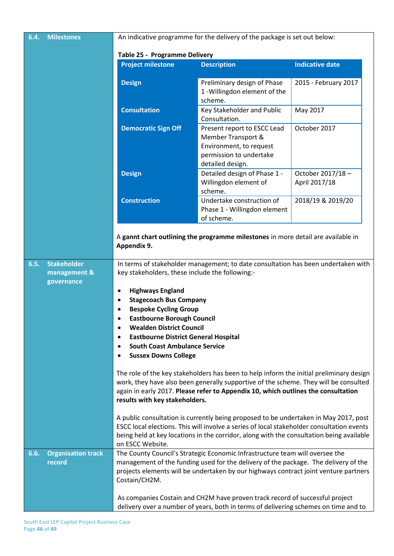| 6.4. | <b>Milestones</b>                                | An indicative programme for the delivery of the package is set out below:                                                                                                                                                                                                                                                                                                                                                                                                                                                                                                                                                                                                                                                                                                                                                                                                                                                                                                                                                                                                                        |                                                                                                                             |                                   |  |
|------|--------------------------------------------------|--------------------------------------------------------------------------------------------------------------------------------------------------------------------------------------------------------------------------------------------------------------------------------------------------------------------------------------------------------------------------------------------------------------------------------------------------------------------------------------------------------------------------------------------------------------------------------------------------------------------------------------------------------------------------------------------------------------------------------------------------------------------------------------------------------------------------------------------------------------------------------------------------------------------------------------------------------------------------------------------------------------------------------------------------------------------------------------------------|-----------------------------------------------------------------------------------------------------------------------------|-----------------------------------|--|
|      |                                                  | Table 25 - Programme Delivery                                                                                                                                                                                                                                                                                                                                                                                                                                                                                                                                                                                                                                                                                                                                                                                                                                                                                                                                                                                                                                                                    |                                                                                                                             |                                   |  |
|      |                                                  | <b>Project milestone</b>                                                                                                                                                                                                                                                                                                                                                                                                                                                                                                                                                                                                                                                                                                                                                                                                                                                                                                                                                                                                                                                                         | <b>Description</b>                                                                                                          | <b>Indicative date</b>            |  |
|      |                                                  | <b>Design</b>                                                                                                                                                                                                                                                                                                                                                                                                                                                                                                                                                                                                                                                                                                                                                                                                                                                                                                                                                                                                                                                                                    | Preliminary design of Phase<br>1 - Willingdon element of the<br>scheme.                                                     | 2015 - February 2017              |  |
|      |                                                  | <b>Consultation</b>                                                                                                                                                                                                                                                                                                                                                                                                                                                                                                                                                                                                                                                                                                                                                                                                                                                                                                                                                                                                                                                                              | Key Stakeholder and Public<br>Consultation.                                                                                 | May 2017                          |  |
|      |                                                  | <b>Democratic Sign Off</b>                                                                                                                                                                                                                                                                                                                                                                                                                                                                                                                                                                                                                                                                                                                                                                                                                                                                                                                                                                                                                                                                       | Present report to ESCC Lead<br>Member Transport &<br>Environment, to request<br>permission to undertake<br>detailed design. | October 2017                      |  |
|      |                                                  | <b>Design</b>                                                                                                                                                                                                                                                                                                                                                                                                                                                                                                                                                                                                                                                                                                                                                                                                                                                                                                                                                                                                                                                                                    | Detailed design of Phase 1 -<br>Willingdon element of<br>scheme.                                                            | October 2017/18-<br>April 2017/18 |  |
|      |                                                  | <b>Construction</b>                                                                                                                                                                                                                                                                                                                                                                                                                                                                                                                                                                                                                                                                                                                                                                                                                                                                                                                                                                                                                                                                              | Undertake construction of<br>Phase 1 - Willingdon element<br>of scheme.                                                     | 2018/19 & 2019/20                 |  |
|      |                                                  | Appendix 9.                                                                                                                                                                                                                                                                                                                                                                                                                                                                                                                                                                                                                                                                                                                                                                                                                                                                                                                                                                                                                                                                                      | A gannt chart outlining the programme milestones in more detail are available in                                            |                                   |  |
| 6.5. | <b>Stakeholder</b><br>management &<br>governance | In terms of stakeholder management; to date consultation has been undertaken with<br>key stakeholders, these include the following:-<br><b>Highways England</b><br>٠<br><b>Stagecoach Bus Company</b><br>$\bullet$<br><b>Bespoke Cycling Group</b><br>٠<br><b>Eastbourne Borough Council</b><br>٠<br><b>Wealden District Council</b><br><b>Eastbourne District General Hospital</b><br>٠<br><b>South Coast Ambulance Service</b><br>$\bullet$<br><b>Sussex Downs College</b><br>٠<br>The role of the key stakeholders has been to help inform the initial preliminary design<br>work, they have also been generally supportive of the scheme. They will be consulted<br>again in early 2017. Please refer to Appendix 10, which outlines the consultation<br>results with key stakeholders.<br>A public consultation is currently being proposed to be undertaken in May 2017, post<br>ESCC local elections. This will involve a series of local stakeholder consultation events<br>being held at key locations in the corridor, along with the consultation being available<br>on ESCC Website. |                                                                                                                             |                                   |  |
| 6.6. | <b>Organisation track</b><br>record              | The County Council's Strategic Economic Infrastructure team will oversee the<br>management of the funding used for the delivery of the package. The delivery of the<br>projects elements will be undertaken by our highways contract joint venture partners<br>Costain/CH2M.                                                                                                                                                                                                                                                                                                                                                                                                                                                                                                                                                                                                                                                                                                                                                                                                                     |                                                                                                                             |                                   |  |
|      |                                                  | As companies Costain and CH2M have proven track record of successful project<br>delivery over a number of years, both in terms of delivering schemes on time and to                                                                                                                                                                                                                                                                                                                                                                                                                                                                                                                                                                                                                                                                                                                                                                                                                                                                                                                              |                                                                                                                             |                                   |  |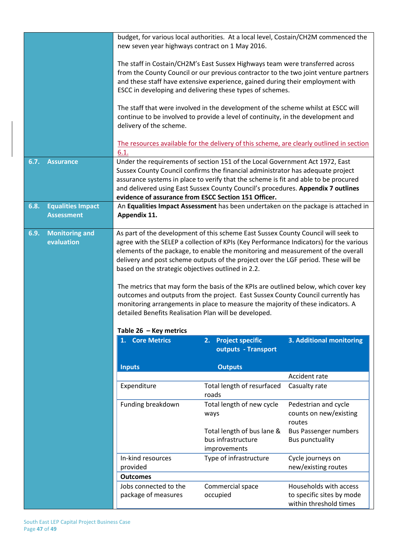| 6.7.<br><b>Assurance</b>                              | new seven year highways contract on 1 May 2016.<br>delivery of the scheme.<br>6.1.                                                                                                                                                                                                                                                                                                                                                                                                                                                                                                                                                                                                                                                                          | budget, for various local authorities. At a local level, Costain/CH2M commenced the<br>The staff in Costain/CH2M's East Sussex Highways team were transferred across<br>from the County Council or our previous contractor to the two joint venture partners<br>and these staff have extensive experience, gained during their employment with<br>ESCC in developing and delivering these types of schemes.<br>The staff that were involved in the development of the scheme whilst at ESCC will<br>continue to be involved to provide a level of continuity, in the development and<br>The resources available for the delivery of this scheme, are clearly outlined in section<br>Under the requirements of section 151 of the Local Government Act 1972, East<br>Sussex County Council confirms the financial administrator has adequate project |                                                                               |  |
|-------------------------------------------------------|-------------------------------------------------------------------------------------------------------------------------------------------------------------------------------------------------------------------------------------------------------------------------------------------------------------------------------------------------------------------------------------------------------------------------------------------------------------------------------------------------------------------------------------------------------------------------------------------------------------------------------------------------------------------------------------------------------------------------------------------------------------|-----------------------------------------------------------------------------------------------------------------------------------------------------------------------------------------------------------------------------------------------------------------------------------------------------------------------------------------------------------------------------------------------------------------------------------------------------------------------------------------------------------------------------------------------------------------------------------------------------------------------------------------------------------------------------------------------------------------------------------------------------------------------------------------------------------------------------------------------------|-------------------------------------------------------------------------------|--|
|                                                       |                                                                                                                                                                                                                                                                                                                                                                                                                                                                                                                                                                                                                                                                                                                                                             | assurance systems in place to verify that the scheme is fit and able to be procured<br>and delivered using East Sussex County Council's procedures. Appendix 7 outlines                                                                                                                                                                                                                                                                                                                                                                                                                                                                                                                                                                                                                                                                             |                                                                               |  |
|                                                       |                                                                                                                                                                                                                                                                                                                                                                                                                                                                                                                                                                                                                                                                                                                                                             | evidence of assurance from ESCC Section 151 Officer.<br>An Equalities Impact Assessment has been undertaken on the package is attached in                                                                                                                                                                                                                                                                                                                                                                                                                                                                                                                                                                                                                                                                                                           |                                                                               |  |
| <b>Equalities Impact</b><br>6.8.<br><b>Assessment</b> | Appendix 11.                                                                                                                                                                                                                                                                                                                                                                                                                                                                                                                                                                                                                                                                                                                                                |                                                                                                                                                                                                                                                                                                                                                                                                                                                                                                                                                                                                                                                                                                                                                                                                                                                     |                                                                               |  |
| evaluation                                            | As part of the development of this scheme East Sussex County Council will seek to<br>agree with the SELEP a collection of KPIs (Key Performance Indicators) for the various<br>elements of the package, to enable the monitoring and measurement of the overall<br>delivery and post scheme outputs of the project over the LGF period. These will be<br>based on the strategic objectives outlined in 2.2.<br>The metrics that may form the basis of the KPIs are outlined below, which cover key<br>outcomes and outputs from the project. East Sussex County Council currently has<br>monitoring arrangements in place to measure the majority of these indicators. A<br>detailed Benefits Realisation Plan will be developed.<br>Table 26 - Key metrics |                                                                                                                                                                                                                                                                                                                                                                                                                                                                                                                                                                                                                                                                                                                                                                                                                                                     |                                                                               |  |
|                                                       | <b>Core Metrics</b><br>1.                                                                                                                                                                                                                                                                                                                                                                                                                                                                                                                                                                                                                                                                                                                                   | <b>Project specific</b><br>2.                                                                                                                                                                                                                                                                                                                                                                                                                                                                                                                                                                                                                                                                                                                                                                                                                       | 3. Additional monitoring                                                      |  |
|                                                       |                                                                                                                                                                                                                                                                                                                                                                                                                                                                                                                                                                                                                                                                                                                                                             | outputs - Transport                                                                                                                                                                                                                                                                                                                                                                                                                                                                                                                                                                                                                                                                                                                                                                                                                                 |                                                                               |  |
|                                                       | <b>Inputs</b>                                                                                                                                                                                                                                                                                                                                                                                                                                                                                                                                                                                                                                                                                                                                               | <b>Outputs</b>                                                                                                                                                                                                                                                                                                                                                                                                                                                                                                                                                                                                                                                                                                                                                                                                                                      |                                                                               |  |
|                                                       |                                                                                                                                                                                                                                                                                                                                                                                                                                                                                                                                                                                                                                                                                                                                                             |                                                                                                                                                                                                                                                                                                                                                                                                                                                                                                                                                                                                                                                                                                                                                                                                                                                     | Accident rate                                                                 |  |
|                                                       | Expenditure                                                                                                                                                                                                                                                                                                                                                                                                                                                                                                                                                                                                                                                                                                                                                 | Total length of resurfaced<br>roads                                                                                                                                                                                                                                                                                                                                                                                                                                                                                                                                                                                                                                                                                                                                                                                                                 | Casualty rate                                                                 |  |
|                                                       | Funding breakdown                                                                                                                                                                                                                                                                                                                                                                                                                                                                                                                                                                                                                                                                                                                                           | Total length of new cycle<br>ways                                                                                                                                                                                                                                                                                                                                                                                                                                                                                                                                                                                                                                                                                                                                                                                                                   | Pedestrian and cycle<br>counts on new/existing<br>routes                      |  |
|                                                       |                                                                                                                                                                                                                                                                                                                                                                                                                                                                                                                                                                                                                                                                                                                                                             | Total length of bus lane &<br>bus infrastructure<br>improvements                                                                                                                                                                                                                                                                                                                                                                                                                                                                                                                                                                                                                                                                                                                                                                                    | <b>Bus Passenger numbers</b><br><b>Bus punctuality</b>                        |  |
|                                                       | In-kind resources<br>provided                                                                                                                                                                                                                                                                                                                                                                                                                                                                                                                                                                                                                                                                                                                               | Type of infrastructure                                                                                                                                                                                                                                                                                                                                                                                                                                                                                                                                                                                                                                                                                                                                                                                                                              | Cycle journeys on<br>new/existing routes                                      |  |
|                                                       | <b>Outcomes</b>                                                                                                                                                                                                                                                                                                                                                                                                                                                                                                                                                                                                                                                                                                                                             |                                                                                                                                                                                                                                                                                                                                                                                                                                                                                                                                                                                                                                                                                                                                                                                                                                                     |                                                                               |  |
|                                                       | Jobs connected to the<br>package of measures                                                                                                                                                                                                                                                                                                                                                                                                                                                                                                                                                                                                                                                                                                                | Commercial space<br>occupied                                                                                                                                                                                                                                                                                                                                                                                                                                                                                                                                                                                                                                                                                                                                                                                                                        | Households with access<br>to specific sites by mode<br>within threshold times |  |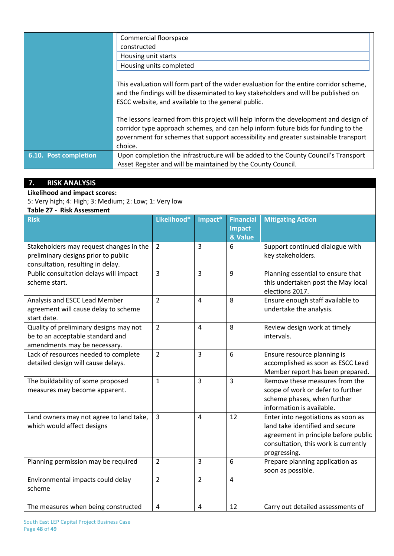|                       | Commercial floorspace                                                                                                                                                                                                                                                        |  |  |
|-----------------------|------------------------------------------------------------------------------------------------------------------------------------------------------------------------------------------------------------------------------------------------------------------------------|--|--|
|                       | constructed                                                                                                                                                                                                                                                                  |  |  |
|                       | Housing unit starts                                                                                                                                                                                                                                                          |  |  |
|                       | Housing units completed                                                                                                                                                                                                                                                      |  |  |
|                       |                                                                                                                                                                                                                                                                              |  |  |
|                       | This evaluation will form part of the wider evaluation for the entire corridor scheme,<br>and the findings will be disseminated to key stakeholders and will be published on<br>ESCC website, and available to the general public.                                           |  |  |
|                       | The lessons learned from this project will help inform the development and design of<br>corridor type approach schemes, and can help inform future bids for funding to the<br>government for schemes that support accessibility and greater sustainable transport<br>choice. |  |  |
| 6.10. Post completion | Upon completion the infrastructure will be added to the County Council's Transport                                                                                                                                                                                           |  |  |
|                       | Asset Register and will be maintained by the County Council.                                                                                                                                                                                                                 |  |  |

## **7. RISK ANALYSIS**

**Likelihood and impact scores:**

5: Very high; 4: High; 3: Medium; 2: Low; 1: Very low

### **Table 27 - Risk Assessment**

| <b>Risk</b>                                                                                                         | Likelihood*    | Impact*        | <b>Financial</b><br><b>Impact</b><br>& Value | <b>Mitigating Action</b>                                                                                                                                              |
|---------------------------------------------------------------------------------------------------------------------|----------------|----------------|----------------------------------------------|-----------------------------------------------------------------------------------------------------------------------------------------------------------------------|
| Stakeholders may request changes in the<br>preliminary designs prior to public<br>consultation, resulting in delay. | $\overline{2}$ | 3              | 6                                            | Support continued dialogue with<br>key stakeholders.                                                                                                                  |
| Public consultation delays will impact<br>scheme start.                                                             | $\overline{3}$ | 3              | 9                                            | Planning essential to ensure that<br>this undertaken post the May local<br>elections 2017.                                                                            |
| Analysis and ESCC Lead Member<br>agreement will cause delay to scheme<br>start date.                                | $\overline{2}$ | 4              | 8                                            | Ensure enough staff available to<br>undertake the analysis.                                                                                                           |
| Quality of preliminary designs may not<br>be to an acceptable standard and<br>amendments may be necessary.          | $\overline{2}$ | $\overline{4}$ | 8                                            | Review design work at timely<br>intervals.                                                                                                                            |
| Lack of resources needed to complete<br>detailed design will cause delays.                                          | $\overline{2}$ | 3              | 6                                            | Ensure resource planning is<br>accomplished as soon as ESCC Lead<br>Member report has been prepared.                                                                  |
| The buildability of some proposed<br>measures may become apparent.                                                  | $\mathbf{1}$   | 3              | $\overline{3}$                               | Remove these measures from the<br>scope of work or defer to further<br>scheme phases, when further<br>information is available.                                       |
| Land owners may not agree to land take,<br>which would affect designs                                               | 3              | 4              | 12                                           | Enter into negotiations as soon as<br>land take identified and secure<br>agreement in principle before public<br>consultation, this work is currently<br>progressing. |
| Planning permission may be required                                                                                 | $\overline{2}$ | 3              | 6                                            | Prepare planning application as<br>soon as possible.                                                                                                                  |
| Environmental impacts could delay<br>scheme                                                                         | $\overline{2}$ | $\overline{2}$ | $\overline{4}$                               |                                                                                                                                                                       |
| The measures when being constructed                                                                                 | $\overline{4}$ | 4              | 12                                           | Carry out detailed assessments of                                                                                                                                     |